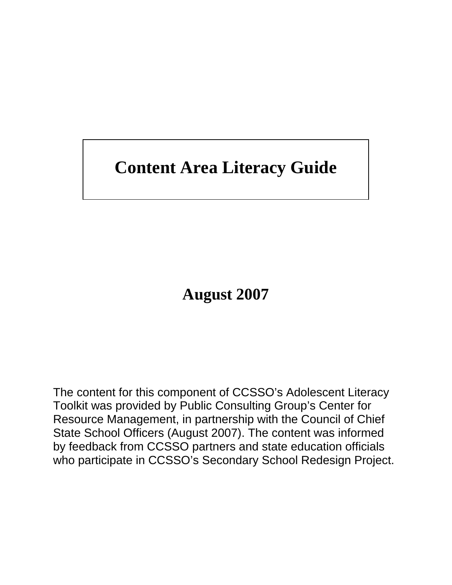# **Content Area Literacy Guide**

**August 2007** 

The content for this component of CCSSO's Adolescent Literacy Toolkit was provided by Public Consulting Group's Center for Resource Management, in partnership with the Council of Chief State School Officers (August 2007). The content was informed by feedback from CCSSO partners and state education officials who participate in CCSSO's Secondary School Redesign Project.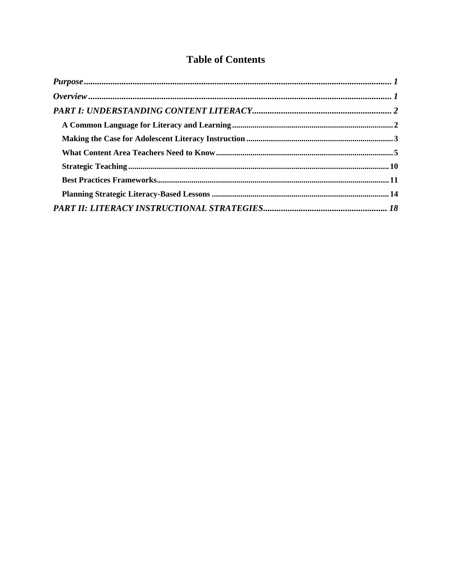# **Table of Contents**

| Purpose 1 1 |  |
|-------------|--|
|             |  |
|             |  |
|             |  |
|             |  |
|             |  |
|             |  |
|             |  |
|             |  |
|             |  |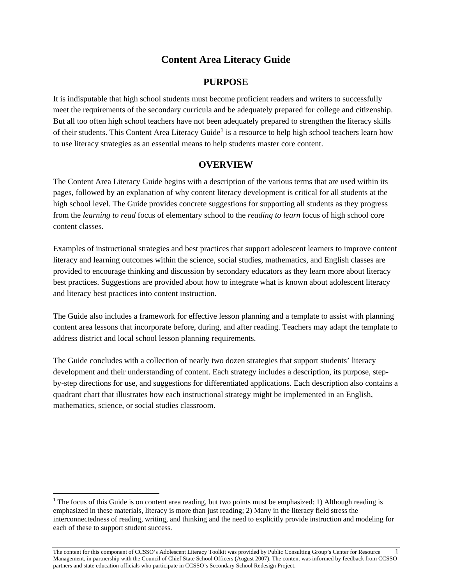# **Content Area Literacy Guide**

### **PURPOSE**

<span id="page-2-0"></span>It is indisputable that high school students must become proficient readers and writers to successfully meet the requirements of the secondary curricula and be adequately prepared for college and citizenship. But all too often high school teachers have not been adequately prepared to strengthen the literacy skills of their students. This Content Area Literacy Guide<sup>[1](#page-2-1)</sup> is a resource to help high school teachers learn how to use literacy strategies as an essential means to help students master core content.

### **OVERVIEW**

The Content Area Literacy Guide begins with a description of the various terms that are used within its pages, followed by an explanation of why content literacy development is critical for all students at the high school level. The Guide provides concrete suggestions for supporting all students as they progress from the *learning to read* focus of elementary school to the *reading to learn* focus of high school core content classes.

Examples of instructional strategies and best practices that support adolescent learners to improve content literacy and learning outcomes within the science, social studies, mathematics, and English classes are provided to encourage thinking and discussion by secondary educators as they learn more about literacy best practices. Suggestions are provided about how to integrate what is known about adolescent literacy and literacy best practices into content instruction.

The Guide also includes a framework for effective lesson planning and a template to assist with planning content area lessons that incorporate before, during, and after reading. Teachers may adapt the template to address district and local school lesson planning requirements.

The Guide concludes with a collection of nearly two dozen strategies that support students' literacy development and their understanding of content. Each strategy includes a description, its purpose, stepby-step directions for use, and suggestions for differentiated applications. Each description also contains a quadrant chart that illustrates how each instructional strategy might be implemented in an English, mathematics, science, or social studies classroom.

 $\overline{a}$ 

<span id="page-2-1"></span><sup>&</sup>lt;sup>1</sup> The focus of this Guide is on content area reading, but two points must be emphasized: 1) Although reading is emphasized in these materials, literacy is more than just reading; 2) Many in the literacy field stress the interconnectedness of reading, writing, and thinking and the need to explicitly provide instruction and modeling for each of these to support student success.

The content for this component of CCSSO's Adolescent Literacy Toolkit was provided by Public Consulting Group's Center for Resource Management, in partnership with the Council of Chief State School Officers (August 2007). The content was informed by feedback from CCSSO partners and state education officials who participate in CCSSO's Secondary School Redesign Project. 1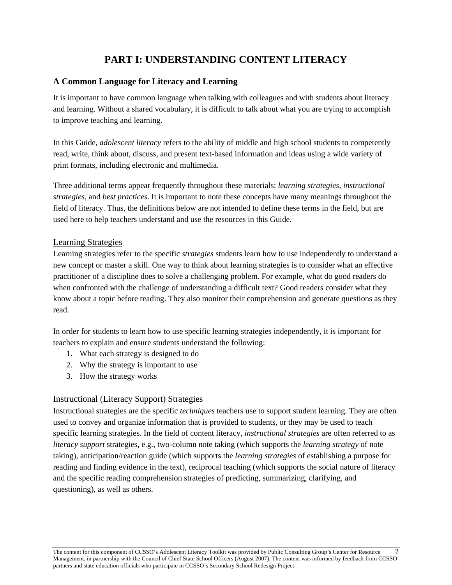# **PART I: UNDERSTANDING CONTENT LITERACY**

### <span id="page-3-0"></span>**A Common Language for Literacy and Learning**

It is important to have common language when talking with colleagues and with students about literacy and learning. Without a shared vocabulary, it is difficult to talk about what you are trying to accomplish to improve teaching and learning.

In this Guide, *adolescent literacy* refers to the ability of middle and high school students to competently read, write, think about, discuss, and present text-based information and ideas using a wide variety of print formats, including electronic and multimedia.

Three additional terms appear frequently throughout these materials: *learning strategies, instructional strategies,* and *best practices*. It is important to note these concepts have many meanings throughout the field of literacy. Thus, the definitions below are not intended to define these terms in the field, but are used here to help teachers understand and use the resources in this Guide.

### Learning Strategies

Learning strategies refer to the specific *strategies* students learn how to use independently to understand a new concept or master a skill. One way to think about learning strategies is to consider what an effective practitioner of a discipline does to solve a challenging problem. For example, what do good readers do when confronted with the challenge of understanding a difficult text? Good readers consider what they know about a topic before reading. They also monitor their comprehension and generate questions as they read.

In order for students to learn how to use specific learning strategies independently, it is important for teachers to explain and ensure students understand the following:

- 1. What each strategy is designed to do
- 2. Why the strategy is important to use
- 3. How the strategy works

### Instructional (Literacy Support) Strategies

Instructional strategies are the specific *techniques* teachers use to support student learning. They are often used to convey and organize information that is provided to students, or they may be used to teach specific learning strategies. In the field of content literacy, *instructional strategies* are often referred to as *literacy support* strategies, e.g., two-column note taking (which supports the *learning strategy* of note taking), anticipation/reaction guide (which supports the *learning strategies* of establishing a purpose for reading and finding evidence in the text), reciprocal teaching (which supports the social nature of literacy and the specific reading comprehension strategies of predicting, summarizing, clarifying, and questioning), as well as others.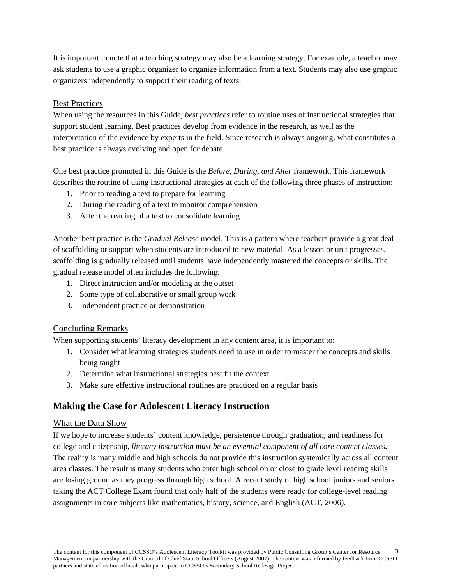<span id="page-4-0"></span>It is important to note that a teaching strategy may also be a learning strategy. For example, a teacher may ask students to use a graphic organizer to organize information from a text. Students may also use graphic organizers independently to support their reading of texts.

### Best Practices

When using the resources in this Guide, *best practices* refer to routine uses of instructional strategies that support student learning. Best practices develop from evidence in the research, as well as the interpretation of the evidence by experts in the field. Since research is always ongoing, what constitutes a best practice is always evolving and open for debate.

One best practice promoted in this Guide is the *Before, During, and After* framework. This framework describes the routine of using instructional strategies at each of the following three phases of instruction:

- 1. Prior to reading a text to prepare for learning
- 2. During the reading of a text to monitor comprehension
- 3. After the reading of a text to consolidate learning

Another best practice is the *Gradual Release* model. This is a pattern where teachers provide a great deal of scaffolding or support when students are introduced to new material. As a lesson or unit progresses, scaffolding is gradually released until students have independently mastered the concepts or skills. The gradual release model often includes the following:

- 1. Direct instruction and/or modeling at the outset
- 2. Some type of collaborative or small group work
- 3. Independent practice or demonstration

### Concluding Remarks

When supporting students' literacy development in any content area, it is important to:

- 1. Consider what learning strategies students need to use in order to master the concepts and skills being taught
- 2. Determine what instructional strategies best fit the context
- 3. Make sure effective instructional routines are practiced on a regular basis

### **Making the Case for Adolescent Literacy Instruction**

#### What the Data Show

If we hope to increase students' content knowledge, persistence through graduation, and readiness for college and citizenship, *literacy instruction must be an essential component of all core content classes***.**  The reality is many middle and high schools do not provide this instruction systemically across all content area classes. The result is many students who enter high school on or close to grade level reading skills are losing ground as they progress through high school. A recent study of high school juniors and seniors taking the ACT College Exam found that only half of the students were ready for college-level reading assignments in core subjects like mathematics, history, science, and English (ACT, 2006).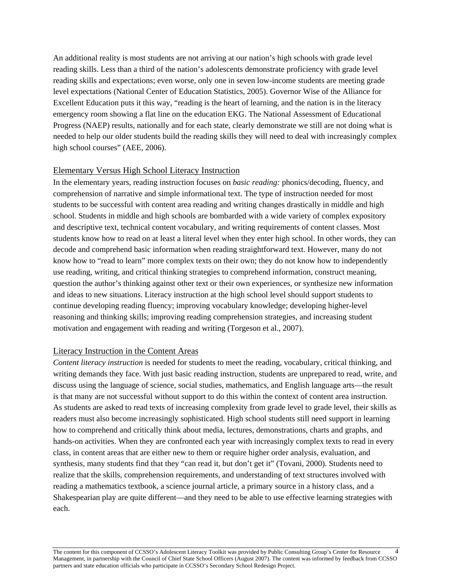An additional reality is most students are not arriving at our nation's high schools with grade level reading skills. Less than a third of the nation's adolescents demonstrate proficiency with grade level reading skills and expectations; even worse, only one in seven low-income students are meeting grade level expectations (National Center of Education Statistics, 2005). Governor Wise of the Alliance for Excellent Education puts it this way, "reading is the heart of learning, and the nation is in the literacy emergency room showing a flat line on the education EKG. The National Assessment of Educational Progress (NAEP) results, nationally and for each state, clearly demonstrate we still are not doing what is needed to help our older students build the reading skills they will need to deal with increasingly complex high school courses" (AEE, 2006).

### Elementary Versus High School Literacy Instruction

In the elementary years, reading instruction focuses on *basic reading:* phonics/decoding, fluency, and comprehension of narrative and simple informational text. The type of instruction needed for most students to be successful with content area reading and writing changes drastically in middle and high school. Students in middle and high schools are bombarded with a wide variety of complex expository and descriptive text, technical content vocabulary, and writing requirements of content classes. Most students know how to read on at least a literal level when they enter high school. In other words, they can decode and comprehend basic information when reading straightforward text. However, many do not know how to "read to learn" more complex texts on their own; they do not know how to independently use reading, writing, and critical thinking strategies to comprehend information, construct meaning, question the author's thinking against other text or their own experiences, or synthesize new information and ideas to new situations. Literacy instruction at the high school level should support students to continue developing reading fluency; improving vocabulary knowledge; developing higher-level reasoning and thinking skills; improving reading comprehension strategies, and increasing student motivation and engagement with reading and writing (Torgeson et al., 2007).

### Literacy Instruction in the Content Areas

*Content literacy instruction* is needed for students to meet the reading, vocabulary, critical thinking, and writing demands they face. With just basic reading instruction, students are unprepared to read, write, and discuss using the language of science, social studies, mathematics, and English language arts—the result is that many are not successful without support to do this within the context of content area instruction. As students are asked to read texts of increasing complexity from grade level to grade level, their skills as readers must also become increasingly sophisticated. High school students still need support in learning how to comprehend and critically think about media, lectures, demonstrations, charts and graphs, and hands-on activities. When they are confronted each year with increasingly complex texts to read in every class, in content areas that are either new to them or require higher order analysis, evaluation, and synthesis, many students find that they "can read it, but don't get it" (Tovani, 2000). Students need to realize that the skills, comprehension requirements, and understanding of text structures involved with reading a mathematics textbook, a science journal article, a primary source in a history class, and a Shakespearian play are quite different—and they need to be able to use effective learning strategies with each.

The content for this component of CCSSO's Adolescent Literacy Toolkit was provided by Public Consulting Group's Center for Resource Management, in partnership with the Council of Chief State School Officers (August 2007). The content was informed by feedback from CCSSO partners and state education officials who participate in CCSSO's Secondary School Redesign Project. 4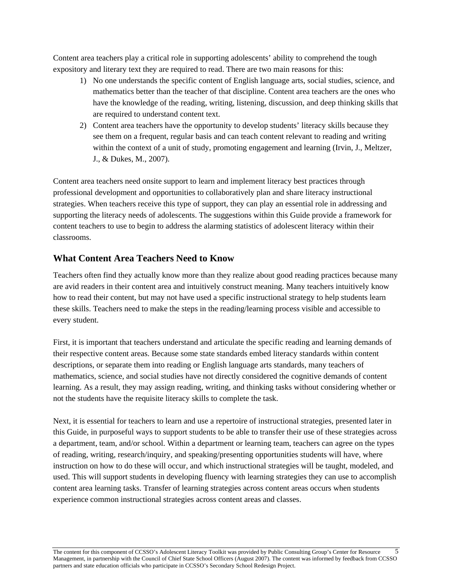<span id="page-6-0"></span>Content area teachers play a critical role in supporting adolescents' ability to comprehend the tough expository and literary text they are required to read. There are two main reasons for this:

- 1) No one understands the specific content of English language arts, social studies, science, and mathematics better than the teacher of that discipline. Content area teachers are the ones who have the knowledge of the reading, writing, listening, discussion, and deep thinking skills that are required to understand content text.
- 2) Content area teachers have the opportunity to develop students' literacy skills because they see them on a frequent, regular basis and can teach content relevant to reading and writing within the context of a unit of study, promoting engagement and learning (Irvin, J., Meltzer, J., & Dukes, M., 2007).

Content area teachers need onsite support to learn and implement literacy best practices through professional development and opportunities to collaboratively plan and share literacy instructional strategies. When teachers receive this type of support, they can play an essential role in addressing and supporting the literacy needs of adolescents. The suggestions within this Guide provide a framework for content teachers to use to begin to address the alarming statistics of adolescent literacy within their classrooms.

### **What Content Area Teachers Need to Know**

Teachers often find they actually know more than they realize about good reading practices because many are avid readers in their content area and intuitively construct meaning. Many teachers intuitively know how to read their content, but may not have used a specific instructional strategy to help students learn these skills. Teachers need to make the steps in the reading/learning process visible and accessible to every student.

First, it is important that teachers understand and articulate the specific reading and learning demands of their respective content areas. Because some state standards embed literacy standards within content descriptions, or separate them into reading or English language arts standards, many teachers of mathematics, science, and social studies have not directly considered the cognitive demands of content learning. As a result, they may assign reading, writing, and thinking tasks without considering whether or not the students have the requisite literacy skills to complete the task.

Next, it is essential for teachers to learn and use a repertoire of instructional strategies, presented later in this Guide, in purposeful ways to support students to be able to transfer their use of these strategies across a department, team, and/or school. Within a department or learning team, teachers can agree on the types of reading, writing, research/inquiry, and speaking/presenting opportunities students will have, where instruction on how to do these will occur, and which instructional strategies will be taught, modeled, and used. This will support students in developing fluency with learning strategies they can use to accomplish content area learning tasks. Transfer of learning strategies across content areas occurs when students experience common instructional strategies across content areas and classes.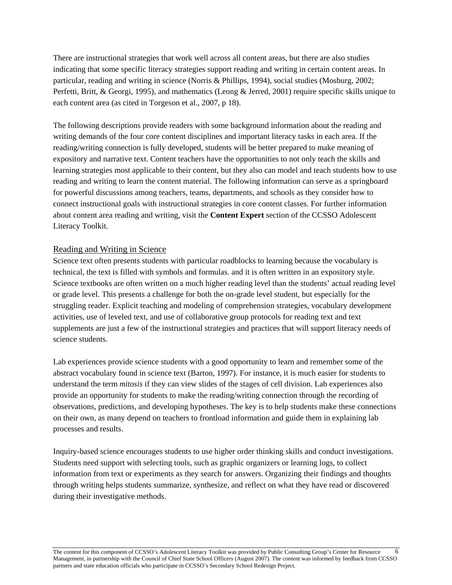There are instructional strategies that work well across all content areas, but there are also studies indicating that some specific literacy strategies support reading and writing in certain content areas. In particular, reading and writing in science (Norris & Phillips, 1994), social studies (Mosburg, 2002; Perfetti, Britt, & Georgi, 1995), and mathematics (Leong & Jerred, 2001) require specific skills unique to each content area (as cited in Torgeson et al., 2007, p 18).

The following descriptions provide readers with some background information about the reading and writing demands of the four core content disciplines and important literacy tasks in each area. If the reading/writing connection is fully developed, students will be better prepared to make meaning of expository and narrative text. Content teachers have the opportunities to not only teach the skills and learning strategies most applicable to their content, but they also can model and teach students how to use reading and writing to learn the content material. The following information can serve as a springboard for powerful discussions among teachers, teams, departments, and schools as they consider how to connect instructional goals with instructional strategies in core content classes. For further information about content area reading and writing, visit the **Content Expert** section of the CCSSO Adolescent Literacy Toolkit.

### Reading and Writing in Science

Science text often presents students with particular roadblocks to learning because the vocabulary is technical, the text is filled with symbols and formulas. and it is often written in an expository style. Science textbooks are often written on a much higher reading level than the students' actual reading level or grade level. This presents a challenge for both the on-grade level student, but especially for the struggling reader. Explicit teaching and modeling of comprehension strategies, vocabulary development activities, use of leveled text, and use of collaborative group protocols for reading text and text supplements are just a few of the instructional strategies and practices that will support literacy needs of science students.

Lab experiences provide science students with a good opportunity to learn and remember some of the abstract vocabulary found in science text (Barton, 1997). For instance, it is much easier for students to understand the term *mitosis* if they can view slides of the stages of cell division. Lab experiences also provide an opportunity for students to make the reading/writing connection through the recording of observations, predictions, and developing hypotheses. The key is to help students make these connections on their own, as many depend on teachers to frontload information and guide them in explaining lab processes and results.

Inquiry-based science encourages students to use higher order thinking skills and conduct investigations. Students need support with selecting tools, such as graphic organizers or learning logs, to collect information from text or experiments as they search for answers. Organizing their findings and thoughts through writing helps students summarize, synthesize, and reflect on what they have read or discovered during their investigative methods.

The content for this component of CCSSO's Adolescent Literacy Toolkit was provided by Public Consulting Group's Center for Resource Management, in partnership with the Council of Chief State School Officers (August 2007). The content was informed by feedback from CCSSO partners and state education officials who participate in CCSSO's Secondary School Redesign Project. 6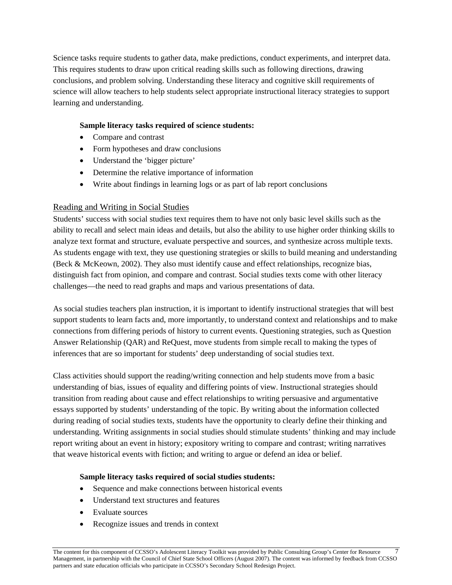Science tasks require students to gather data, make predictions, conduct experiments, and interpret data. This requires students to draw upon critical reading skills such as following directions, drawing conclusions, and problem solving. Understanding these literacy and cognitive skill requirements of science will allow teachers to help students select appropriate instructional literacy strategies to support learning and understanding.

### **Sample literacy tasks required of science students:**

- Compare and contrast
- Form hypotheses and draw conclusions
- Understand the 'bigger picture'
- Determine the relative importance of information
- Write about findings in learning logs or as part of lab report conclusions

### Reading and Writing in Social Studies

Students' success with social studies text requires them to have not only basic level skills such as the ability to recall and select main ideas and details, but also the ability to use higher order thinking skills to analyze text format and structure, evaluate perspective and sources, and synthesize across multiple texts. As students engage with text, they use questioning strategies or skills to build meaning and understanding (Beck & McKeown, 2002). They also must identify cause and effect relationships, recognize bias, distinguish fact from opinion, and compare and contrast. Social studies texts come with other literacy challenges—the need to read graphs and maps and various presentations of data.

As social studies teachers plan instruction, it is important to identify instructional strategies that will best support students to learn facts and, more importantly, to understand context and relationships and to make connections from differing periods of history to current events. Questioning strategies, such as Question Answer Relationship (QAR) and ReQuest, move students from simple recall to making the types of inferences that are so important for students' deep understanding of social studies text.

Class activities should support the reading/writing connection and help students move from a basic understanding of bias, issues of equality and differing points of view. Instructional strategies should transition from reading about cause and effect relationships to writing persuasive and argumentative essays supported by students' understanding of the topic. By writing about the information collected during reading of social studies texts, students have the opportunity to clearly define their thinking and understanding. Writing assignments in social studies should stimulate students' thinking and may include report writing about an event in history; expository writing to compare and contrast; writing narratives that weave historical events with fiction; and writing to argue or defend an idea or belief.

### **Sample literacy tasks required of social studies students:**

- Sequence and make connections between historical events
- Understand text structures and features
- Evaluate sources
- Recognize issues and trends in context

The content for this component of CCSSO's Adolescent Literacy Toolkit was provided by Public Consulting Group's Center for Resource Management, in partnership with the Council of Chief State School Officers (August 2007). The content was informed by feedback from CCSSO partners and state education officials who participate in CCSSO's Secondary School Redesign Project. 7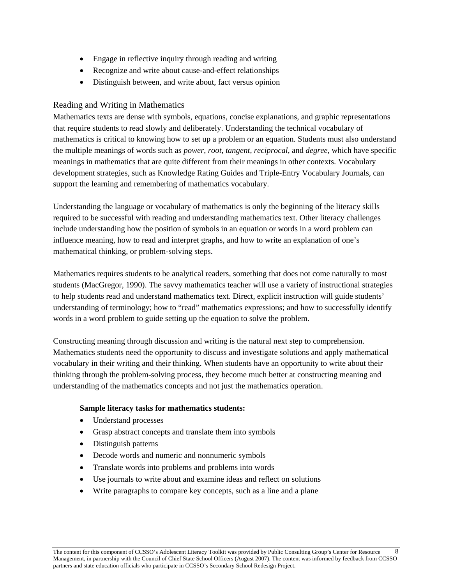- Engage in reflective inquiry through reading and writing
- Recognize and write about cause-and-effect relationships
- Distinguish between, and write about, fact versus opinion

### Reading and Writing in Mathematics

Mathematics texts are dense with symbols, equations, concise explanations, and graphic representations that require students to read slowly and deliberately. Understanding the technical vocabulary of mathematics is critical to knowing how to set up a problem or an equation. Students must also understand the multiple meanings of words such as *power*, *root, tangent, reciprocal,* and *degree,* which have specific meanings in mathematics that are quite different from their meanings in other contexts. Vocabulary development strategies, such as Knowledge Rating Guides and Triple-Entry Vocabulary Journals, can support the learning and remembering of mathematics vocabulary.

Understanding the language or vocabulary of mathematics is only the beginning of the literacy skills required to be successful with reading and understanding mathematics text. Other literacy challenges include understanding how the position of symbols in an equation or words in a word problem can influence meaning, how to read and interpret graphs, and how to write an explanation of one's mathematical thinking, or problem-solving steps.

Mathematics requires students to be analytical readers, something that does not come naturally to most students (MacGregor, 1990). The savvy mathematics teacher will use a variety of instructional strategies to help students read and understand mathematics text. Direct, explicit instruction will guide students' understanding of terminology; how to "read" mathematics expressions; and how to successfully identify words in a word problem to guide setting up the equation to solve the problem.

Constructing meaning through discussion and writing is the natural next step to comprehension. Mathematics students need the opportunity to discuss and investigate solutions and apply mathematical vocabulary in their writing and their thinking. When students have an opportunity to write about their thinking through the problem-solving process, they become much better at constructing meaning and understanding of the mathematics concepts and not just the mathematics operation.

### **Sample literacy tasks for mathematics students:**

- Understand processes
- Grasp abstract concepts and translate them into symbols
- Distinguish patterns
- Decode words and numeric and nonnumeric symbols
- Translate words into problems and problems into words
- Use journals to write about and examine ideas and reflect on solutions
- Write paragraphs to compare key concepts, such as a line and a plane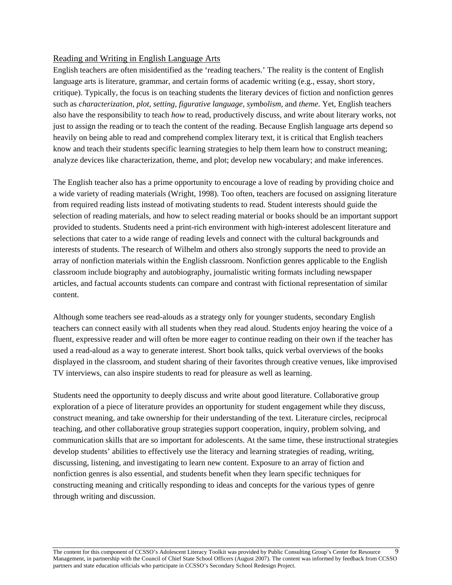### Reading and Writing in English Language Arts

English teachers are often misidentified as the 'reading teachers.' The reality is the content of English language arts is literature, grammar, and certain forms of academic writing (e.g., essay, short story, critique). Typically, the focus is on teaching students the literary devices of fiction and nonfiction genres such as *characterization, plot, setting, figurative language, symbolism,* and *theme*. Yet, English teachers also have the responsibility to teach *how* to read, productively discuss, and write about literary works, not just to assign the reading or to teach the content of the reading. Because English language arts depend so heavily on being able to read and comprehend complex literary text, it is critical that English teachers know and teach their students specific learning strategies to help them learn how to construct meaning; analyze devices like characterization, theme, and plot; develop new vocabulary; and make inferences.

The English teacher also has a prime opportunity to encourage a love of reading by providing choice and a wide variety of reading materials (Wright, 1998). Too often, teachers are focused on assigning literature from required reading lists instead of motivating students to read. Student interests should guide the selection of reading materials, and how to select reading material or books should be an important support provided to students. Students need a print-rich environment with high-interest adolescent literature and selections that cater to a wide range of reading levels and connect with the cultural backgrounds and interests of students. The research of Wilhelm and others also strongly supports the need to provide an array of nonfiction materials within the English classroom. Nonfiction genres applicable to the English classroom include biography and autobiography, journalistic writing formats including newspaper articles, and factual accounts students can compare and contrast with fictional representation of similar content.

Although some teachers see read-alouds as a strategy only for younger students, secondary English teachers can connect easily with all students when they read aloud. Students enjoy hearing the voice of a fluent, expressive reader and will often be more eager to continue reading on their own if the teacher has used a read-aloud as a way to generate interest. Short book talks, quick verbal overviews of the books displayed in the classroom, and student sharing of their favorites through creative venues, like improvised TV interviews, can also inspire students to read for pleasure as well as learning.

Students need the opportunity to deeply discuss and write about good literature. Collaborative group exploration of a piece of literature provides an opportunity for student engagement while they discuss, construct meaning, and take ownership for their understanding of the text. Literature circles, reciprocal teaching, and other collaborative group strategies support cooperation, inquiry, problem solving, and communication skills that are so important for adolescents. At the same time, these instructional strategies develop students' abilities to effectively use the literacy and learning strategies of reading, writing, discussing, listening, and investigating to learn new content. Exposure to an array of fiction and nonfiction genres is also essential, and students benefit when they learn specific techniques for constructing meaning and critically responding to ideas and concepts for the various types of genre through writing and discussion.

The content for this component of CCSSO's Adolescent Literacy Toolkit was provided by Public Consulting Group's Center for Resource Management, in partnership with the Council of Chief State School Officers (August 2007). The content was informed by feedback from CCSSO partners and state education officials who participate in CCSSO's Secondary School Redesign Project. **Q**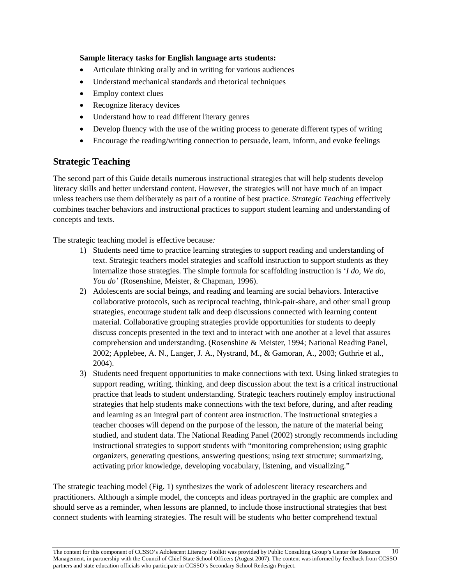#### <span id="page-11-0"></span>**Sample literacy tasks for English language arts students:**

- Articulate thinking orally and in writing for various audiences
- Understand mechanical standards and rhetorical techniques
- Employ context clues
- Recognize literacy devices
- Understand how to read different literary genres
- Develop fluency with the use of the writing process to generate different types of writing
- Encourage the reading/writing connection to persuade, learn, inform, and evoke feelings

### **Strategic Teaching**

The second part of this Guide details numerous instructional strategies that will help students develop literacy skills and better understand content. However, the strategies will not have much of an impact unless teachers use them deliberately as part of a routine of best practice. *Strategic Teaching* effectively combines teacher behaviors and instructional practices to support student learning and understanding of concepts and texts.

The strategic teaching model is effective because*:* 

- 1) Students need time to practice learning strategies to support reading and understanding of text. Strategic teachers model strategies and scaffold instruction to support students as they internalize those strategies. The simple formula for scaffolding instruction is '*I do, We do, You do'* (Rosenshine, Meister, & Chapman, 1996).
- 2) Adolescents are social beings, and reading and learning are social behaviors. Interactive collaborative protocols, such as reciprocal teaching, think-pair-share, and other small group strategies, encourage student talk and deep discussions connected with learning content material. Collaborative grouping strategies provide opportunities for students to deeply discuss concepts presented in the text and to interact with one another at a level that assures comprehension and understanding. (Rosenshine & Meister, 1994; National Reading Panel, 2002; Applebee, A. N., Langer, J. A., Nystrand, M., & Gamoran, A., 2003; Guthrie et al., 2004).
- 3) Students need frequent opportunities to make connections with text. Using linked strategies to support reading, writing, thinking, and deep discussion about the text is a critical instructional practice that leads to student understanding. Strategic teachers routinely employ instructional strategies that help students make connections with the text before, during, and after reading and learning as an integral part of content area instruction. The instructional strategies a teacher chooses will depend on the purpose of the lesson, the nature of the material being studied, and student data. The National Reading Panel (2002) strongly recommends including instructional strategies to support students with "monitoring comprehension; using graphic organizers, generating questions, answering questions; using text structure; summarizing, activating prior knowledge, developing vocabulary, listening, and visualizing."

The strategic teaching model (Fig. 1) synthesizes the work of adolescent literacy researchers and practitioners. Although a simple model, the concepts and ideas portrayed in the graphic are complex and should serve as a reminder, when lessons are planned, to include those instructional strategies that best connect students with learning strategies. The result will be students who better comprehend textual

The content for this component of CCSSO's Adolescent Literacy Toolkit was provided by Public Consulting Group's Center for Resource Management, in partnership with the Council of Chief State School Officers (August 2007). The content was informed by feedback from CCSSO partners and state education officials who participate in CCSSO's Secondary School Redesign Project.  $1<sub>0</sub>$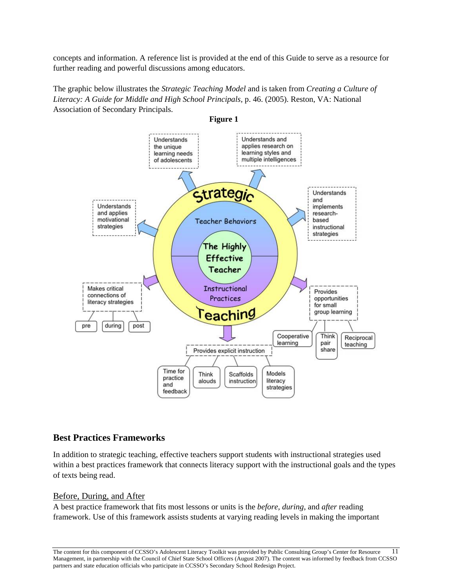<span id="page-12-0"></span>concepts and information. A reference list is provided at the end of this Guide to serve as a resource for further reading and powerful discussions among educators.

The graphic below illustrates the *Strategic Teaching Model* and is taken from *Creating a Culture of Literacy: A Guide for Middle and High School Principals,* p. 46. (2005). Reston, VA: National Association of Secondary Principals.



### **Best Practices Frameworks**

In addition to strategic teaching, effective teachers support students with instructional strategies used within a best practices framework that connects literacy support with the instructional goals and the types of texts being read.

#### Before, During, and After

A best practice framework that fits most lessons or units is the *before, during*, and *after* reading framework. Use of this framework assists students at varying reading levels in making the important

The content for this component of CCSSO's Adolescent Literacy Toolkit was provided by Public Consulting Group's Center for Resource Management, in partnership with the Council of Chief State School Officers (August 2007). The content was informed by feedback from CCSSO partners and state education officials who participate in CCSSO's Secondary School Redesign Project. 11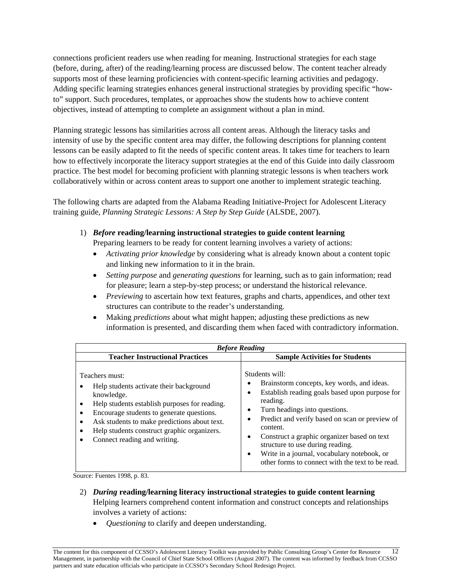connections proficient readers use when reading for meaning. Instructional strategies for each stage (before, during, after) of the reading/learning process are discussed below. The content teacher already supports most of these learning proficiencies with content-specific learning activities and pedagogy. Adding specific learning strategies enhances general instructional strategies by providing specific "howto" support. Such procedures, templates, or approaches show the students how to achieve content objectives, instead of attempting to complete an assignment without a plan in mind.

Planning strategic lessons has similarities across all content areas. Although the literacy tasks and intensity of use by the specific content area may differ, the following descriptions for planning content lessons can be easily adapted to fit the needs of specific content areas. It takes time for teachers to learn how to effectively incorporate the literacy support strategies at the end of this Guide into daily classroom practice. The best model for becoming proficient with planning strategic lessons is when teachers work collaboratively within or across content areas to support one another to implement strategic teaching.

The following charts are adapted from the Alabama Reading Initiative-Project for Adolescent Literacy training guide, *Planning Strategic Lessons: A Step by Step Guide* (ALSDE, 2007)*.* 

1) *Before* **reading/learning instructional strategies to guide content learning** 

Preparing learners to be ready for content learning involves a variety of actions:

- *Activating prior knowledge* by considering what is already known about a content topic and linking new information to it in the brain.
- *Setting purpose* and *generating questions* for learning, such as to gain information; read for pleasure; learn a step-by-step process; or understand the historical relevance.
- *Previewing* to ascertain how text features, graphs and charts, appendices, and other text structures can contribute to the reader's understanding.
- Making *predictions* about what might happen; adjusting these predictions as new information is presented, and discarding them when faced with contradictory information.

| <b>Before Reading</b>                                                                                                                                                                                                                                                                                               |                                                                                                                                                                                                                                                                                                                                                                                                                                             |  |  |  |  |
|---------------------------------------------------------------------------------------------------------------------------------------------------------------------------------------------------------------------------------------------------------------------------------------------------------------------|---------------------------------------------------------------------------------------------------------------------------------------------------------------------------------------------------------------------------------------------------------------------------------------------------------------------------------------------------------------------------------------------------------------------------------------------|--|--|--|--|
| <b>Teacher Instructional Practices</b>                                                                                                                                                                                                                                                                              | <b>Sample Activities for Students</b>                                                                                                                                                                                                                                                                                                                                                                                                       |  |  |  |  |
| Teachers must:<br>Help students activate their background<br>knowledge.<br>Help students establish purposes for reading.<br>٠<br>Encourage students to generate questions.<br>٠<br>Ask students to make predictions about text.<br>٠<br>Help students construct graphic organizers.<br>Connect reading and writing. | Students will:<br>Brainstorm concepts, key words, and ideas.<br>Establish reading goals based upon purpose for<br>٠<br>reading.<br>Turn headings into questions.<br>٠<br>Predict and verify based on scan or preview of<br>content.<br>Construct a graphic organizer based on text<br>٠<br>structure to use during reading.<br>Write in a journal, vocabulary notebook, or<br>$\bullet$<br>other forms to connect with the text to be read. |  |  |  |  |

Source: Fuentes 1998, p. 83.

- 2) *During* **reading/learning literacy instructional strategies to guide content learning**  Helping learners comprehend content information and construct concepts and relationships involves a variety of actions:
	- *Questioning* to clarify and deepen understanding.

The content for this component of CCSSO's Adolescent Literacy Toolkit was provided by Public Consulting Group's Center for Resource Management, in partnership with the Council of Chief State School Officers (August 2007). The content was informed by feedback from CCSSO partners and state education officials who participate in CCSSO's Secondary School Redesign Project.  $12$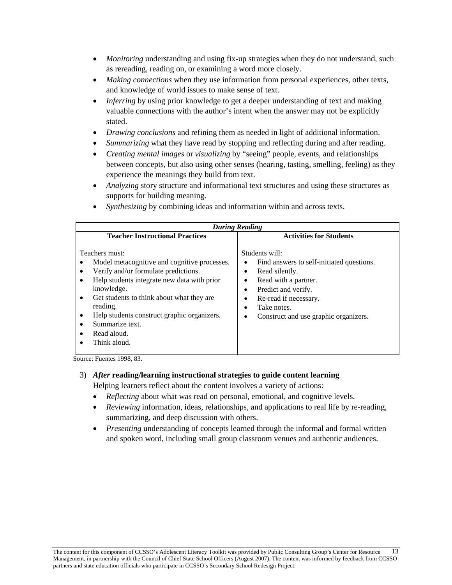- *Monitoring* understanding and using fix-up strategies when they do not understand, such as rereading, reading on, or examining a word more closely.
- *Making connections* when they use information from personal experiences, other texts, and knowledge of world issues to make sense of text.
- *Inferring* by using prior knowledge to get a deeper understanding of text and making valuable connections with the author's intent when the answer may not be explicitly stated.
- *Drawing conclusions* and refining them as needed in light of additional information.
- *Summarizing* what they have read by stopping and reflecting during and after reading.
- *Creating mental images* or *visualizing* by "seeing" people, events, and relationships between concepts, but also using other senses (hearing, tasting, smelling, feeling) as they experience the meanings they build from text.
- *Analyzing* story structure and informational text structures and using these structures as supports for building meaning.

| <b>Activities for Students</b><br><b>Teacher Instructional Practices</b><br>Students will:<br>Teachers must:<br>Model metacognitive and cognitive processes.<br>Find answers to self-initiated questions.<br>٠<br>Verify and/or formulate predictions.<br>Read silently.<br>٠<br>٠<br>Help students integrate new data with prior<br>Read with a partner.<br>٠<br>knowledge.<br>Predict and verify.<br>Get students to think about what they are<br>Re-read if necessary.<br>٠<br>reading.<br>Take notes.<br>Help students construct graphic organizers.<br>٠<br>Construct and use graphic organizers.<br>Summarize text.<br>Read aloud.<br>$\bullet$<br>Think aloud. | <b>During Reading</b> |  |  |  |  |
|-----------------------------------------------------------------------------------------------------------------------------------------------------------------------------------------------------------------------------------------------------------------------------------------------------------------------------------------------------------------------------------------------------------------------------------------------------------------------------------------------------------------------------------------------------------------------------------------------------------------------------------------------------------------------|-----------------------|--|--|--|--|
|                                                                                                                                                                                                                                                                                                                                                                                                                                                                                                                                                                                                                                                                       |                       |  |  |  |  |
|                                                                                                                                                                                                                                                                                                                                                                                                                                                                                                                                                                                                                                                                       |                       |  |  |  |  |

• *Synthesizing* by combining ideas and information within and across texts.

Source: Fuentes 1998, 83.

### 3) *After* **reading/learning instructional strategies to guide content learning**

Helping learners reflect about the content involves a variety of actions:

- *Reflecting* about what was read on personal, emotional, and cognitive levels.
- *Reviewing* information, ideas, relationships, and applications to real life by re-reading, summarizing, and deep discussion with others.
- *Presenting* understanding of concepts learned through the informal and formal written and spoken word, including small group classroom venues and authentic audiences.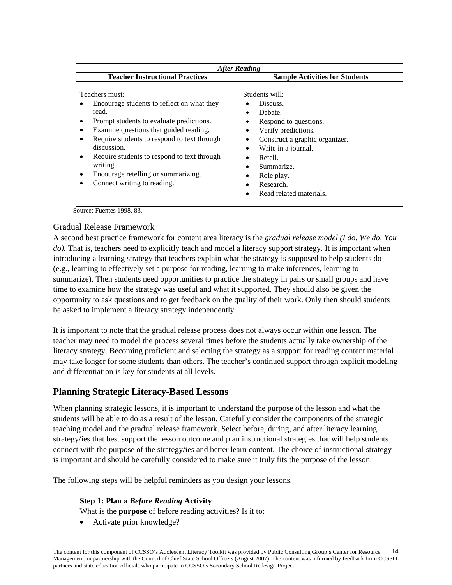<span id="page-15-0"></span>

| <b>After Reading</b>                                                                                                                                                                                                                                                                                                                                                                |                                                                                                                                                                                                                                                                       |  |  |  |  |
|-------------------------------------------------------------------------------------------------------------------------------------------------------------------------------------------------------------------------------------------------------------------------------------------------------------------------------------------------------------------------------------|-----------------------------------------------------------------------------------------------------------------------------------------------------------------------------------------------------------------------------------------------------------------------|--|--|--|--|
| <b>Teacher Instructional Practices</b>                                                                                                                                                                                                                                                                                                                                              | <b>Sample Activities for Students</b>                                                                                                                                                                                                                                 |  |  |  |  |
| Teachers must:<br>Encourage students to reflect on what they<br>٠<br>read.<br>Prompt students to evaluate predictions.<br>Examine questions that guided reading.<br>٠<br>Require students to respond to text through<br>discussion.<br>Require students to respond to text through<br>٠<br>writing.<br>Encourage retelling or summarizing.<br>٠<br>Connect writing to reading.<br>٠ | Students will:<br>Discuss.<br>Debate.<br>Respond to questions.<br>٠<br>Verify predictions.<br>٠<br>Construct a graphic organizer.<br>٠<br>Write in a journal.<br>٠<br>Retell.<br>٠<br>Summarize.<br>٠<br>Role play.<br>٠<br>Research.<br>Read related materials.<br>٠ |  |  |  |  |

Source: Fuentes 1998, 83.

### Gradual Release Framework

A second best practice framework for content area literacy is the *gradual release model (I do, We do, You do)*. That is, teachers need to explicitly teach and model a literacy support strategy. It is important when introducing a learning strategy that teachers explain what the strategy is supposed to help students do (e.g., learning to effectively set a purpose for reading, learning to make inferences, learning to summarize). Then students need opportunities to practice the strategy in pairs or small groups and have time to examine how the strategy was useful and what it supported. They should also be given the opportunity to ask questions and to get feedback on the quality of their work. Only then should students be asked to implement a literacy strategy independently.

It is important to note that the gradual release process does not always occur within one lesson. The teacher may need to model the process several times before the students actually take ownership of the literacy strategy. Becoming proficient and selecting the strategy as a support for reading content material may take longer for some students than others. The teacher's continued support through explicit modeling and differentiation is key for students at all levels.

### **Planning Strategic Literacy-Based Lessons**

When planning strategic lessons, it is important to understand the purpose of the lesson and what the students will be able to do as a result of the lesson. Carefully consider the components of the strategic teaching model and the gradual release framework. Select before, during, and after literacy learning strategy/ies that best support the lesson outcome and plan instructional strategies that will help students connect with the purpose of the strategy/ies and better learn content. The choice of instructional strategy is important and should be carefully considered to make sure it truly fits the purpose of the lesson.

The following steps will be helpful reminders as you design your lessons.

### **Step 1: Plan a** *Before Reading* **Activity**

What is the **purpose** of before reading activities? Is it to:

• Activate prior knowledge?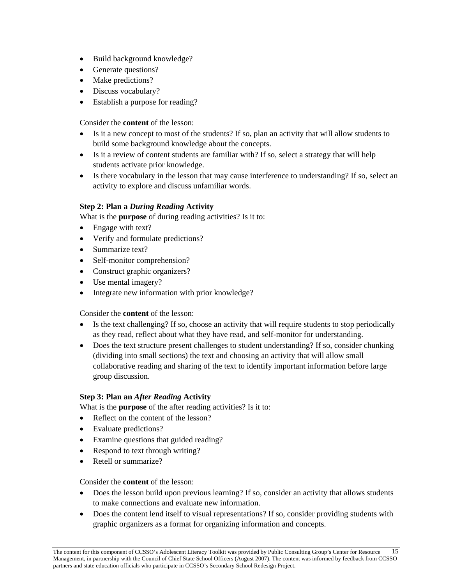- Build background knowledge?
- Generate questions?
- Make predictions?
- Discuss vocabulary?
- Establish a purpose for reading?

Consider the **content** of the lesson:

- Is it a new concept to most of the students? If so, plan an activity that will allow students to build some background knowledge about the concepts.
- Is it a review of content students are familiar with? If so, select a strategy that will help students activate prior knowledge.
- Is there vocabulary in the lesson that may cause interference to understanding? If so, select an activity to explore and discuss unfamiliar words.

### **Step 2: Plan a** *During Reading* **Activity**

What is the **purpose** of during reading activities? Is it to:

- Engage with text?
- Verify and formulate predictions?
- Summarize text?
- Self-monitor comprehension?
- Construct graphic organizers?
- Use mental imagery?
- Integrate new information with prior knowledge?

Consider the **content** of the lesson:

- Is the text challenging? If so, choose an activity that will require students to stop periodically as they read, reflect about what they have read, and self-monitor for understanding.
- Does the text structure present challenges to student understanding? If so, consider chunking (dividing into small sections) the text and choosing an activity that will allow small collaborative reading and sharing of the text to identify important information before large group discussion.

#### **Step 3: Plan an** *After Reading* **Activity**

What is the **purpose** of the after reading activities? Is it to:

- Reflect on the content of the lesson?
- Evaluate predictions?
- Examine questions that guided reading?
- Respond to text through writing?
- Retell or summarize?

Consider the **content** of the lesson:

- Does the lesson build upon previous learning? If so, consider an activity that allows students to make connections and evaluate new information.
- Does the content lend itself to visual representations? If so, consider providing students with graphic organizers as a format for organizing information and concepts.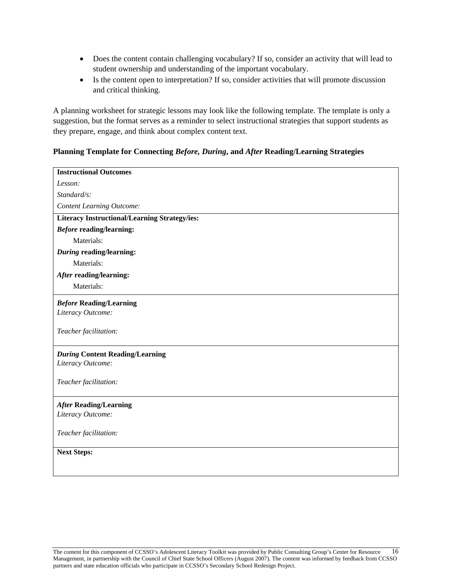- Does the content contain challenging vocabulary? If so, consider an activity that will lead to student ownership and understanding of the important vocabulary.
- Is the content open to interpretation? If so, consider activities that will promote discussion and critical thinking.

A planning worksheet for strategic lessons may look like the following template. The template is only a suggestion, but the format serves as a reminder to select instructional strategies that support students as they prepare, engage, and think about complex content text.

#### **Planning Template for Connecting** *Before, During***, and** *After* **Reading/Learning Strategies**

| <b>Instructional Outcomes</b>                        |
|------------------------------------------------------|
| Lesson:                                              |
| Standard/s:                                          |
| <b>Content Learning Outcome:</b>                     |
| <b>Literacy Instructional/Learning Strategy/ies:</b> |
| <b>Before reading/learning:</b>                      |
| Materials:                                           |
| During reading/learning:                             |
| Materials:                                           |
| After reading/learning:                              |
| Materials:                                           |
| <b>Before Reading/Learning</b>                       |
| Literacy Outcome:                                    |
| Teacher facilitation:                                |
| <b>During Content Reading/Learning</b>               |
| Literacy Outcome:                                    |
|                                                      |
| Teacher facilitation:                                |
| <b>After Reading/Learning</b>                        |
| Literacy Outcome:                                    |
| Teacher facilitation:                                |
| <b>Next Steps:</b>                                   |
|                                                      |
|                                                      |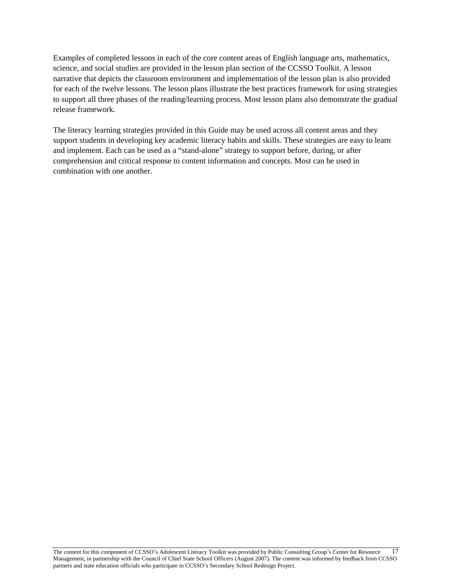Examples of completed lessons in each of the core content areas of English language arts, mathematics, science, and social studies are provided in the lesson plan section of the CCSSO Toolkit. A lesson narrative that depicts the classroom environment and implementation of the lesson plan is also provided for each of the twelve lessons. The lesson plans illustrate the best practices framework for using strategies to support all three phases of the reading/learning process. Most lesson plans also demonstrate the gradual release framework.

The literacy learning strategies provided in this Guide may be used across all content areas and they support students in developing key academic literacy habits and skills. These strategies are easy to learn and implement. Each can be used as a "stand-alone" strategy to support before, during, or after comprehension and critical response to content information and concepts. Most can be used in combination with one another.

The content for this component of CCSSO's Adolescent Literacy Toolkit was provided by Public Consulting Group's Center for Resource Management, in partnership with the Council of Chief State School Officers (August 2007). The content was informed by feedback from CCSSO partners and state education officials who participate in CCSSO's Secondary School Redesign Project. 17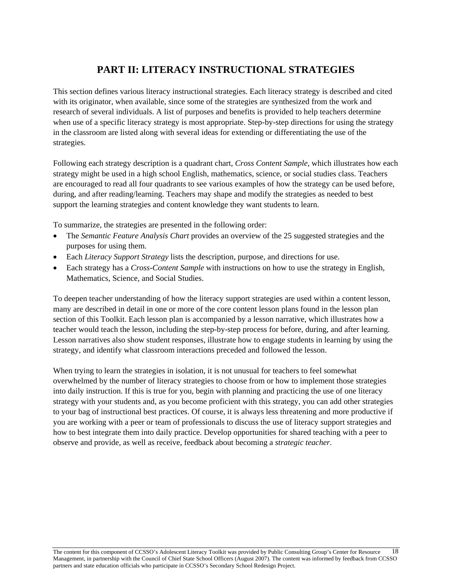# **PART II: LITERACY INSTRUCTIONAL STRATEGIES**

<span id="page-19-0"></span>This section defines various literacy instructional strategies. Each literacy strategy is described and cited with its originator, when available, since some of the strategies are synthesized from the work and research of several individuals. A list of purposes and benefits is provided to help teachers determine when use of a specific literacy strategy is most appropriate. Step-by-step directions for using the strategy in the classroom are listed along with several ideas for extending or differentiating the use of the strategies.

Following each strategy description is a quadrant chart, *Cross Content Sample*, which illustrates how each strategy might be used in a high school English, mathematics, science, or social studies class. Teachers are encouraged to read all four quadrants to see various examples of how the strategy can be used before, during, and after reading/learning. Teachers may shape and modify the strategies as needed to best support the learning strategies and content knowledge they want students to learn.

To summarize, the strategies are presented in the following order:

- The *Semantic Feature Analysis Chart* provides an overview of the 25 suggested strategies and the purposes for using them.
- Each *Literacy Support Strategy* lists the description, purpose, and directions for use.
- Each strategy has a *Cross-Content Sample* with instructions on how to use the strategy in English, Mathematics, Science, and Social Studies.

To deepen teacher understanding of how the literacy support strategies are used within a content lesson, many are described in detail in one or more of the core content lesson plans found in the lesson plan section of this Toolkit. Each lesson plan is accompanied by a lesson narrative, which illustrates how a teacher would teach the lesson, including the step-by-step process for before, during, and after learning. Lesson narratives also show student responses, illustrate how to engage students in learning by using the strategy, and identify what classroom interactions preceded and followed the lesson.

When trying to learn the strategies in isolation, it is not unusual for teachers to feel somewhat overwhelmed by the number of literacy strategies to choose from or how to implement those strategies into daily instruction. If this is true for you, begin with planning and practicing the use of one literacy strategy with your students and, as you become proficient with this strategy, you can add other strategies to your bag of instructional best practices. Of course, it is always less threatening and more productive if you are working with a peer or team of professionals to discuss the use of literacy support strategies and how to best integrate them into daily practice. Develop opportunities for shared teaching with a peer to observe and provide, as well as receive, feedback about becoming a *strategic teacher.*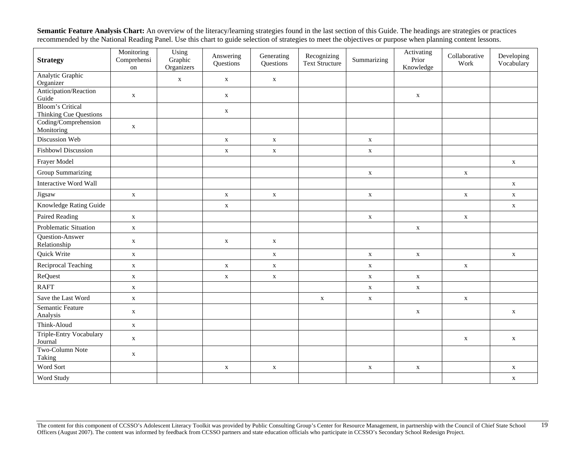Semantic Feature Analysis Chart: An overview of the literacy/learning strategies found in the last section of this Guide. The headings are strategies or practices recommended by the National Reading Panel. Use this chart to guide selection of strategies to meet the objectives or purpose when planning content lessons.

| <b>Strategy</b>                                          | Monitoring<br>Comprehensi<br>on | Using<br>Graphic<br>Organizers | Answering<br>Questions | Generating<br>Questions | Recognizing<br><b>Text Structure</b> | Summarizing | Activating<br>Prior<br>Knowledge | Collaborative<br>Work | Developing<br>Vocabulary |
|----------------------------------------------------------|---------------------------------|--------------------------------|------------------------|-------------------------|--------------------------------------|-------------|----------------------------------|-----------------------|--------------------------|
| Analytic Graphic                                         |                                 | $\mathbf{X}$                   | $\mathbf X$            | $\mathbf{X}$            |                                      |             |                                  |                       |                          |
| Organizer                                                |                                 |                                |                        |                         |                                      |             |                                  |                       |                          |
| Anticipation/Reaction<br>Guide                           | $\mathbf X$                     |                                | $\mathbf{X}$           |                         |                                      |             | $\mathbf X$                      |                       |                          |
| <b>Bloom's Critical</b><br><b>Thinking Cue Questions</b> |                                 |                                | $\mathbf{X}$           |                         |                                      |             |                                  |                       |                          |
| Coding/Comprehension<br>Monitoring                       | $\mathbf X$                     |                                |                        |                         |                                      |             |                                  |                       |                          |
| Discussion Web                                           |                                 |                                | $\mathbf X$            | $\mathbf X$             |                                      | $\mathbf X$ |                                  |                       |                          |
| <b>Fishbowl Discussion</b>                               |                                 |                                | $\mathbf X$            | $\mathbf X$             |                                      | $\mathbf X$ |                                  |                       |                          |
| Frayer Model                                             |                                 |                                |                        |                         |                                      |             |                                  |                       | $\mathbf X$              |
| <b>Group Summarizing</b>                                 |                                 |                                |                        |                         |                                      | $\mathbf X$ |                                  | $\mathbf X$           |                          |
| Interactive Word Wall                                    |                                 |                                |                        |                         |                                      |             |                                  |                       | $\mathbf X$              |
| Jigsaw                                                   | $\mathbf X$                     |                                | $\mathbf X$            | $\mathbf X$             |                                      | $\mathbf X$ |                                  | $\mathbf X$           | $\mathbf X$              |
| Knowledge Rating Guide                                   |                                 |                                | $\mathbf X$            |                         |                                      |             |                                  |                       | $\mathbf X$              |
| <b>Paired Reading</b>                                    | $\mathbf X$                     |                                |                        |                         |                                      | $\mathbf X$ |                                  | $\mathbf X$           |                          |
| Problematic Situation                                    | $\mathbf X$                     |                                |                        |                         |                                      |             | $\mathbf X$                      |                       |                          |
| Question-Answer<br>Relationship                          | $\mathbf X$                     |                                | $\mathbf{X}$           | $\mathbf{X}$            |                                      |             |                                  |                       |                          |
| Quick Write                                              | $\mathbf X$                     |                                |                        | $\mathbf{X}$            |                                      | $\mathbf X$ | $\mathbf X$                      |                       | $\mathbf X$              |
| Reciprocal Teaching                                      | $\mathbf X$                     |                                | $\mathbf X$            | $\mathbf X$             |                                      | $\mathbf X$ |                                  | $\mathbf X$           |                          |
| ReQuest                                                  | $\mathbf X$                     |                                | $\mathbf X$            | $\mathbf X$             |                                      | $\mathbf X$ | $\mathbf{X}$                     |                       |                          |
| <b>RAFT</b>                                              | $\mathbf{X}$                    |                                |                        |                         |                                      | $\mathbf X$ | $\mathbf X$                      |                       |                          |
| Save the Last Word                                       | $\mathbf X$                     |                                |                        |                         | $\mathbf X$                          | $\mathbf X$ |                                  | $\mathbf X$           |                          |
| <b>Semantic Feature</b><br>Analysis                      | $\mathbf X$                     |                                |                        |                         |                                      |             | $\mathbf X$                      |                       | $\mathbf X$              |
| Think-Aloud                                              | $\mathbf X$                     |                                |                        |                         |                                      |             |                                  |                       |                          |
| <b>Triple-Entry Vocabulary</b><br>Journal                | $\mathbf X$                     |                                |                        |                         |                                      |             |                                  | $\mathbf X$           | $\mathbf X$              |
| Two-Column Note<br>Taking                                | $\mathbf X$                     |                                |                        |                         |                                      |             |                                  |                       |                          |
| Word Sort                                                |                                 |                                | $\mathbf X$            | $\mathbf X$             |                                      | $\mathbf X$ | $\mathbf X$                      |                       | $\mathbf X$              |
| Word Study                                               |                                 |                                |                        |                         |                                      |             |                                  |                       | $\mathbf X$              |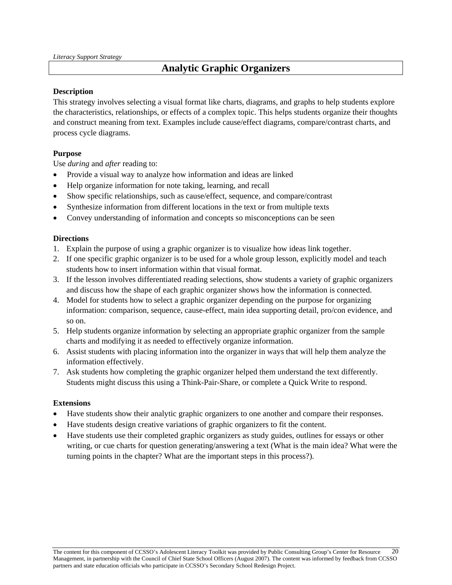## **Analytic Graphic Organizers**

#### **Description**

This strategy involves selecting a visual format like charts, diagrams, and graphs to help students explore the characteristics, relationships, or effects of a complex topic. This helps students organize their thoughts and construct meaning from text. Examples include cause/effect diagrams, compare/contrast charts, and process cycle diagrams.

#### **Purpose**

Use *during* and *after* reading to:

- Provide a visual way to analyze how information and ideas are linked
- Help organize information for note taking, learning, and recall
- Show specific relationships, such as cause/effect, sequence, and compare/contrast
- Synthesize information from different locations in the text or from multiple texts
- Convey understanding of information and concepts so misconceptions can be seen

#### **Directions**

- 1. Explain the purpose of using a graphic organizer is to visualize how ideas link together.
- 2. If one specific graphic organizer is to be used for a whole group lesson, explicitly model and teach students how to insert information within that visual format.
- 3. If the lesson involves differentiated reading selections, show students a variety of graphic organizers and discuss how the shape of each graphic organizer shows how the information is connected.
- 4. Model for students how to select a graphic organizer depending on the purpose for organizing information: comparison, sequence, cause-effect, main idea supporting detail, pro/con evidence, and so on.
- 5. Help students organize information by selecting an appropriate graphic organizer from the sample charts and modifying it as needed to effectively organize information.
- 6. Assist students with placing information into the organizer in ways that will help them analyze the information effectively.
- 7. Ask students how completing the graphic organizer helped them understand the text differently. Students might discuss this using a Think-Pair-Share, or complete a Quick Write to respond.

#### **Extensions**

- Have students show their analytic graphic organizers to one another and compare their responses.
- Have students design creative variations of graphic organizers to fit the content.
- Have students use their completed graphic organizers as study guides, outlines for essays or other writing, or cue charts for question generating/answering a text (What is the main idea? What were the turning points in the chapter? What are the important steps in this process?).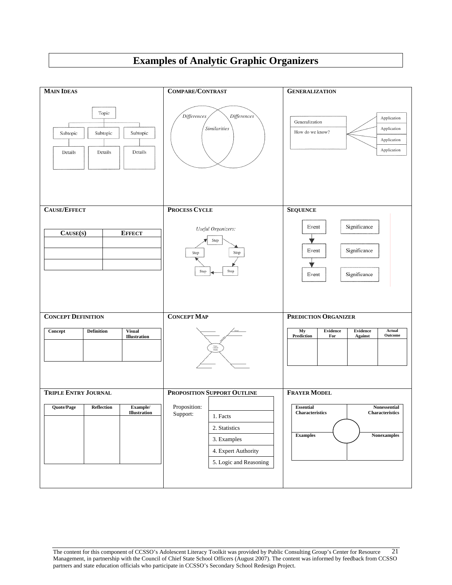# **Examples of Analytic Graphic Organizers**



The content for this component of CCSSO's Adolescent Literacy Toolkit was provided by Public Consulting Group's Center for Resource Management, in partnership with the Council of Chief State School Officers (August 2007). The content was informed by feedback from CCSSO partners and state education officials who participate in CCSSO's Secondary School Redesign Project. 21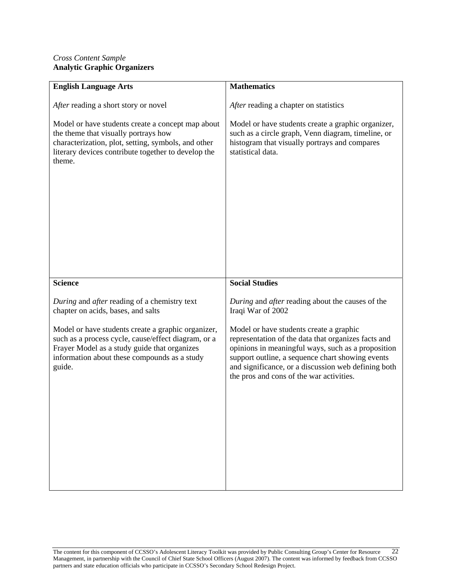| <b>English Language Arts</b>                                                                                                                                                                                                                                                                              | <b>Mathematics</b>                                                                                                                                                                                                                                                                                                                                                                   |
|-----------------------------------------------------------------------------------------------------------------------------------------------------------------------------------------------------------------------------------------------------------------------------------------------------------|--------------------------------------------------------------------------------------------------------------------------------------------------------------------------------------------------------------------------------------------------------------------------------------------------------------------------------------------------------------------------------------|
| After reading a short story or novel                                                                                                                                                                                                                                                                      | After reading a chapter on statistics                                                                                                                                                                                                                                                                                                                                                |
| Model or have students create a concept map about<br>the theme that visually portrays how<br>characterization, plot, setting, symbols, and other<br>literary devices contribute together to develop the<br>theme.                                                                                         | Model or have students create a graphic organizer,<br>such as a circle graph, Venn diagram, timeline, or<br>histogram that visually portrays and compares<br>statistical data.                                                                                                                                                                                                       |
| <b>Science</b>                                                                                                                                                                                                                                                                                            | <b>Social Studies</b>                                                                                                                                                                                                                                                                                                                                                                |
| During and after reading of a chemistry text<br>chapter on acids, bases, and salts<br>Model or have students create a graphic organizer,<br>such as a process cycle, cause/effect diagram, or a<br>Frayer Model as a study guide that organizes<br>information about these compounds as a study<br>guide. | During and after reading about the causes of the<br>Iraqi War of 2002<br>Model or have students create a graphic<br>representation of the data that organizes facts and<br>opinions in meaningful ways, such as a proposition<br>support outline, a sequence chart showing events<br>and significance, or a discussion web defining both<br>the pros and cons of the war activities. |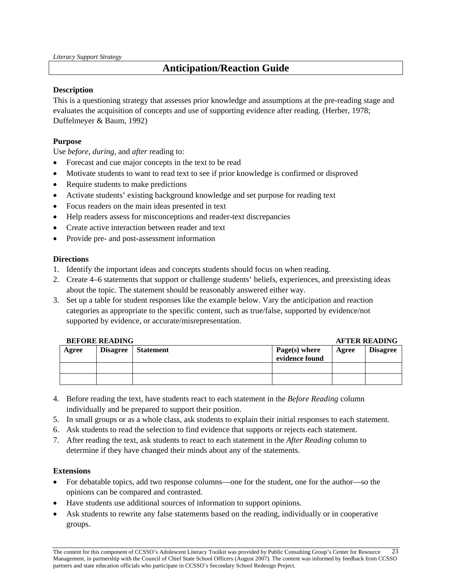# **Anticipation/Reaction Guide**

#### **Description**

This is a questioning strategy that assesses prior knowledge and assumptions at the pre-reading stage and evaluates the acquisition of concepts and use of supporting evidence after reading. (Herber, 1978; Duffelmeyer & Baum, 1992)

#### **Purpose**

Use *before*, *during*, and *after* reading to:

- Forecast and cue major concepts in the text to be read
- Motivate students to want to read text to see if prior knowledge is confirmed or disproved
- Require students to make predictions
- Activate students' existing background knowledge and set purpose for reading text
- Focus readers on the main ideas presented in text
- Help readers assess for misconceptions and reader-text discrepancies
- Create active interaction between reader and text
- Provide pre- and post-assessment information

#### **Directions**

- 1. Identify the important ideas and concepts students should focus on when reading.
- 2. Create 4–6 statements that support or challenge students' beliefs, experiences, and preexisting ideas about the topic. The statement should be reasonably answered either way.
- 3. Set up a table for student responses like the example below. Vary the anticipation and reaction categories as appropriate to the specific content, such as true/false, supported by evidence/not supported by evidence, or accurate/misrepresentation.

|       | <b>BEFORE READING</b> |                  |                                   |       | <b>AFTER READING</b> |
|-------|-----------------------|------------------|-----------------------------------|-------|----------------------|
| Agree | <b>Disagree</b>       | <b>Statement</b> | $Page(s)$ where<br>evidence found | Agree | <b>Disagree</b>      |
|       |                       |                  |                                   |       |                      |
|       |                       |                  |                                   |       |                      |

- 4. Before reading the text, have students react to each statement in the *Before Reading* column individually and be prepared to support their position.
- 5. In small groups or as a whole class, ask students to explain their initial responses to each statement.
- 6. Ask students to read the selection to find evidence that supports or rejects each statement.
- 7. After reading the text, ask students to react to each statement in the *After Reading* column to determine if they have changed their minds about any of the statements.

#### **Extensions**

- For debatable topics, add two response columns—one for the student, one for the author—so the opinions can be compared and contrasted.
- Have students use additional sources of information to support opinions.
- Ask students to rewrite any false statements based on the reading, individually or in cooperative groups.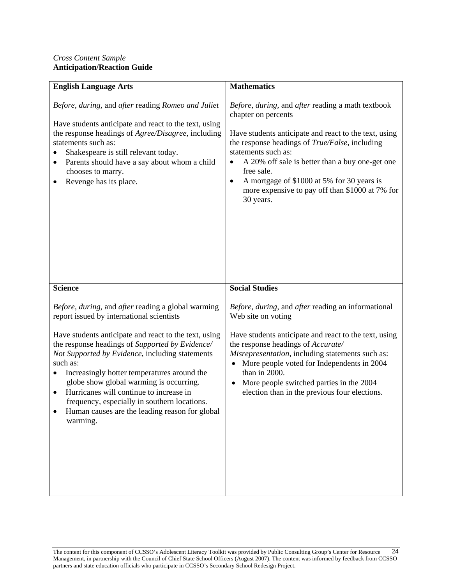| <b>English Language Arts</b>                                                                                                                                                                                                                                                                                                                                                                                                                                                                                                  | <b>Mathematics</b>                                                                                                                                                                                                                                                                                                                                                                                             |
|-------------------------------------------------------------------------------------------------------------------------------------------------------------------------------------------------------------------------------------------------------------------------------------------------------------------------------------------------------------------------------------------------------------------------------------------------------------------------------------------------------------------------------|----------------------------------------------------------------------------------------------------------------------------------------------------------------------------------------------------------------------------------------------------------------------------------------------------------------------------------------------------------------------------------------------------------------|
| Before, during, and after reading Romeo and Juliet<br>Have students anticipate and react to the text, using<br>the response headings of Agree/Disagree, including<br>statements such as:<br>Shakespeare is still relevant today.<br>Parents should have a say about whom a child<br>٠<br>chooses to marry.<br>Revenge has its place.                                                                                                                                                                                          | Before, during, and after reading a math textbook<br>chapter on percents<br>Have students anticipate and react to the text, using<br>the response headings of <i>True/False</i> , including<br>statements such as:<br>A 20% off sale is better than a buy one-get one<br>free sale.<br>A mortgage of \$1000 at 5% for 30 years is<br>$\bullet$<br>more expensive to pay off than \$1000 at 7% for<br>30 years. |
| <b>Science</b>                                                                                                                                                                                                                                                                                                                                                                                                                                                                                                                | <b>Social Studies</b>                                                                                                                                                                                                                                                                                                                                                                                          |
| Before, during, and after reading a global warming<br>report issued by international scientists<br>Have students anticipate and react to the text, using<br>the response headings of Supported by Evidence/<br>Not Supported by Evidence, including statements<br>such as:<br>Increasingly hotter temperatures around the<br>globe show global warming is occurring.<br>Hurricanes will continue to increase in<br>frequency, especially in southern locations.<br>Human causes are the leading reason for global<br>warming. | Before, during, and after reading an informational<br>Web site on voting<br>Have students anticipate and react to the text, using<br>the response headings of Accurate/<br>Misrepresentation, including statements such as:<br>More people voted for Independents in 2004<br>than in 2000.<br>More people switched parties in the 2004<br>election than in the previous four elections.                        |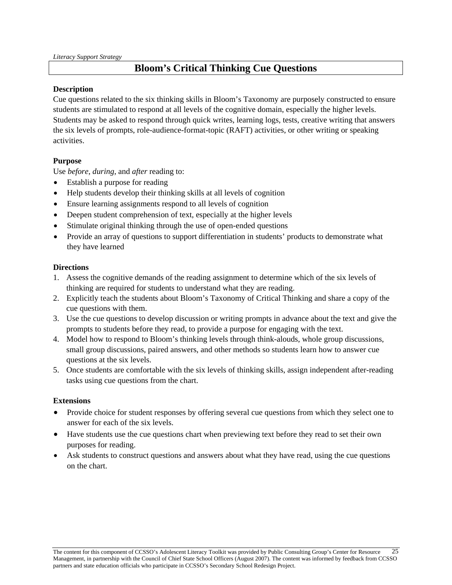# **Bloom's Critical Thinking Cue Questions**

#### **Description**

Cue questions related to the six thinking skills in Bloom's Taxonomy are purposely constructed to ensure students are stimulated to respond at all levels of the cognitive domain, especially the higher levels. Students may be asked to respond through quick writes, learning logs, tests, creative writing that answers the six levels of prompts, role-audience-format-topic (RAFT) activities, or other writing or speaking activities.

#### **Purpose**

Use *before*, *during*, and *after* reading to:

- Establish a purpose for reading
- Help students develop their thinking skills at all levels of cognition
- Ensure learning assignments respond to all levels of cognition
- Deepen student comprehension of text, especially at the higher levels
- Stimulate original thinking through the use of open-ended questions
- Provide an array of questions to support differentiation in students' products to demonstrate what they have learned

#### **Directions**

- 1. Assess the cognitive demands of the reading assignment to determine which of the six levels of thinking are required for students to understand what they are reading.
- 2. Explicitly teach the students about Bloom's Taxonomy of Critical Thinking and share a copy of the cue questions with them.
- 3. Use the cue questions to develop discussion or writing prompts in advance about the text and give the prompts to students before they read, to provide a purpose for engaging with the text.
- 4. Model how to respond to Bloom's thinking levels through think-alouds, whole group discussions, small group discussions, paired answers, and other methods so students learn how to answer cue questions at the six levels.
- 5. Once students are comfortable with the six levels of thinking skills, assign independent after-reading tasks using cue questions from the chart.

#### **Extensions**

- Provide choice for student responses by offering several cue questions from which they select one to answer for each of the six levels.
- Have students use the cue questions chart when previewing text before they read to set their own purposes for reading.
- Ask students to construct questions and answers about what they have read, using the cue questions on the chart.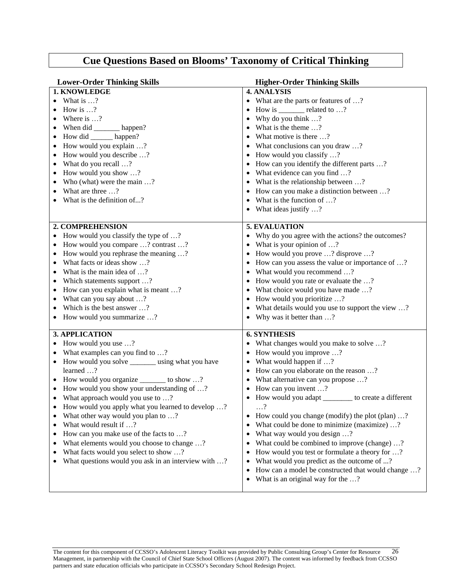| Cut Questions Dascu on Dioonis Traxonomy of Critical Thinking  |                                                           |
|----------------------------------------------------------------|-----------------------------------------------------------|
| <b>Lower-Order Thinking Skills</b>                             | <b>Higher-Order Thinking Skills</b>                       |
| 1. KNOWLEDGE                                                   | <b>4. ANALYSIS</b>                                        |
| What is $\dots$ ?<br>$\bullet$                                 | • What are the parts or features of ?                     |
| How is $\dots$ ?<br>$\bullet$                                  | $\bullet$ How is ________ related to ?                    |
| Where is ?<br>$\bullet$                                        | $\bullet$ Why do you think ?                              |
| When did _________ happen?<br>$\bullet$                        | $\bullet$ What is the theme ?                             |
| How did _______ happen?<br>$\bullet$                           | • What motive is there $\dots$ ?                          |
|                                                                |                                                           |
| How would you explain ?<br>$\bullet$                           | • What conclusions can you draw ?                         |
| How would you describe ?<br>$\bullet$                          | • How would you classify ?                                |
| What do you recall ?<br>$\bullet$                              | • How can you identify the different parts ?              |
| How would you show ?<br>$\bullet$                              | • What evidence can you find ?                            |
| Who (what) were the main ?<br>$\bullet$                        | • What is the relationship between ?                      |
| What are three ?<br>$\bullet$                                  | • How can you make a distinction between ?                |
| What is the definition of?                                     | • What is the function of $\dots$ ?                       |
|                                                                | $\bullet$ What ideas justify ?                            |
| 2. COMPREHENSION                                               | 5. EVALUATION                                             |
| How would you classify the type of ?                           | • Why do you agree with the actions? the outcomes?        |
| How would you compare ? contrast ?<br>$\bullet$                | • What is your opinion of $\dots$ ?                       |
| How would you rephrase the meaning ?<br>٠                      | How would you prove ? disprove ?                          |
| What facts or ideas show ?                                     | How can you assess the value or importance of ?           |
| What is the main idea of ?<br>$\bullet$                        | What would you recommend ?                                |
| Which statements support ?<br>٠                                | • How would you rate or evaluate the ?                    |
| How can you explain what is meant ?<br>$\bullet$               | • What choice would you have made ?                       |
| What can you say about ?<br>$\bullet$                          | • How would you prioritize ?                              |
| Which is the best answer ?<br>$\bullet$                        | • What details would you use to support the view ?        |
| How would you summarize ?<br>$\bullet$                         | • Why was it better than ?                                |
|                                                                |                                                           |
| <b>3. APPLICATION</b>                                          | <b>6. SYNTHESIS</b>                                       |
| How would you use ?<br>$\bullet$                               | • What changes would you make to solve ?                  |
| What examples can you find to ?<br>$\bullet$                   | How would you improve ?<br>$\bullet$                      |
| How would you solve ________ using what you have<br>$\bullet$  | What would happen if ?<br>$\bullet$                       |
| learned ?                                                      | • How can you elaborate on the reason ?                   |
| How would you organize _______ to show ?                       | What alternative can you propose ?<br>$\bullet$           |
| How would you show your understanding of ?<br>$\bullet$        | • How can you invent ?                                    |
| What approach would you use to ?                               | How would you adapt<br>to create a different<br>$\bullet$ |
| How would you apply what you learned to develop ?<br>$\bullet$ | $\ldots$ ?                                                |
| What other way would you plan to ?<br>$\bullet$                | How could you change (modify) the plot (plan) ?           |
| What would result if ?<br>٠                                    | What could be done to minimize (maximize) ?               |
| How can you make use of the facts to ?<br>٠                    | What way would you design ?                               |
| What elements would you choose to change ?<br>٠                | What could be combined to improve (change) ?<br>٠         |
| What facts would you select to show ?<br>٠                     | How would you test or formulate a theory for ?            |
| What questions would you ask in an interview with ?            | What would you predict as the outcome of ?                |
|                                                                | How can a model be constructed that would change ?        |
|                                                                | What is an original way for the ?                         |
|                                                                |                                                           |

# **Cue Questions Based on Blooms' Taxonomy of Critical Thinking**

The content for this component of CCSSO's Adolescent Literacy Toolkit was provided by Public Consulting Group's Center for Resource Management, in partnership with the Council of Chief State School Officers (August 2007). The content was informed by feedback from CCSSO partners and state education officials who participate in CCSSO's Secondary School Redesign Project. 26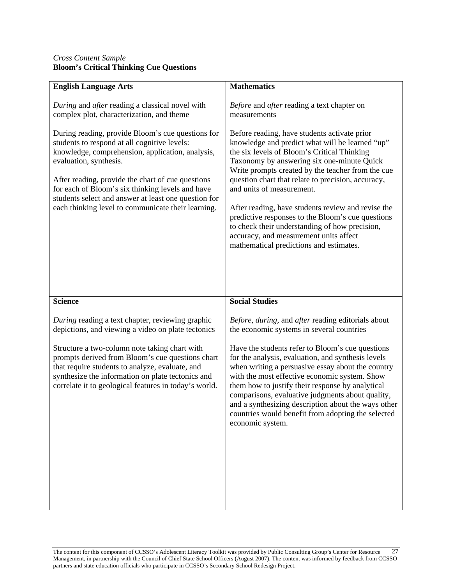#### *Cross Content Sample*  **Bloom's Critical Thinking Cue Questions**

| <b>English Language Arts</b>                                                                                                                                                                                                                                       | <b>Mathematics</b>                                                                                                                                                                                                                                                                                                                                                                                                                                    |  |  |  |
|--------------------------------------------------------------------------------------------------------------------------------------------------------------------------------------------------------------------------------------------------------------------|-------------------------------------------------------------------------------------------------------------------------------------------------------------------------------------------------------------------------------------------------------------------------------------------------------------------------------------------------------------------------------------------------------------------------------------------------------|--|--|--|
| During and after reading a classical novel with<br>complex plot, characterization, and theme                                                                                                                                                                       | Before and after reading a text chapter on<br>measurements                                                                                                                                                                                                                                                                                                                                                                                            |  |  |  |
| During reading, provide Bloom's cue questions for<br>students to respond at all cognitive levels:<br>knowledge, comprehension, application, analysis,<br>evaluation, synthesis.                                                                                    | Before reading, have students activate prior<br>knowledge and predict what will be learned "up"<br>the six levels of Bloom's Critical Thinking<br>Taxonomy by answering six one-minute Quick<br>Write prompts created by the teacher from the cue                                                                                                                                                                                                     |  |  |  |
| After reading, provide the chart of cue questions<br>for each of Bloom's six thinking levels and have<br>students select and answer at least one question for                                                                                                      | question chart that relate to precision, accuracy,<br>and units of measurement.                                                                                                                                                                                                                                                                                                                                                                       |  |  |  |
| each thinking level to communicate their learning.                                                                                                                                                                                                                 | After reading, have students review and revise the<br>predictive responses to the Bloom's cue questions<br>to check their understanding of how precision,<br>accuracy, and measurement units affect<br>mathematical predictions and estimates.                                                                                                                                                                                                        |  |  |  |
|                                                                                                                                                                                                                                                                    |                                                                                                                                                                                                                                                                                                                                                                                                                                                       |  |  |  |
| <b>Science</b>                                                                                                                                                                                                                                                     | <b>Social Studies</b>                                                                                                                                                                                                                                                                                                                                                                                                                                 |  |  |  |
| During reading a text chapter, reviewing graphic<br>depictions, and viewing a video on plate tectonics                                                                                                                                                             | Before, during, and after reading editorials about<br>the economic systems in several countries                                                                                                                                                                                                                                                                                                                                                       |  |  |  |
| Structure a two-column note taking chart with<br>prompts derived from Bloom's cue questions chart<br>that require students to analyze, evaluate, and<br>synthesize the information on plate tectonics and<br>correlate it to geological features in today's world. | Have the students refer to Bloom's cue questions<br>for the analysis, evaluation, and synthesis levels<br>when writing a persuasive essay about the country<br>with the most effective economic system. Show<br>them how to justify their response by analytical<br>comparisons, evaluative judgments about quality,<br>and a synthesizing description about the ways other<br>countries would benefit from adopting the selected<br>economic system. |  |  |  |
|                                                                                                                                                                                                                                                                    |                                                                                                                                                                                                                                                                                                                                                                                                                                                       |  |  |  |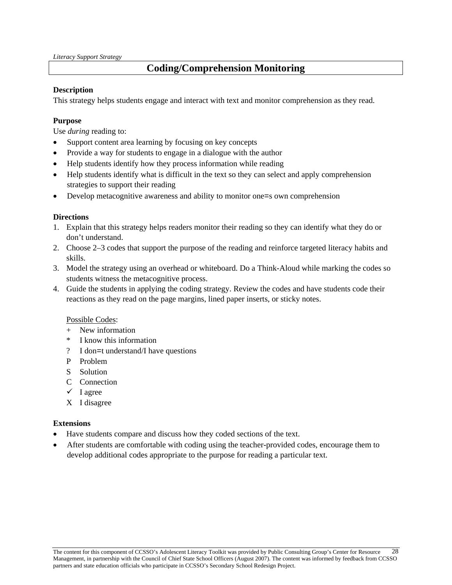# **Coding/Comprehension Monitoring**

#### **Description**

This strategy helps students engage and interact with text and monitor comprehension as they read.

#### **Purpose**

Use *during* reading to:

- Support content area learning by focusing on key concepts
- Provide a way for students to engage in a dialogue with the author
- Help students identify how they process information while reading
- Help students identify what is difficult in the text so they can select and apply comprehension strategies to support their reading
- Develop metacognitive awareness and ability to monitor one s own comprehension

#### **Directions**

- 1. Explain that this strategy helps readers monitor their reading so they can identify what they do or don't understand.
- 2. Choose 2–3 codes that support the purpose of the reading and reinforce targeted literacy habits and skills.
- 3. Model the strategy using an overhead or whiteboard. Do a Think-Aloud while marking the codes so students witness the metacognitive process.
- 4. Guide the students in applying the coding strategy. Review the codes and have students code their reactions as they read on the page margins, lined paper inserts, or sticky notes.

#### Possible Codes:

- + New information
- \* I know this information
- ? I don=t understand/I have questions
- P Problem
- S Solution
- C Connection
- $\checkmark$  I agree
- X I disagree

#### **Extensions**

- Have students compare and discuss how they coded sections of the text.
- After students are comfortable with coding using the teacher-provided codes, encourage them to develop additional codes appropriate to the purpose for reading a particular text.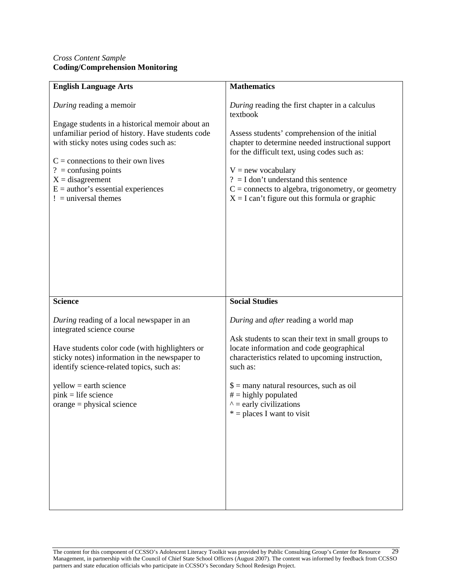| <b>English Language Arts</b>                                                                                                                                                                                                                                                                                                             | <b>Mathematics</b>                                                                                                                                                                                                                                                                                                                                                                             |
|------------------------------------------------------------------------------------------------------------------------------------------------------------------------------------------------------------------------------------------------------------------------------------------------------------------------------------------|------------------------------------------------------------------------------------------------------------------------------------------------------------------------------------------------------------------------------------------------------------------------------------------------------------------------------------------------------------------------------------------------|
| During reading a memoir<br>Engage students in a historical memoir about an<br>unfamiliar period of history. Have students code<br>with sticky notes using codes such as:<br>$C =$ connections to their own lives<br>$? = \text{confusing points}$<br>$X =$ disagreement<br>$E =$ author's essential experiences<br>$!=$ universal themes | During reading the first chapter in a calculus<br>textbook<br>Assess students' comprehension of the initial<br>chapter to determine needed instructional support<br>for the difficult text, using codes such as:<br>$V = new vocabulary$<br>$? = I don't understand this sentence$<br>$C =$ connects to algebra, trigonometry, or geometry<br>$X = I$ can't figure out this formula or graphic |
| <b>Science</b>                                                                                                                                                                                                                                                                                                                           | <b>Social Studies</b>                                                                                                                                                                                                                                                                                                                                                                          |
| During reading of a local newspaper in an<br>integrated science course<br>Have students color code (with highlighters or<br>sticky notes) information in the newspaper to<br>identify science-related topics, such as:<br>$yellow = earth$ science<br>$pink = life science$<br>$orange = physical science$                               | During and after reading a world map<br>Ask students to scan their text in small groups to<br>locate information and code geographical<br>characteristics related to upcoming instruction,<br>such as:<br>$$ =$ many natural resources, such as oil<br>$#$ = highly populated<br>$\uparrow$ = early civilizations<br>$* = places I$ want to visit                                              |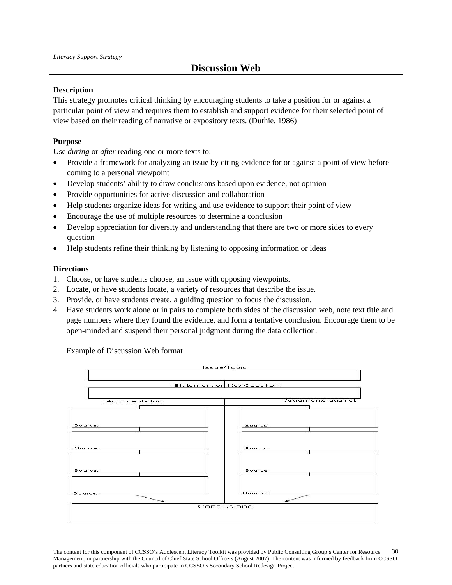### **Discussion Web**

#### **Description**

This strategy promotes critical thinking by encouraging students to take a position for or against a particular point of view and requires them to establish and support evidence for their selected point of view based on their reading of narrative or expository texts. (Duthie, 1986)

#### **Purpose**

Use *during* or *after* reading one or more texts to:

- Provide a framework for analyzing an issue by citing evidence for or against a point of view before coming to a personal viewpoint
- Develop students' ability to draw conclusions based upon evidence, not opinion
- Provide opportunities for active discussion and collaboration
- Help students organize ideas for writing and use evidence to support their point of view
- Encourage the use of multiple resources to determine a conclusion
- Develop appreciation for diversity and understanding that there are two or more sides to every question
- Help students refine their thinking by listening to opposing information or ideas

#### **Directions**

- 1. Choose, or have students choose, an issue with opposing viewpoints.
- 2. Locate, or have students locate, a variety of resources that describe the issue.
- 3. Provide, or have students create, a guiding question to focus the discussion.
- 4. Have students work alone or in pairs to complete both sides of the discussion web, note text title and page numbers where they found the evidence, and form a tentative conclusion. Encourage them to be open-minded and suspend their personal judgment during the data collection.

Example of Discussion Web format



The content for this component of CCSSO's Adolescent Literacy Toolkit was provided by Public Consulting Group's Center for Resource Management, in partnership with the Council of Chief State School Officers (August 2007). The content was informed by feedback from CCSSO partners and state education officials who participate in CCSSO's Secondary School Redesign Project. 30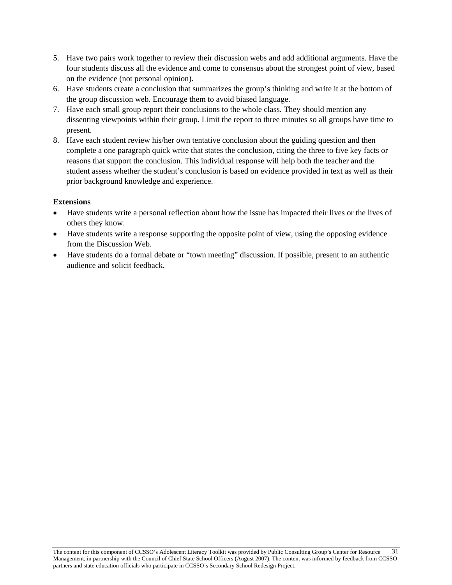- 5. Have two pairs work together to review their discussion webs and add additional arguments. Have the four students discuss all the evidence and come to consensus about the strongest point of view, based on the evidence (not personal opinion).
- 6. Have students create a conclusion that summarizes the group's thinking and write it at the bottom of the group discussion web. Encourage them to avoid biased language.
- 7. Have each small group report their conclusions to the whole class. They should mention any dissenting viewpoints within their group. Limit the report to three minutes so all groups have time to present.
- 8. Have each student review his/her own tentative conclusion about the guiding question and then complete a one paragraph quick write that states the conclusion, citing the three to five key facts or reasons that support the conclusion. This individual response will help both the teacher and the student assess whether the student's conclusion is based on evidence provided in text as well as their prior background knowledge and experience.

### **Extensions**

- Have students write a personal reflection about how the issue has impacted their lives or the lives of others they know.
- Have students write a response supporting the opposite point of view, using the opposing evidence from the Discussion Web.
- Have students do a formal debate or "town meeting" discussion. If possible, present to an authentic audience and solicit feedback.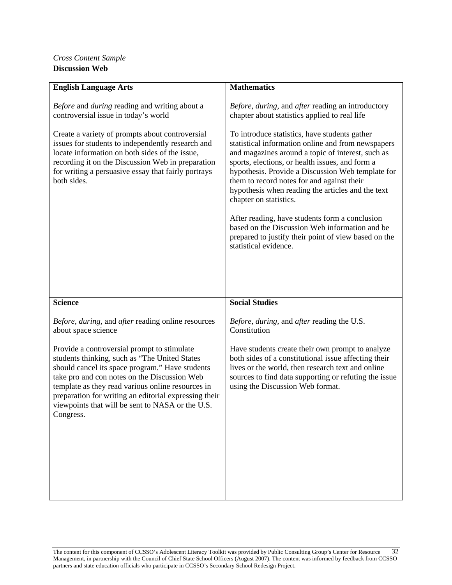*Cross Content Sample* **Discussion Web** 

| <b>English Language Arts</b>                                                                                                                                                                                                                                                                                                                                                   | <b>Mathematics</b>                                                                                                                                                                                                                                                                                                                                                                            |
|--------------------------------------------------------------------------------------------------------------------------------------------------------------------------------------------------------------------------------------------------------------------------------------------------------------------------------------------------------------------------------|-----------------------------------------------------------------------------------------------------------------------------------------------------------------------------------------------------------------------------------------------------------------------------------------------------------------------------------------------------------------------------------------------|
|                                                                                                                                                                                                                                                                                                                                                                                |                                                                                                                                                                                                                                                                                                                                                                                               |
| Before and during reading and writing about a<br>controversial issue in today's world                                                                                                                                                                                                                                                                                          | Before, during, and after reading an introductory<br>chapter about statistics applied to real life                                                                                                                                                                                                                                                                                            |
| Create a variety of prompts about controversial<br>issues for students to independently research and<br>locate information on both sides of the issue,<br>recording it on the Discussion Web in preparation<br>for writing a persuasive essay that fairly portrays<br>both sides.                                                                                              | To introduce statistics, have students gather<br>statistical information online and from newspapers<br>and magazines around a topic of interest, such as<br>sports, elections, or health issues, and form a<br>hypothesis. Provide a Discussion Web template for<br>them to record notes for and against their<br>hypothesis when reading the articles and the text<br>chapter on statistics. |
|                                                                                                                                                                                                                                                                                                                                                                                | After reading, have students form a conclusion<br>based on the Discussion Web information and be<br>prepared to justify their point of view based on the<br>statistical evidence.                                                                                                                                                                                                             |
| <b>Science</b>                                                                                                                                                                                                                                                                                                                                                                 | <b>Social Studies</b>                                                                                                                                                                                                                                                                                                                                                                         |
| Before, during, and after reading online resources<br>about space science                                                                                                                                                                                                                                                                                                      | Before, during, and after reading the U.S.<br>Constitution                                                                                                                                                                                                                                                                                                                                    |
| Provide a controversial prompt to stimulate<br>students thinking, such as "The United States<br>should cancel its space program." Have students<br>take pro and con notes on the Discussion Web<br>template as they read various online resources in<br>preparation for writing an editorial expressing their<br>viewpoints that will be sent to NASA or the U.S.<br>Congress. | Have students create their own prompt to analyze<br>both sides of a constitutional issue affecting their<br>lives or the world, then research text and online<br>sources to find data supporting or refuting the issue<br>using the Discussion Web format.                                                                                                                                    |
|                                                                                                                                                                                                                                                                                                                                                                                |                                                                                                                                                                                                                                                                                                                                                                                               |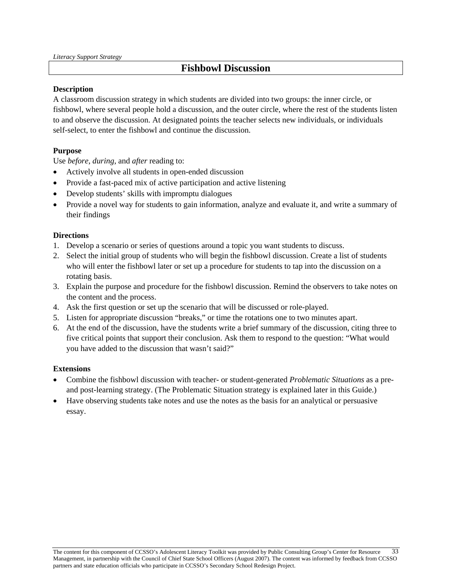### **Fishbowl Discussion**

#### **Description**

A classroom discussion strategy in which students are divided into two groups: the inner circle, or fishbowl, where several people hold a discussion, and the outer circle, where the rest of the students listen to and observe the discussion. At designated points the teacher selects new individuals, or individuals self-select, to enter the fishbowl and continue the discussion.

#### **Purpose**

Use *before*, *during*, and *after* reading to:

- Actively involve all students in open-ended discussion
- Provide a fast-paced mix of active participation and active listening
- Develop students' skills with impromptu dialogues
- Provide a novel way for students to gain information, analyze and evaluate it, and write a summary of their findings

#### **Directions**

- 1. Develop a scenario or series of questions around a topic you want students to discuss.
- 2. Select the initial group of students who will begin the fishbowl discussion. Create a list of students who will enter the fishbowl later or set up a procedure for students to tap into the discussion on a rotating basis.
- 3. Explain the purpose and procedure for the fishbowl discussion. Remind the observers to take notes on the content and the process.
- 4. Ask the first question or set up the scenario that will be discussed or role-played.
- 5. Listen for appropriate discussion "breaks," or time the rotations one to two minutes apart.
- 6. At the end of the discussion, have the students write a brief summary of the discussion, citing three to five critical points that support their conclusion. Ask them to respond to the question: "What would you have added to the discussion that wasn't said?"

#### **Extensions**

- Combine the fishbowl discussion with teacher- or student-generated *Problematic Situations* as a preand post-learning strategy. (The Problematic Situation strategy is explained later in this Guide.)
- Have observing students take notes and use the notes as the basis for an analytical or persuasive essay.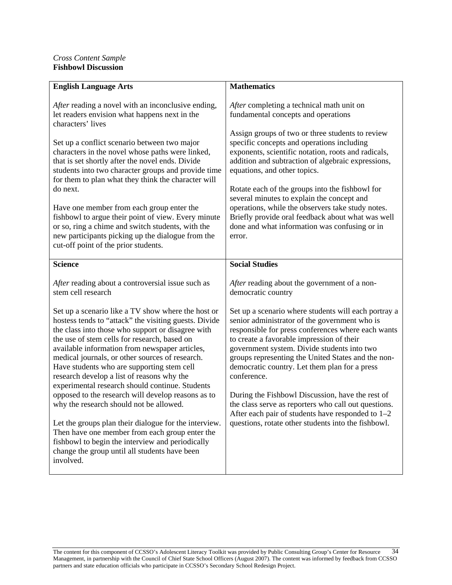#### *Cross Content Sample*  **Fishbowl Discussion**

| <b>English Language Arts</b>                                                                                                                                                                                                                                                                                                                                                                                                                                                                                                                                                                                                                                                                                                                                                                       | <b>Mathematics</b>                                                                                                                                                                                                                                                                                                                                                                                                                                                                                                                                                                                      |
|----------------------------------------------------------------------------------------------------------------------------------------------------------------------------------------------------------------------------------------------------------------------------------------------------------------------------------------------------------------------------------------------------------------------------------------------------------------------------------------------------------------------------------------------------------------------------------------------------------------------------------------------------------------------------------------------------------------------------------------------------------------------------------------------------|---------------------------------------------------------------------------------------------------------------------------------------------------------------------------------------------------------------------------------------------------------------------------------------------------------------------------------------------------------------------------------------------------------------------------------------------------------------------------------------------------------------------------------------------------------------------------------------------------------|
| After reading a novel with an inconclusive ending,<br>let readers envision what happens next in the<br>characters' lives                                                                                                                                                                                                                                                                                                                                                                                                                                                                                                                                                                                                                                                                           | After completing a technical math unit on<br>fundamental concepts and operations                                                                                                                                                                                                                                                                                                                                                                                                                                                                                                                        |
| Set up a conflict scenario between two major<br>characters in the novel whose paths were linked,<br>that is set shortly after the novel ends. Divide<br>students into two character groups and provide time<br>for them to plan what they think the character will<br>do next.<br>Have one member from each group enter the<br>fishbowl to argue their point of view. Every minute<br>or so, ring a chime and switch students, with the<br>new participants picking up the dialogue from the<br>cut-off point of the prior students.                                                                                                                                                                                                                                                               | Assign groups of two or three students to review<br>specific concepts and operations including<br>exponents, scientific notation, roots and radicals,<br>addition and subtraction of algebraic expressions,<br>equations, and other topics.<br>Rotate each of the groups into the fishbowl for<br>several minutes to explain the concept and<br>operations, while the observers take study notes.<br>Briefly provide oral feedback about what was well<br>done and what information was confusing or in<br>error.                                                                                       |
| <b>Science</b>                                                                                                                                                                                                                                                                                                                                                                                                                                                                                                                                                                                                                                                                                                                                                                                     | <b>Social Studies</b>                                                                                                                                                                                                                                                                                                                                                                                                                                                                                                                                                                                   |
| After reading about a controversial issue such as<br>stem cell research                                                                                                                                                                                                                                                                                                                                                                                                                                                                                                                                                                                                                                                                                                                            | After reading about the government of a non-<br>democratic country                                                                                                                                                                                                                                                                                                                                                                                                                                                                                                                                      |
| Set up a scenario like a TV show where the host or<br>hostess tends to "attack" the visiting guests. Divide<br>the class into those who support or disagree with<br>the use of stem cells for research, based on<br>available information from newspaper articles,<br>medical journals, or other sources of research.<br>Have students who are supporting stem cell<br>research develop a list of reasons why the<br>experimental research should continue. Students<br>opposed to the research will develop reasons as to<br>why the research should not be allowed.<br>Let the groups plan their dialogue for the interview.<br>Then have one member from each group enter the<br>fishbowl to begin the interview and periodically<br>change the group until all students have been<br>involved. | Set up a scenario where students will each portray a<br>senior administrator of the government who is<br>responsible for press conferences where each wants<br>to create a favorable impression of their<br>government system. Divide students into two<br>groups representing the United States and the non-<br>democratic country. Let them plan for a press<br>conference.<br>During the Fishbowl Discussion, have the rest of<br>the class serve as reporters who call out questions.<br>After each pair of students have responded to $1-2$<br>questions, rotate other students into the fishbowl. |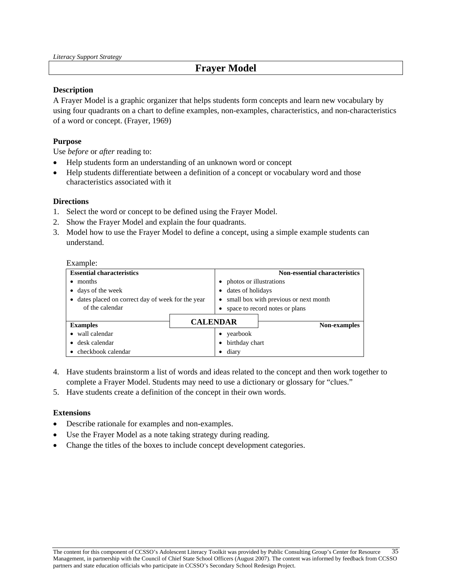# **Frayer Model**

#### **Description**

A Frayer Model is a graphic organizer that helps students form concepts and learn new vocabulary by using four quadrants on a chart to define examples, non-examples, characteristics, and non-characteristics of a word or concept. (Frayer, 1969)

#### **Purpose**

Use *before* or *after* reading to:

- Help students form an understanding of an unknown word or concept
- Help students differentiate between a definition of a concept or vocabulary word and those characteristics associated with it

#### **Directions**

- 1. Select the word or concept to be defined using the Frayer Model.
- 2. Show the Frayer Model and explain the four quadrants.
- 3. Model how to use the Frayer Model to define a concept, using a simple example students can understand.

#### Example:

| <b>Essential characteristics</b>                   |                 |                         | <b>Non-essential characteristics</b>  |
|----------------------------------------------------|-----------------|-------------------------|---------------------------------------|
| $\bullet$ months                                   |                 | photos or illustrations |                                       |
| • days of the week                                 |                 | dates of holidays       |                                       |
| • dates placed on correct day of week for the year |                 | ٠                       | small box with previous or next month |
| of the calendar                                    |                 |                         | space to record notes or plans        |
|                                                    | <b>CALENDAR</b> |                         |                                       |
| <b>Examples</b>                                    |                 |                         | <b>Non-examples</b>                   |
| • wall calendar                                    |                 | yearbook                |                                       |
| $\bullet$ desk calendar                            | birthday chart  |                         |                                       |
| • checkbook calendar                               | diary           |                         |                                       |

- 4. Have students brainstorm a list of words and ideas related to the concept and then work together to complete a Frayer Model. Students may need to use a dictionary or glossary for "clues."
- 5. Have students create a definition of the concept in their own words.

- Describe rationale for examples and non-examples.
- Use the Frayer Model as a note taking strategy during reading.
- Change the titles of the boxes to include concept development categories.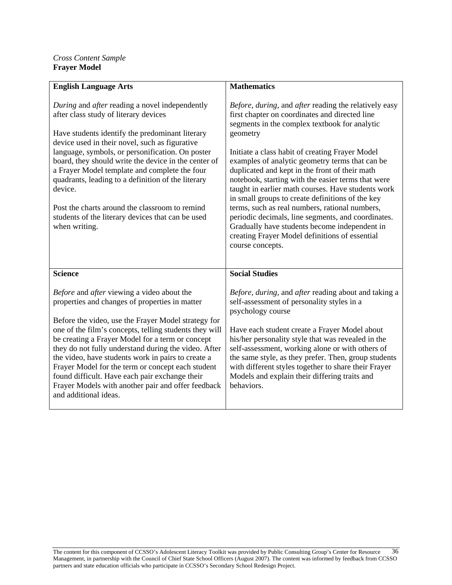| <b>English Language Arts</b>                                                                                                                                                                                                                                                                                                                                                                                                                                                                                                                                          | <b>Mathematics</b>                                                                                                                                                                                                                                                                                                                                                                                                                                                                                                                                                                                                                                                                                                          |
|-----------------------------------------------------------------------------------------------------------------------------------------------------------------------------------------------------------------------------------------------------------------------------------------------------------------------------------------------------------------------------------------------------------------------------------------------------------------------------------------------------------------------------------------------------------------------|-----------------------------------------------------------------------------------------------------------------------------------------------------------------------------------------------------------------------------------------------------------------------------------------------------------------------------------------------------------------------------------------------------------------------------------------------------------------------------------------------------------------------------------------------------------------------------------------------------------------------------------------------------------------------------------------------------------------------------|
| During and after reading a novel independently<br>after class study of literary devices<br>Have students identify the predominant literary<br>device used in their novel, such as figurative<br>language, symbols, or personification. On poster<br>board, they should write the device in the center of<br>a Frayer Model template and complete the four<br>quadrants, leading to a definition of the literary<br>device.<br>Post the charts around the classroom to remind<br>students of the literary devices that can be used<br>when writing.                    | Before, during, and after reading the relatively easy<br>first chapter on coordinates and directed line<br>segments in the complex textbook for analytic<br>geometry<br>Initiate a class habit of creating Frayer Model<br>examples of analytic geometry terms that can be<br>duplicated and kept in the front of their math<br>notebook, starting with the easier terms that were<br>taught in earlier math courses. Have students work<br>in small groups to create definitions of the key<br>terms, such as real numbers, rational numbers,<br>periodic decimals, line segments, and coordinates.<br>Gradually have students become independent in<br>creating Frayer Model definitions of essential<br>course concepts. |
| <b>Science</b>                                                                                                                                                                                                                                                                                                                                                                                                                                                                                                                                                        | <b>Social Studies</b>                                                                                                                                                                                                                                                                                                                                                                                                                                                                                                                                                                                                                                                                                                       |
| Before and after viewing a video about the<br>properties and changes of properties in matter<br>Before the video, use the Frayer Model strategy for<br>one of the film's concepts, telling students they will<br>be creating a Frayer Model for a term or concept<br>they do not fully understand during the video. After<br>the video, have students work in pairs to create a<br>Frayer Model for the term or concept each student<br>found difficult. Have each pair exchange their<br>Frayer Models with another pair and offer feedback<br>and additional ideas. | Before, during, and after reading about and taking a<br>self-assessment of personality styles in a<br>psychology course<br>Have each student create a Frayer Model about<br>his/her personality style that was revealed in the<br>self-assessment, working alone or with others of<br>the same style, as they prefer. Then, group students<br>with different styles together to share their Frayer<br>Models and explain their differing traits and<br>behaviors.                                                                                                                                                                                                                                                           |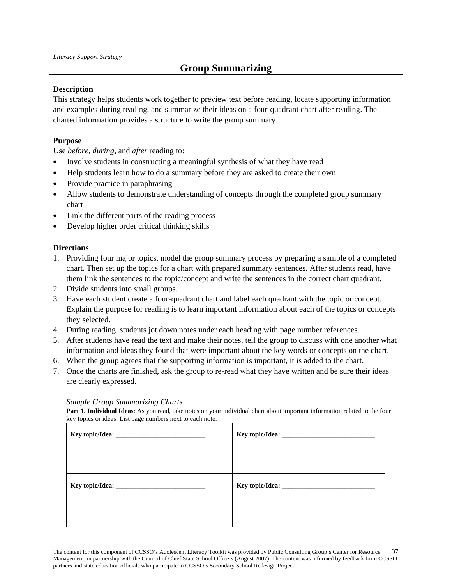# **Group Summarizing**

## **Description**

This strategy helps students work together to preview text before reading, locate supporting information and examples during reading, and summarize their ideas on a four-quadrant chart after reading. The charted information provides a structure to write the group summary.

#### **Purpose**

Use *before*, *during*, and *after* reading to:

- Involve students in constructing a meaningful synthesis of what they have read
- Help students learn how to do a summary before they are asked to create their own
- Provide practice in paraphrasing
- Allow students to demonstrate understanding of concepts through the completed group summary chart
- Link the different parts of the reading process
- Develop higher order critical thinking skills

#### **Directions**

- 1. Providing four major topics, model the group summary process by preparing a sample of a completed chart. Then set up the topics for a chart with prepared summary sentences. After students read, have them link the sentences to the topic/concept and write the sentences in the correct chart quadrant.
- 2. Divide students into small groups.
- 3. Have each student create a four-quadrant chart and label each quadrant with the topic or concept. Explain the purpose for reading is to learn important information about each of the topics or concepts they selected.
- 4. During reading, students jot down notes under each heading with page number references.
- 5. After students have read the text and make their notes, tell the group to discuss with one another what information and ideas they found that were important about the key words or concepts on the chart.
- 6. When the group agrees that the supporting information is important, it is added to the chart.
- 7. Once the charts are finished, ask the group to re-read what they have written and be sure their ideas are clearly expressed.

#### *Sample Group Summarizing Charts*

**Part 1. Individual Ideas**: As you read, take notes on your individual chart about important information related to the four key topics or ideas. List page numbers next to each note.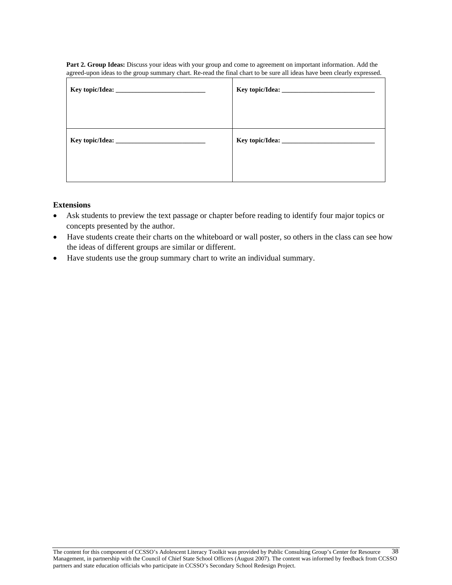**Part 2. Group Ideas:** Discuss your ideas with your group and come to agreement on important information. Add the agreed-upon ideas to the group summary chart. Re-read the final chart to be sure all ideas have been clearly expressed.

- Ask students to preview the text passage or chapter before reading to identify four major topics or concepts presented by the author.
- Have students create their charts on the whiteboard or wall poster, so others in the class can see how the ideas of different groups are similar or different.
- Have students use the group summary chart to write an individual summary.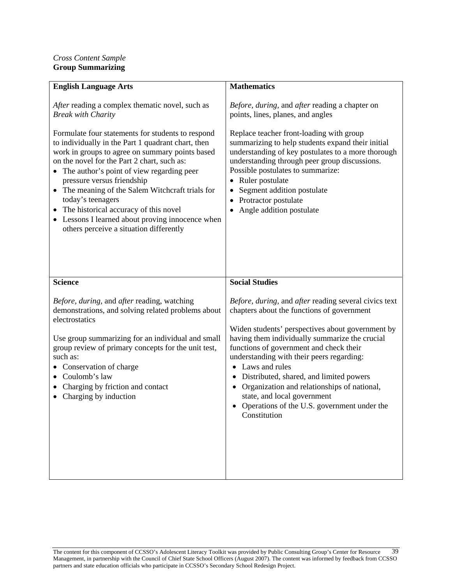### *Cross Content Sample*  **Group Summarizing**

| <b>English Language Arts</b>                                                                                                                                                                                                                                                                                                                                                                                                                                                                                                    | <b>Mathematics</b>                                                                                                                                                                                                                                                                                                                                  |
|---------------------------------------------------------------------------------------------------------------------------------------------------------------------------------------------------------------------------------------------------------------------------------------------------------------------------------------------------------------------------------------------------------------------------------------------------------------------------------------------------------------------------------|-----------------------------------------------------------------------------------------------------------------------------------------------------------------------------------------------------------------------------------------------------------------------------------------------------------------------------------------------------|
| After reading a complex thematic novel, such as<br><b>Break with Charity</b>                                                                                                                                                                                                                                                                                                                                                                                                                                                    | Before, during, and after reading a chapter on<br>points, lines, planes, and angles                                                                                                                                                                                                                                                                 |
| Formulate four statements for students to respond<br>to individually in the Part 1 quadrant chart, then<br>work in groups to agree on summary points based<br>on the novel for the Part 2 chart, such as:<br>• The author's point of view regarding peer<br>pressure versus friendship<br>The meaning of the Salem Witchcraft trials for<br>$\bullet$<br>today's teenagers<br>The historical accuracy of this novel<br>$\bullet$<br>• Lessons I learned about proving innocence when<br>others perceive a situation differently | Replace teacher front-loading with group<br>summarizing to help students expand their initial<br>understanding of key postulates to a more thorough<br>understanding through peer group discussions.<br>Possible postulates to summarize:<br>Ruler postulate<br>Segment addition postulate<br>٠<br>Protractor postulate<br>Angle addition postulate |
| <b>Science</b>                                                                                                                                                                                                                                                                                                                                                                                                                                                                                                                  | <b>Social Studies</b>                                                                                                                                                                                                                                                                                                                               |
| Before, during, and after reading, watching<br>demonstrations, and solving related problems about<br>electrostatics<br>Use group summarizing for an individual and small                                                                                                                                                                                                                                                                                                                                                        | Before, during, and after reading several civics text<br>chapters about the functions of government<br>Widen students' perspectives about government by<br>having them individually summarize the crucial                                                                                                                                           |
| group review of primary concepts for the unit test,<br>such as:<br>• Conservation of charge                                                                                                                                                                                                                                                                                                                                                                                                                                     | functions of government and check their<br>understanding with their peers regarding:<br>• Laws and rules                                                                                                                                                                                                                                            |
| • Coulomb's law<br>• Charging by friction and contact<br>• Charging by induction                                                                                                                                                                                                                                                                                                                                                                                                                                                | Distributed, shared, and limited powers<br>Organization and relationships of national,<br>$\bullet$<br>state, and local government<br>• Operations of the U.S. government under the<br>Constitution                                                                                                                                                 |
|                                                                                                                                                                                                                                                                                                                                                                                                                                                                                                                                 |                                                                                                                                                                                                                                                                                                                                                     |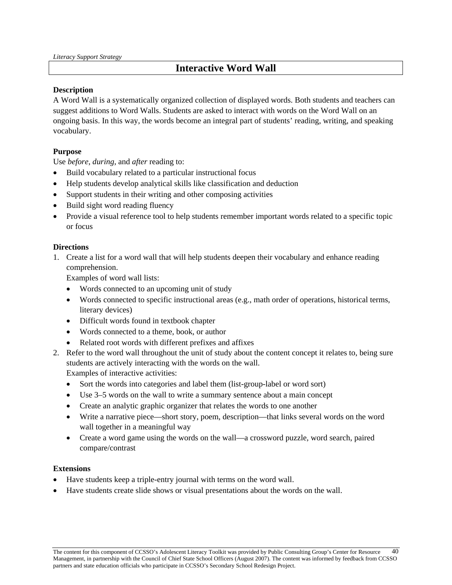# **Interactive Word Wall**

#### **Description**

A Word Wall is a systematically organized collection of displayed words. Both students and teachers can suggest additions to Word Walls. Students are asked to interact with words on the Word Wall on an ongoing basis. In this way, the words become an integral part of students' reading, writing, and speaking vocabulary.

### **Purpose**

Use *before*, *during*, and *after* reading to:

- Build vocabulary related to a particular instructional focus
- Help students develop analytical skills like classification and deduction
- Support students in their writing and other composing activities
- Build sight word reading fluency
- Provide a visual reference tool to help students remember important words related to a specific topic or focus

#### **Directions**

1. Create a list for a word wall that will help students deepen their vocabulary and enhance reading comprehension.

Examples of word wall lists:

- Words connected to an upcoming unit of study
- Words connected to specific instructional areas (e.g., math order of operations, historical terms, literary devices)
- Difficult words found in textbook chapter
- Words connected to a theme, book, or author
- Related root words with different prefixes and affixes
- 2. Refer to the word wall throughout the unit of study about the content concept it relates to, being sure students are actively interacting with the words on the wall. Examples of interactive activities:

• Sort the words into categories and label them (list-group-label or word sort)

- Use 3–5 words on the wall to write a summary sentence about a main concept
- Create an analytic graphic organizer that relates the words to one another
- Write a narrative piece—short story, poem, description—that links several words on the word wall together in a meaningful way
- Create a word game using the words on the wall—a crossword puzzle, word search, paired compare/contrast

- Have students keep a triple-entry journal with terms on the word wall.
- Have students create slide shows or visual presentations about the words on the wall.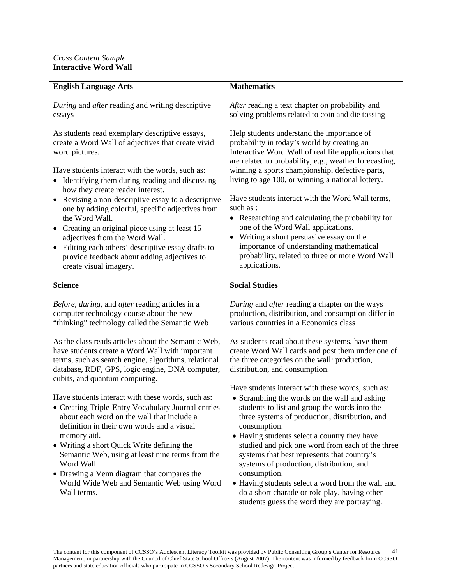| <b>English Language Arts</b>                                                                                                                                                                                                                                                                                                                                                                                                                                                                                                                                                                                                            | <b>Mathematics</b>                                                                                                                                                                                                                                                                                                                                                                                                                                                                                                                                                                                                                           |
|-----------------------------------------------------------------------------------------------------------------------------------------------------------------------------------------------------------------------------------------------------------------------------------------------------------------------------------------------------------------------------------------------------------------------------------------------------------------------------------------------------------------------------------------------------------------------------------------------------------------------------------------|----------------------------------------------------------------------------------------------------------------------------------------------------------------------------------------------------------------------------------------------------------------------------------------------------------------------------------------------------------------------------------------------------------------------------------------------------------------------------------------------------------------------------------------------------------------------------------------------------------------------------------------------|
|                                                                                                                                                                                                                                                                                                                                                                                                                                                                                                                                                                                                                                         |                                                                                                                                                                                                                                                                                                                                                                                                                                                                                                                                                                                                                                              |
| During and after reading and writing descriptive<br>essays                                                                                                                                                                                                                                                                                                                                                                                                                                                                                                                                                                              | After reading a text chapter on probability and<br>solving problems related to coin and die tossing                                                                                                                                                                                                                                                                                                                                                                                                                                                                                                                                          |
| As students read exemplary descriptive essays,<br>create a Word Wall of adjectives that create vivid<br>word pictures.<br>Have students interact with the words, such as:<br>• Identifying them during reading and discussing<br>how they create reader interest.<br>Revising a non-descriptive essay to a descriptive<br>$\bullet$<br>one by adding colorful, specific adjectives from<br>the Word Wall.<br>• Creating an original piece using at least 15<br>adjectives from the Word Wall.<br>Editing each others' descriptive essay drafts to<br>$\bullet$<br>provide feedback about adding adjectives to<br>create visual imagery. | Help students understand the importance of<br>probability in today's world by creating an<br>Interactive Word Wall of real life applications that<br>are related to probability, e.g., weather forecasting,<br>winning a sports championship, defective parts,<br>living to age 100, or winning a national lottery.<br>Have students interact with the Word Wall terms,<br>such as :<br>• Researching and calculating the probability for<br>one of the Word Wall applications.<br>• Writing a short persuasive essay on the<br>importance of understanding mathematical<br>probability, related to three or more Word Wall<br>applications. |
| <b>Science</b>                                                                                                                                                                                                                                                                                                                                                                                                                                                                                                                                                                                                                          | <b>Social Studies</b>                                                                                                                                                                                                                                                                                                                                                                                                                                                                                                                                                                                                                        |
| Before, during, and after reading articles in a<br>computer technology course about the new<br>"thinking" technology called the Semantic Web                                                                                                                                                                                                                                                                                                                                                                                                                                                                                            | During and after reading a chapter on the ways<br>production, distribution, and consumption differ in<br>various countries in a Economics class                                                                                                                                                                                                                                                                                                                                                                                                                                                                                              |
| As the class reads articles about the Semantic Web,<br>have students create a Word Wall with important<br>terms, such as search engine, algorithms, relational<br>database, RDF, GPS, logic engine, DNA computer,<br>cubits, and quantum computing.                                                                                                                                                                                                                                                                                                                                                                                     | As students read about these systems, have them<br>create Word Wall cards and post them under one of<br>the three categories on the wall: production,<br>distribution, and consumption.                                                                                                                                                                                                                                                                                                                                                                                                                                                      |
| Have students interact with these words, such as:<br>• Creating Triple-Entry Vocabulary Journal entries<br>about each word on the wall that include a<br>definition in their own words and a visual<br>memory aid.<br>• Writing a short Quick Write defining the<br>Semantic Web, using at least nine terms from the<br>Word Wall.<br>• Drawing a Venn diagram that compares the<br>World Wide Web and Semantic Web using Word<br>Wall terms.                                                                                                                                                                                           | Have students interact with these words, such as:<br>• Scrambling the words on the wall and asking<br>students to list and group the words into the<br>three systems of production, distribution, and<br>consumption.<br>• Having students select a country they have<br>studied and pick one word from each of the three<br>systems that best represents that country's<br>systems of production, distribution, and<br>consumption.<br>• Having students select a word from the wall and<br>do a short charade or role play, having other<br>students guess the word they are portraying.                                                   |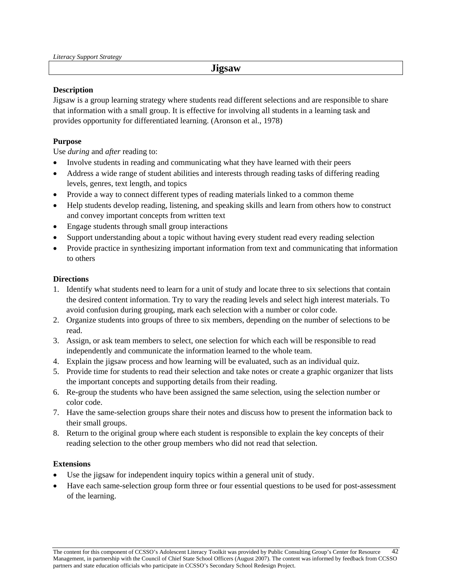**Jigsaw** 

#### **Description**

Jigsaw is a group learning strategy where students read different selections and are responsible to share that information with a small group. It is effective for involving all students in a learning task and provides opportunity for differentiated learning. (Aronson et al., 1978)

#### **Purpose**

Use *during* and *after* reading to:

- Involve students in reading and communicating what they have learned with their peers
- Address a wide range of student abilities and interests through reading tasks of differing reading levels, genres, text length, and topics
- Provide a way to connect different types of reading materials linked to a common theme
- Help students develop reading, listening, and speaking skills and learn from others how to construct and convey important concepts from written text
- Engage students through small group interactions
- Support understanding about a topic without having every student read every reading selection
- Provide practice in synthesizing important information from text and communicating that information to others

### **Directions**

- 1. Identify what students need to learn for a unit of study and locate three to six selections that contain the desired content information. Try to vary the reading levels and select high interest materials. To avoid confusion during grouping, mark each selection with a number or color code.
- 2. Organize students into groups of three to six members, depending on the number of selections to be read.
- 3. Assign, or ask team members to select, one selection for which each will be responsible to read independently and communicate the information learned to the whole team.
- 4. Explain the jigsaw process and how learning will be evaluated, such as an individual quiz.
- 5. Provide time for students to read their selection and take notes or create a graphic organizer that lists the important concepts and supporting details from their reading.
- 6. Re-group the students who have been assigned the same selection, using the selection number or color code.
- 7. Have the same-selection groups share their notes and discuss how to present the information back to their small groups.
- 8. Return to the original group where each student is responsible to explain the key concepts of their reading selection to the other group members who did not read that selection.

- Use the jigsaw for independent inquiry topics within a general unit of study.
- Have each same-selection group form three or four essential questions to be used for post-assessment of the learning.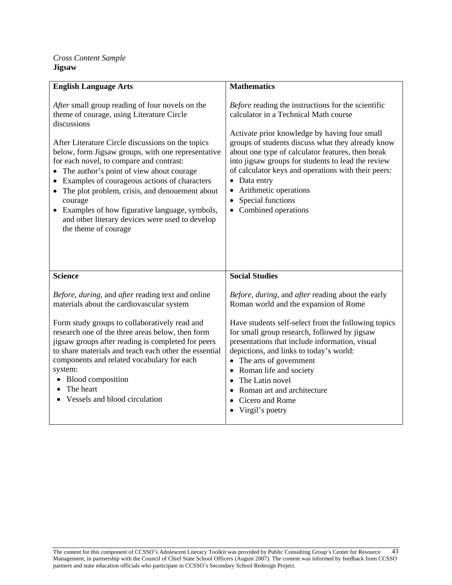*Cross Content Sample*  **Jigsaw** 

| <b>English Language Arts</b>                                                                                                                                                                                                                                                                                                                                                                                                                                                                                                                                               | <b>Mathematics</b>                                                                                                                                                                                                                                                                                                                                                                                                                                                                              |
|----------------------------------------------------------------------------------------------------------------------------------------------------------------------------------------------------------------------------------------------------------------------------------------------------------------------------------------------------------------------------------------------------------------------------------------------------------------------------------------------------------------------------------------------------------------------------|-------------------------------------------------------------------------------------------------------------------------------------------------------------------------------------------------------------------------------------------------------------------------------------------------------------------------------------------------------------------------------------------------------------------------------------------------------------------------------------------------|
| After small group reading of four novels on the<br>theme of courage, using Literature Circle<br>discussions<br>After Literature Circle discussions on the topics<br>below, form Jigsaw groups, with one representative<br>for each novel, to compare and contrast:<br>• The author's point of view about courage<br>Examples of courageous actions of characters<br>$\bullet$<br>• The plot problem, crisis, and denouement about<br>courage<br>• Examples of how figurative language, symbols,<br>and other literary devices were used to develop<br>the theme of courage | Before reading the instructions for the scientific<br>calculator in a Technical Math course<br>Activate prior knowledge by having four small<br>groups of students discuss what they already know<br>about one type of calculator features, then break<br>into jigsaw groups for students to lead the review<br>of calculator keys and operations with their peers:<br>Data entry<br>$\bullet$<br>Arithmetic operations<br>$\bullet$<br>Special functions<br>$\bullet$<br>• Combined operations |
| <b>Science</b>                                                                                                                                                                                                                                                                                                                                                                                                                                                                                                                                                             | <b>Social Studies</b>                                                                                                                                                                                                                                                                                                                                                                                                                                                                           |
| Before, during, and after reading text and online<br>materials about the cardiovascular system                                                                                                                                                                                                                                                                                                                                                                                                                                                                             | Before, during, and after reading about the early<br>Roman world and the expansion of Rome                                                                                                                                                                                                                                                                                                                                                                                                      |
| Form study groups to collaboratively read and<br>research one of the three areas below, then form<br>jigsaw groups after reading is completed for peers<br>to share materials and teach each other the essential<br>components and related vocabulary for each<br>system:<br><b>Blood</b> composition<br>$\bullet$<br>The heart<br>$\bullet$<br>Vessels and blood circulation                                                                                                                                                                                              | Have students self-select from the following topics<br>for small group research, followed by jigsaw<br>presentations that include information, visual<br>depictions, and links to today's world:<br>The arts of government<br>$\bullet$<br>Roman life and society<br>$\bullet$<br>The Latin novel<br>$\bullet$<br>Roman art and architecture<br>Cicero and Rome<br>Virgil's poetry                                                                                                              |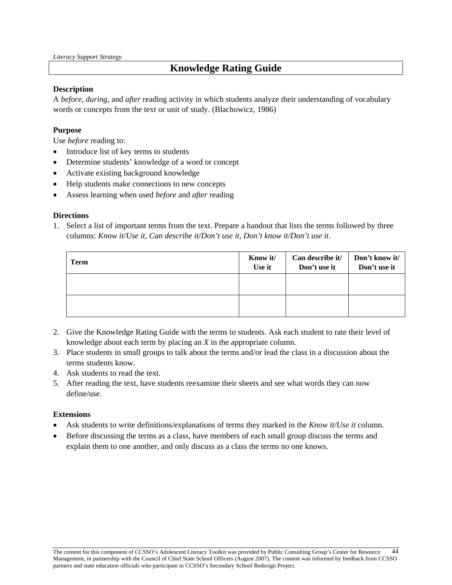# **Knowledge Rating Guide**

#### **Description**

A *before*, *during*, and *after* reading activity in which students analyze their understanding of vocabulary words or concepts from the text or unit of study. (Blachowicz, 1986)

#### **Purpose**

Use *before* reading to:

- Introduce list of key terms to students
- Determine students' knowledge of a word or concept
- Activate existing background knowledge
- Help students make connections to new concepts
- Assess learning when used *before* and *after* reading

#### **Directions**

1. Select a list of important terms from the text. Prepare a handout that lists the terms followed by three columns: *Know it/Use it, Can describe it/Don't use it, Don't know it/Don't use it*.

| <b>Term</b> | Know it/<br>Use it | Can describe it/<br>Don't use it | Don't know it/<br>Don't use it |
|-------------|--------------------|----------------------------------|--------------------------------|
|             |                    |                                  |                                |
|             |                    |                                  |                                |

- 2. Give the Knowledge Rating Guide with the terms to students. Ask each student to rate their level of knowledge about each term by placing an *X* in the appropriate column.
- 3. Place students in small groups to talk about the terms and/or lead the class in a discussion about the terms students know.
- 4. Ask students to read the text.
- 5. After reading the text, have students reexamine their sheets and see what words they can now define/use.

- Ask students to write definitions/explanations of terms they marked in the *Know it/Use it* column.
- Before discussing the terms as a class, have members of each small group discuss the terms and explain them to one another, and only discuss as a class the terms no one knows.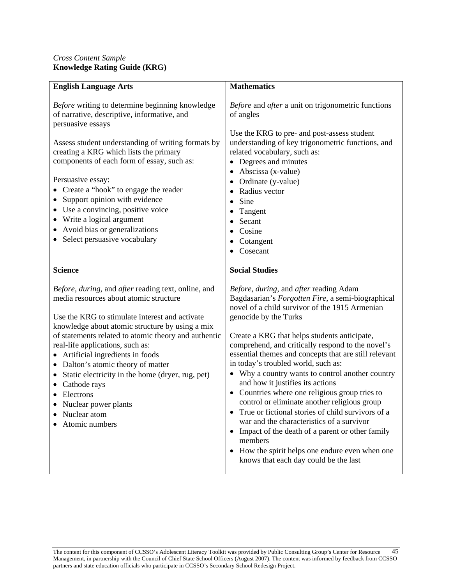#### *Cross Content Sample* **Knowledge Rating Guide (KRG)**

| <b>English Language Arts</b>                                                                                                                                                                                                                                                                                                                                                                                                                                                                                                                   | <b>Mathematics</b>                                                                                                                                                                                                                                                                                                                                                                                                                                                                                                                                                                                                                                                                                                                                                                                                                           |
|------------------------------------------------------------------------------------------------------------------------------------------------------------------------------------------------------------------------------------------------------------------------------------------------------------------------------------------------------------------------------------------------------------------------------------------------------------------------------------------------------------------------------------------------|----------------------------------------------------------------------------------------------------------------------------------------------------------------------------------------------------------------------------------------------------------------------------------------------------------------------------------------------------------------------------------------------------------------------------------------------------------------------------------------------------------------------------------------------------------------------------------------------------------------------------------------------------------------------------------------------------------------------------------------------------------------------------------------------------------------------------------------------|
| Before writing to determine beginning knowledge<br>of narrative, descriptive, informative, and<br>persuasive essays                                                                                                                                                                                                                                                                                                                                                                                                                            | Before and after a unit on trigonometric functions<br>of angles                                                                                                                                                                                                                                                                                                                                                                                                                                                                                                                                                                                                                                                                                                                                                                              |
| Assess student understanding of writing formats by<br>creating a KRG which lists the primary<br>components of each form of essay, such as:<br>Persuasive essay:<br>• Create a "hook" to engage the reader<br>Support opinion with evidence<br>• Use a convincing, positive voice<br>• Write a logical argument<br>Avoid bias or generalizations<br>Select persuasive vocabulary<br>$\bullet$                                                                                                                                                   | Use the KRG to pre- and post-assess student<br>understanding of key trigonometric functions, and<br>related vocabulary, such as:<br>Degrees and minutes<br>$\bullet$<br>Abscissa (x-value)<br>Ordinate (y-value)<br>Radius vector<br>Sine<br>Tangent<br>Secant<br>Cosine<br>Cotangent<br>Cosecant                                                                                                                                                                                                                                                                                                                                                                                                                                                                                                                                            |
| <b>Science</b>                                                                                                                                                                                                                                                                                                                                                                                                                                                                                                                                 | <b>Social Studies</b>                                                                                                                                                                                                                                                                                                                                                                                                                                                                                                                                                                                                                                                                                                                                                                                                                        |
| Before, during, and after reading text, online, and<br>media resources about atomic structure<br>Use the KRG to stimulate interest and activate<br>knowledge about atomic structure by using a mix<br>of statements related to atomic theory and authentic<br>real-life applications, such as:<br>• Artificial ingredients in foods<br>• Dalton's atomic theory of matter<br>Static electricity in the home (dryer, rug, pet)<br>$\bullet$<br>Cathode rays<br>Electrons<br>Nuclear power plants<br>$\bullet$<br>Nuclear atom<br>Atomic numbers | Before, during, and after reading Adam<br>Bagdasarian's Forgotten Fire, a semi-biographical<br>novel of a child survivor of the 1915 Armenian<br>genocide by the Turks<br>Create a KRG that helps students anticipate,<br>comprehend, and critically respond to the novel's<br>essential themes and concepts that are still relevant<br>in today's troubled world, such as:<br>• Why a country wants to control another country<br>and how it justifies its actions<br>Countries where one religious group tries to<br>control or eliminate another religious group<br>True or fictional stories of child survivors of a<br>war and the characteristics of a survivor<br>Impact of the death of a parent or other family<br>$\bullet$<br>members<br>• How the spirit helps one endure even when one<br>knows that each day could be the last |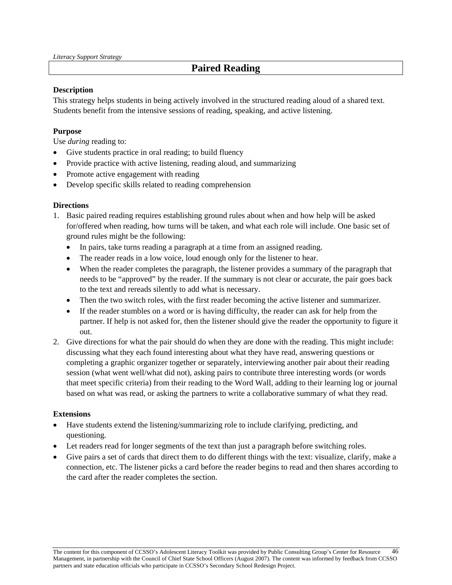## **Paired Reading**

#### **Description**

This strategy helps students in being actively involved in the structured reading aloud of a shared text. Students benefit from the intensive sessions of reading, speaking, and active listening.

### **Purpose**

Use *during* reading to:

- Give students practice in oral reading; to build fluency
- Provide practice with active listening, reading aloud, and summarizing
- Promote active engagement with reading
- Develop specific skills related to reading comprehension

#### **Directions**

- 1. Basic paired reading requires establishing ground rules about when and how help will be asked for/offered when reading, how turns will be taken, and what each role will include. One basic set of ground rules might be the following:
	- In pairs, take turns reading a paragraph at a time from an assigned reading.
	- The reader reads in a low voice, loud enough only for the listener to hear.
	- When the reader completes the paragraph, the listener provides a summary of the paragraph that needs to be "approved" by the reader. If the summary is not clear or accurate, the pair goes back to the text and rereads silently to add what is necessary.
	- Then the two switch roles, with the first reader becoming the active listener and summarizer.
	- If the reader stumbles on a word or is having difficulty, the reader can ask for help from the partner. If help is not asked for, then the listener should give the reader the opportunity to figure it out.
- 2. Give directions for what the pair should do when they are done with the reading. This might include: discussing what they each found interesting about what they have read, answering questions or completing a graphic organizer together or separately, interviewing another pair about their reading session (what went well/what did not), asking pairs to contribute three interesting words (or words that meet specific criteria) from their reading to the Word Wall, adding to their learning log or journal based on what was read, or asking the partners to write a collaborative summary of what they read.

- Have students extend the listening/summarizing role to include clarifying, predicting, and questioning.
- Let readers read for longer segments of the text than just a paragraph before switching roles.
- Give pairs a set of cards that direct them to do different things with the text: visualize, clarify, make a connection, etc. The listener picks a card before the reader begins to read and then shares according to the card after the reader completes the section.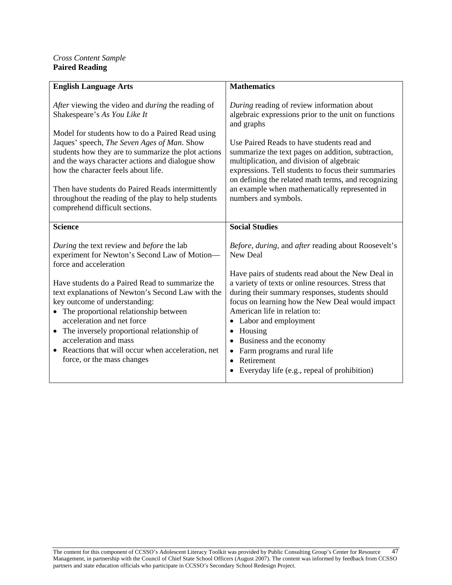*Cross Content Sample*  **Paired Reading** 

| <b>English Language Arts</b>                                                                                                                                                                                                                                                                                                                                                                                                                                                                        | <b>Mathematics</b>                                                                                                                                                                                                                                                                                                                                                                                                                                                                                 |
|-----------------------------------------------------------------------------------------------------------------------------------------------------------------------------------------------------------------------------------------------------------------------------------------------------------------------------------------------------------------------------------------------------------------------------------------------------------------------------------------------------|----------------------------------------------------------------------------------------------------------------------------------------------------------------------------------------------------------------------------------------------------------------------------------------------------------------------------------------------------------------------------------------------------------------------------------------------------------------------------------------------------|
| After viewing the video and <i>during</i> the reading of<br>Shakespeare's As You Like It<br>Model for students how to do a Paired Read using<br>Jaques' speech, The Seven Ages of Man. Show<br>students how they are to summarize the plot actions<br>and the ways character actions and dialogue show<br>how the character feels about life.<br>Then have students do Paired Reads intermittently<br>throughout the reading of the play to help students<br>comprehend difficult sections.         | During reading of review information about<br>algebraic expressions prior to the unit on functions<br>and graphs<br>Use Paired Reads to have students read and<br>summarize the text pages on addition, subtraction,<br>multiplication, and division of algebraic<br>expressions. Tell students to focus their summaries<br>on defining the related math terms, and recognizing<br>an example when mathematically represented in<br>numbers and symbols.                                           |
| <b>Science</b>                                                                                                                                                                                                                                                                                                                                                                                                                                                                                      | <b>Social Studies</b>                                                                                                                                                                                                                                                                                                                                                                                                                                                                              |
| During the text review and before the lab<br>experiment for Newton's Second Law of Motion-<br>force and acceleration<br>Have students do a Paired Read to summarize the<br>text explanations of Newton's Second Law with the<br>key outcome of understanding:<br>• The proportional relationship between<br>acceleration and net force<br>• The inversely proportional relationship of<br>acceleration and mass<br>• Reactions that will occur when acceleration, net<br>force, or the mass changes | Before, during, and after reading about Roosevelt's<br>New Deal<br>Have pairs of students read about the New Deal in<br>a variety of texts or online resources. Stress that<br>during their summary responses, students should<br>focus on learning how the New Deal would impact<br>American life in relation to:<br>• Labor and employment<br>Housing<br>٠<br>Business and the economy<br>Farm programs and rural life<br>Retirement<br>$\bullet$<br>Everyday life (e.g., repeal of prohibition) |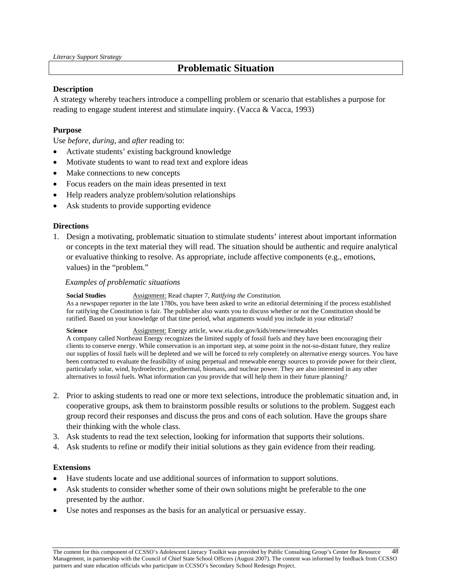## **Problematic Situation**

#### **Description**

A strategy whereby teachers introduce a compelling problem or scenario that establishes a purpose for reading to engage student interest and stimulate inquiry. (Vacca & Vacca, 1993)

#### **Purpose**

Use *before*, *during*, and *after* reading to:

- Activate students' existing background knowledge
- Motivate students to want to read text and explore ideas
- Make connections to new concepts
- Focus readers on the main ideas presented in text
- Help readers analyze problem/solution relationships
- Ask students to provide supporting evidence

#### **Directions**

1. Design a motivating, problematic situation to stimulate students' interest about important information or concepts in the text material they will read. The situation should be authentic and require analytical or evaluative thinking to resolve. As appropriate, include affective components (e.g., emotions, values) in the "problem."

#### *Examples of problematic situations*

#### **Social Studies Assignment:** Read chapter 7, *Ratifying the Constitution.*

As a newspaper reporter in the late 1780s, you have been asked to write an editorial determining if the process established for ratifying the Constitution is fair. The publisher also wants you to discuss whether or not the Constitution should be ratified. Based on your knowledge of that time period, what arguments would you include in your editorial?

**Science Assignment:** Energy article, www.eia.doe.gov/kids/renew/renewables

 A company called Northeast Energy recognizes the limited supply of fossil fuels and they have been encouraging their clients to conserve energy. While conservation is an important step, at some point in the not-so-distant future, they realize our supplies of fossil fuels will be depleted and we will be forced to rely completely on alternative energy sources. You have been contracted to evaluate the feasibility of using perpetual and renewable energy sources to provide power for their client, particularly solar, wind, hydroelectric, geothermal, biomass, and nuclear power. They are also interested in any other alternatives to fossil fuels. What information can you provide that will help them in their future planning?

- 2. Prior to asking students to read one or more text selections, introduce the problematic situation and, in cooperative groups, ask them to brainstorm possible results or solutions to the problem. Suggest each group record their responses and discuss the pros and cons of each solution. Have the groups share their thinking with the whole class.
- 3. Ask students to read the text selection, looking for information that supports their solutions.
- 4. Ask students to refine or modify their initial solutions as they gain evidence from their reading.

- Have students locate and use additional sources of information to support solutions.
- Ask students to consider whether some of their own solutions might be preferable to the one presented by the author.
- Use notes and responses as the basis for an analytical or persuasive essay.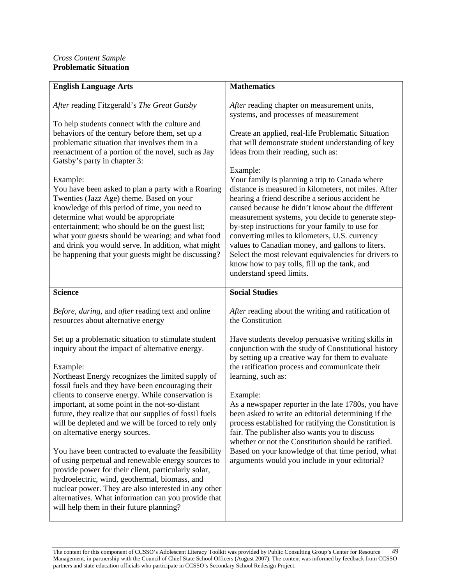| <b>English Language Arts</b>                                                                                                                                                                                                                                                                                                                                                                                           | <b>Mathematics</b>                                                                                                                                                                                                                                                                                                                                                                                                                                                                                                                                                           |
|------------------------------------------------------------------------------------------------------------------------------------------------------------------------------------------------------------------------------------------------------------------------------------------------------------------------------------------------------------------------------------------------------------------------|------------------------------------------------------------------------------------------------------------------------------------------------------------------------------------------------------------------------------------------------------------------------------------------------------------------------------------------------------------------------------------------------------------------------------------------------------------------------------------------------------------------------------------------------------------------------------|
| After reading Fitzgerald's The Great Gatsby                                                                                                                                                                                                                                                                                                                                                                            | After reading chapter on measurement units,<br>systems, and processes of measurement                                                                                                                                                                                                                                                                                                                                                                                                                                                                                         |
| To help students connect with the culture and<br>behaviors of the century before them, set up a<br>problematic situation that involves them in a<br>reenactment of a portion of the novel, such as Jay<br>Gatsby's party in chapter 3:                                                                                                                                                                                 | Create an applied, real-life Problematic Situation<br>that will demonstrate student understanding of key<br>ideas from their reading, such as:                                                                                                                                                                                                                                                                                                                                                                                                                               |
| Example:<br>You have been asked to plan a party with a Roaring<br>Twenties (Jazz Age) theme. Based on your<br>knowledge of this period of time, you need to<br>determine what would be appropriate<br>entertainment; who should be on the guest list;<br>what your guests should be wearing; and what food<br>and drink you would serve. In addition, what might<br>be happening that your guests might be discussing? | Example:<br>Your family is planning a trip to Canada where<br>distance is measured in kilometers, not miles. After<br>hearing a friend describe a serious accident he<br>caused because he didn't know about the different<br>measurement systems, you decide to generate step-<br>by-step instructions for your family to use for<br>converting miles to kilometers, U.S. currency<br>values to Canadian money, and gallons to liters.<br>Select the most relevant equivalencies for drivers to<br>know how to pay tolls, fill up the tank, and<br>understand speed limits. |
| <b>Science</b>                                                                                                                                                                                                                                                                                                                                                                                                         | <b>Social Studies</b>                                                                                                                                                                                                                                                                                                                                                                                                                                                                                                                                                        |
| Before, during, and after reading text and online<br>resources about alternative energy                                                                                                                                                                                                                                                                                                                                | After reading about the writing and ratification of<br>the Constitution                                                                                                                                                                                                                                                                                                                                                                                                                                                                                                      |
| Set up a problematic situation to stimulate student<br>inquiry about the impact of alternative energy.<br>Example:                                                                                                                                                                                                                                                                                                     | Have students develop persuasive writing skills in<br>conjunction with the study of Constitutional history<br>by setting up a creative way for them to evaluate<br>the ratification process and communicate their                                                                                                                                                                                                                                                                                                                                                            |
| Northeast Energy recognizes the limited supply of<br>fossil fuels and they have been encouraging their<br>clients to conserve energy. While conservation is<br>important, at some point in the not-so-distant<br>future, they realize that our supplies of fossil fuels<br>will be depleted and we will be forced to rely only<br>on alternative energy sources.                                                       | learning, such as:<br>Example:<br>As a newspaper reporter in the late 1780s, you have<br>been asked to write an editorial determining if the<br>process established for ratifying the Constitution is<br>fair. The publisher also wants you to discuss<br>whether or not the Constitution should be ratified.                                                                                                                                                                                                                                                                |
| You have been contracted to evaluate the feasibility<br>of using perpetual and renewable energy sources to<br>provide power for their client, particularly solar,<br>hydroelectric, wind, geothermal, biomass, and<br>nuclear power. They are also interested in any other<br>alternatives. What information can you provide that<br>will help them in their future planning?                                          | Based on your knowledge of that time period, what<br>arguments would you include in your editorial?                                                                                                                                                                                                                                                                                                                                                                                                                                                                          |

The content for this component of CCSSO's Adolescent Literacy Toolkit was provided by Public Consulting Group's Center for Resource Management, in partnership with the Council of Chief State School Officers (August 2007). The content was informed by feedback from CCSSO partners and state education officials who participate in CCSSO's Secondary School Redesign Project. 49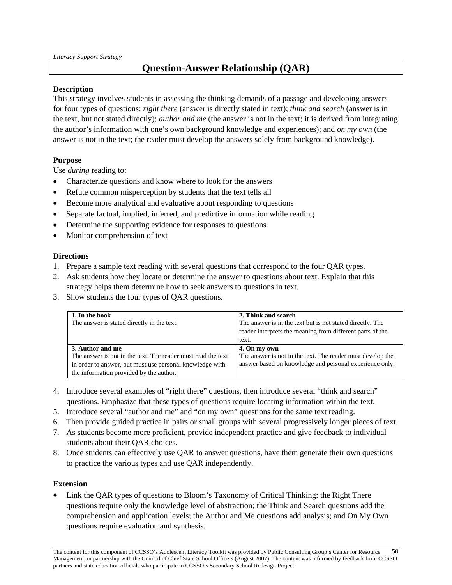# **Question-Answer Relationship (QAR)**

#### **Description**

This strategy involves students in assessing the thinking demands of a passage and developing answers for four types of questions: *right there* (answer is directly stated in text); *think and search* (answer is in the text, but not stated directly); *author and me* (the answer is not in the text; it is derived from integrating the author's information with one's own background knowledge and experiences); and *on my own* (the answer is not in the text; the reader must develop the answers solely from background knowledge).

### **Purpose**

Use *during* reading to:

- Characterize questions and know where to look for the answers
- Refute common misperception by students that the text tells all
- Become more analytical and evaluative about responding to questions
- Separate factual, implied, inferred, and predictive information while reading
- Determine the supporting evidence for responses to questions
- Monitor comprehension of text

#### **Directions**

- 1. Prepare a sample text reading with several questions that correspond to the four QAR types.
- 2. Ask students how they locate or determine the answer to questions about text. Explain that this strategy helps them determine how to seek answers to questions in text.
- 3. Show students the four types of QAR questions.

| 1. In the book<br>The answer is stated directly in the text.                                        | 2. Think and search<br>The answer is in the text but is not stated directly. The<br>reader interprets the meaning from different parts of the<br>text. |
|-----------------------------------------------------------------------------------------------------|--------------------------------------------------------------------------------------------------------------------------------------------------------|
| 3. Author and me<br>The answer is not in the text. The reader must read the text                    | 4. On my own<br>The answer is not in the text. The reader must develop the                                                                             |
| in order to answer, but must use personal knowledge with<br>the information provided by the author. | answer based on knowledge and personal experience only.                                                                                                |

- 4. Introduce several examples of "right there" questions, then introduce several "think and search" questions. Emphasize that these types of questions require locating information within the text.
- 5. Introduce several "author and me" and "on my own" questions for the same text reading.
- 6. Then provide guided practice in pairs or small groups with several progressively longer pieces of text.
- 7. As students become more proficient, provide independent practice and give feedback to individual students about their QAR choices.
- 8. Once students can effectively use QAR to answer questions, have them generate their own questions to practice the various types and use QAR independently.

#### **Extension**

• Link the QAR types of questions to Bloom's Taxonomy of Critical Thinking: the Right There questions require only the knowledge level of abstraction; the Think and Search questions add the comprehension and application levels; the Author and Me questions add analysis; and On My Own questions require evaluation and synthesis.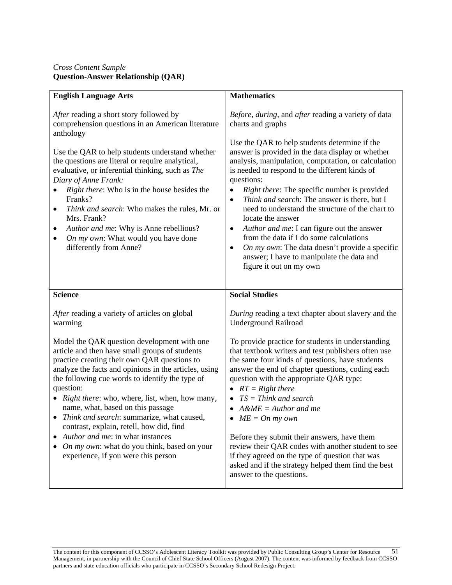## *Cross Content Sample*  **Question-Answer Relationship (QAR)**

| <b>English Language Arts</b>                                                                                                                                                                                                                                                                                                                                                                                                                                                                                                                                                         | <b>Mathematics</b>                                                                                                                                                                                                                                                                                                                                                                                                                                                                                                                                                                                                                                                                                                                                           |
|--------------------------------------------------------------------------------------------------------------------------------------------------------------------------------------------------------------------------------------------------------------------------------------------------------------------------------------------------------------------------------------------------------------------------------------------------------------------------------------------------------------------------------------------------------------------------------------|--------------------------------------------------------------------------------------------------------------------------------------------------------------------------------------------------------------------------------------------------------------------------------------------------------------------------------------------------------------------------------------------------------------------------------------------------------------------------------------------------------------------------------------------------------------------------------------------------------------------------------------------------------------------------------------------------------------------------------------------------------------|
| After reading a short story followed by<br>comprehension questions in an American literature<br>anthology<br>Use the QAR to help students understand whether<br>the questions are literal or require analytical,<br>evaluative, or inferential thinking, such as The<br>Diary of Anne Frank:<br>Right there: Who is in the house besides the<br>Franks?<br>Think and search: Who makes the rules, Mr. or<br>٠<br>Mrs. Frank?<br>Author and me: Why is Anne rebellious?<br>$\bullet$<br>On my own: What would you have done<br>$\bullet$<br>differently from Anne?                    | Before, during, and after reading a variety of data<br>charts and graphs<br>Use the QAR to help students determine if the<br>answer is provided in the data display or whether<br>analysis, manipulation, computation, or calculation<br>is needed to respond to the different kinds of<br>questions:<br><i>Right there:</i> The specific number is provided<br>$\bullet$<br>Think and search: The answer is there, but I<br>$\bullet$<br>need to understand the structure of the chart to<br>locate the answer<br>Author and me: I can figure out the answer<br>$\bullet$<br>from the data if I do some calculations<br>On my own: The data doesn't provide a specific<br>$\bullet$<br>answer; I have to manipulate the data and<br>figure it out on my own |
| <b>Science</b>                                                                                                                                                                                                                                                                                                                                                                                                                                                                                                                                                                       | <b>Social Studies</b>                                                                                                                                                                                                                                                                                                                                                                                                                                                                                                                                                                                                                                                                                                                                        |
| After reading a variety of articles on global<br>warming                                                                                                                                                                                                                                                                                                                                                                                                                                                                                                                             | During reading a text chapter about slavery and the<br><b>Underground Railroad</b>                                                                                                                                                                                                                                                                                                                                                                                                                                                                                                                                                                                                                                                                           |
| Model the QAR question development with one<br>article and then have small groups of students<br>practice creating their own QAR questions to<br>analyze the facts and opinions in the articles, using<br>the following cue words to identify the type of<br>question:<br>• Right there: who, where, list, when, how many,<br>name, what, based on this passage<br>• Think and search: summarize, what caused,<br>contrast, explain, retell, how did, find<br>Author and me: in what instances<br>On my own: what do you think, based on your<br>experience, if you were this person | To provide practice for students in understanding<br>that textbook writers and test publishers often use<br>the same four kinds of questions, have students<br>answer the end of chapter questions, coding each<br>question with the appropriate QAR type:<br>• $RT = Right$ there<br>$TS = Think and search$<br>$A\&ME = Author$ and me<br>$ME = On$ my own<br>٠<br>Before they submit their answers, have them<br>review their QAR codes with another student to see<br>if they agreed on the type of question that was<br>asked and if the strategy helped them find the best<br>answer to the questions.                                                                                                                                                 |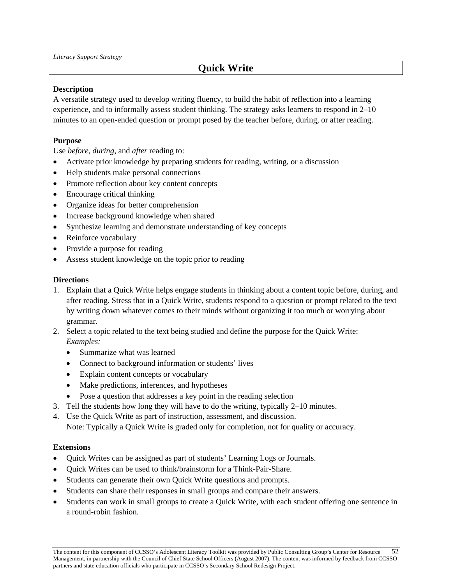## **Quick Write**

#### **Description**

A versatile strategy used to develop writing fluency, to build the habit of reflection into a learning experience, and to informally assess student thinking. The strategy asks learners to respond in 2–10 minutes to an open-ended question or prompt posed by the teacher before, during, or after reading.

#### **Purpose**

Use *before*, *during*, and *after* reading to:

- Activate prior knowledge by preparing students for reading, writing, or a discussion
- Help students make personal connections
- Promote reflection about key content concepts
- Encourage critical thinking
- Organize ideas for better comprehension
- Increase background knowledge when shared
- Synthesize learning and demonstrate understanding of key concepts
- Reinforce vocabulary
- Provide a purpose for reading
- Assess student knowledge on the topic prior to reading

#### **Directions**

- 1. Explain that a Quick Write helps engage students in thinking about a content topic before, during, and after reading. Stress that in a Quick Write, students respond to a question or prompt related to the text by writing down whatever comes to their minds without organizing it too much or worrying about grammar.
- 2. Select a topic related to the text being studied and define the purpose for the Quick Write: *Examples:* 
	- Summarize what was learned
	- Connect to background information or students' lives
	- Explain content concepts or vocabulary
	- Make predictions, inferences, and hypotheses
	- Pose a question that addresses a key point in the reading selection
- 3. Tell the students how long they will have to do the writing, typically 2–10 minutes.
- 4. Use the Quick Write as part of instruction, assessment, and discussion. Note: Typically a Quick Write is graded only for completion, not for quality or accuracy.

- Quick Writes can be assigned as part of students' Learning Logs or Journals.
- Quick Writes can be used to think/brainstorm for a Think-Pair-Share.
- Students can generate their own Quick Write questions and prompts.
- Students can share their responses in small groups and compare their answers.
- Students can work in small groups to create a Quick Write, with each student offering one sentence in a round-robin fashion.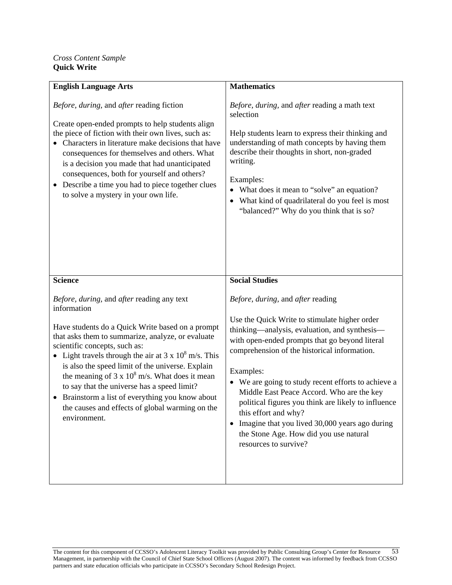*Cross Content Sample*  **Quick Write** 

| <b>English Language Arts</b>                                                                                                                                                                                                                                                                                                                                                                                                                                                                                                                         | <b>Mathematics</b>                                                                                                                                                                                                                                                                                                                                                                                                                                                                                                                                                      |
|------------------------------------------------------------------------------------------------------------------------------------------------------------------------------------------------------------------------------------------------------------------------------------------------------------------------------------------------------------------------------------------------------------------------------------------------------------------------------------------------------------------------------------------------------|-------------------------------------------------------------------------------------------------------------------------------------------------------------------------------------------------------------------------------------------------------------------------------------------------------------------------------------------------------------------------------------------------------------------------------------------------------------------------------------------------------------------------------------------------------------------------|
| Before, during, and after reading fiction<br>Create open-ended prompts to help students align<br>the piece of fiction with their own lives, such as:<br>• Characters in literature make decisions that have<br>consequences for themselves and others. What<br>is a decision you made that had unanticipated<br>consequences, both for yourself and others?<br>Describe a time you had to piece together clues<br>to solve a mystery in your own life.                                                                                               | Before, during, and after reading a math text<br>selection<br>Help students learn to express their thinking and<br>understanding of math concepts by having them<br>describe their thoughts in short, non-graded<br>writing.<br>Examples:<br>• What does it mean to "solve" an equation?<br>What kind of quadrilateral do you feel is most<br>"balanced?" Why do you think that is so?                                                                                                                                                                                  |
| <b>Science</b>                                                                                                                                                                                                                                                                                                                                                                                                                                                                                                                                       | <b>Social Studies</b>                                                                                                                                                                                                                                                                                                                                                                                                                                                                                                                                                   |
| Before, during, and after reading any text<br>information<br>Have students do a Quick Write based on a prompt<br>that asks them to summarize, analyze, or evaluate<br>scientific concepts, such as:<br>• Light travels through the air at $3 \times 10^8$ m/s. This<br>is also the speed limit of the universe. Explain<br>the meaning of $3 \times 10^8$ m/s. What does it mean<br>to say that the universe has a speed limit?<br>Brainstorm a list of everything you know about<br>the causes and effects of global warming on the<br>environment. | Before, during, and after reading<br>Use the Quick Write to stimulate higher order<br>thinking—analysis, evaluation, and synthesis—<br>with open-ended prompts that go beyond literal<br>comprehension of the historical information.<br>Examples:<br>• We are going to study recent efforts to achieve a<br>Middle East Peace Accord. Who are the key<br>political figures you think are likely to influence<br>this effort and why?<br>Imagine that you lived 30,000 years ago during<br>$\bullet$<br>the Stone Age. How did you use natural<br>resources to survive? |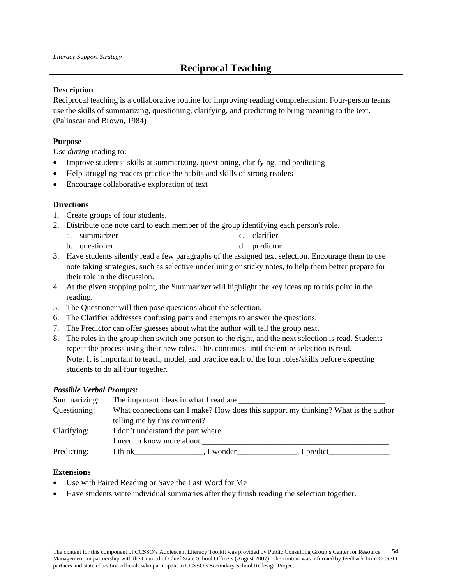# **Reciprocal Teaching**

#### **Description**

Reciprocal teaching is a collaborative routine for improving reading comprehension. Four-person teams use the skills of summarizing, questioning, clarifying, and predicting to bring meaning to the text. (Palinscar and Brown, 1984)

#### **Purpose**

Use *during* reading to:

- Improve students' skills at summarizing, questioning, clarifying, and predicting
- Help struggling readers practice the habits and skills of strong readers
- Encourage collaborative exploration of text

### **Directions**

- 1. Create groups of four students.
- 2. Distribute one note card to each member of the group identifying each person's role.
	- a. summarizer c. clarifier
	- b. questioner d. predictor
- 3. Have students silently read a few paragraphs of the assigned text selection. Encourage them to use note taking strategies, such as selective underlining or sticky notes, to help them better prepare for their role in the discussion.
- 4. At the given stopping point, the Summarizer will highlight the key ideas up to this point in the reading.
- 5. The Questioner will then pose questions about the selection.
- 6. The Clarifier addresses confusing parts and attempts to answer the questions.
- 7. The Predictor can offer guesses about what the author will tell the group next.
- 8. The roles in the group then switch one person to the right, and the next selection is read. Students repeat the process using their new roles. This continues until the entire selection is read. Note: It is important to teach, model, and practice each of the four roles/skills before expecting students to do all four together.

#### *Possible Verbal Prompts:*

| Summarizing: | The important ideas in what I read are _____                                       |  |  |  |  |  |  |
|--------------|------------------------------------------------------------------------------------|--|--|--|--|--|--|
| Questioning: | What connections can I make? How does this support my thinking? What is the author |  |  |  |  |  |  |
|              | telling me by this comment?                                                        |  |  |  |  |  |  |
| Clarifying:  | I don't understand the part where                                                  |  |  |  |  |  |  |
|              | I need to know more about                                                          |  |  |  |  |  |  |
| Predicting:  | I wonder<br>I think<br>$\Box$ , I predict                                          |  |  |  |  |  |  |

- Use with Paired Reading or Save the Last Word for Me
- Have students write individual summaries after they finish reading the selection together.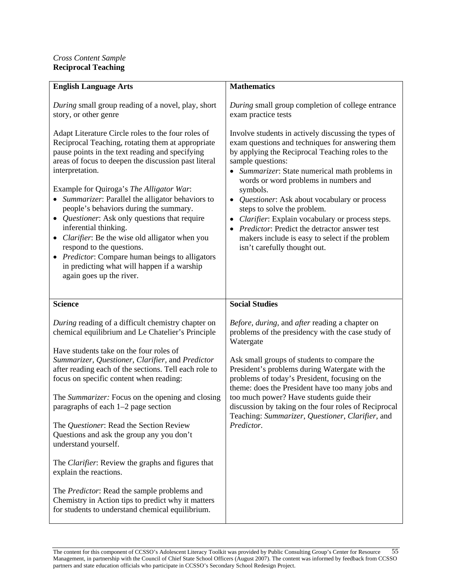### *Cross Content Sample*  **Reciprocal Teaching**

| <b>English Language Arts</b>                                                                                                                                                                                                                                                                                                                                                                                                                                                                                                                                                                                                                                                 | <b>Mathematics</b>                                                                                                                                                                                                                                                                                                                                                                                                                                                                                                                                                      |
|------------------------------------------------------------------------------------------------------------------------------------------------------------------------------------------------------------------------------------------------------------------------------------------------------------------------------------------------------------------------------------------------------------------------------------------------------------------------------------------------------------------------------------------------------------------------------------------------------------------------------------------------------------------------------|-------------------------------------------------------------------------------------------------------------------------------------------------------------------------------------------------------------------------------------------------------------------------------------------------------------------------------------------------------------------------------------------------------------------------------------------------------------------------------------------------------------------------------------------------------------------------|
| During small group reading of a novel, play, short<br>story, or other genre                                                                                                                                                                                                                                                                                                                                                                                                                                                                                                                                                                                                  | During small group completion of college entrance<br>exam practice tests                                                                                                                                                                                                                                                                                                                                                                                                                                                                                                |
| Adapt Literature Circle roles to the four roles of<br>Reciprocal Teaching, rotating them at appropriate<br>pause points in the text reading and specifying<br>areas of focus to deepen the discussion past literal<br>interpretation.<br>Example for Quiroga's The Alligator War:<br>Summarizer: Parallel the alligator behaviors to<br>people's behaviors during the summary.<br>• <i>Questioner</i> : Ask only questions that require<br>inferential thinking.<br>Clarifier: Be the wise old alligator when you<br>respond to the questions.<br>• Predictor: Compare human beings to alligators<br>in predicting what will happen if a warship<br>again goes up the river. | Involve students in actively discussing the types of<br>exam questions and techniques for answering them<br>by applying the Reciprocal Teaching roles to the<br>sample questions:<br>Summarizer: State numerical math problems in<br>words or word problems in numbers and<br>symbols.<br>Questioner: Ask about vocabulary or process<br>$\bullet$<br>steps to solve the problem.<br>Clarifier: Explain vocabulary or process steps.<br>Predictor: Predict the detractor answer test<br>makers include is easy to select if the problem<br>isn't carefully thought out. |
|                                                                                                                                                                                                                                                                                                                                                                                                                                                                                                                                                                                                                                                                              |                                                                                                                                                                                                                                                                                                                                                                                                                                                                                                                                                                         |
| <b>Science</b>                                                                                                                                                                                                                                                                                                                                                                                                                                                                                                                                                                                                                                                               | <b>Social Studies</b>                                                                                                                                                                                                                                                                                                                                                                                                                                                                                                                                                   |
| During reading of a difficult chemistry chapter on<br>chemical equilibrium and Le Chatelier's Principle                                                                                                                                                                                                                                                                                                                                                                                                                                                                                                                                                                      | Before, during, and after reading a chapter on<br>problems of the presidency with the case study of                                                                                                                                                                                                                                                                                                                                                                                                                                                                     |
| Have students take on the four roles of<br>Summarizer, Questioner, Clarifier, and Predictor<br>after reading each of the sections. Tell each role to<br>focus on specific content when reading:<br>The Summarizer: Focus on the opening and closing                                                                                                                                                                                                                                                                                                                                                                                                                          | Watergate<br>Ask small groups of students to compare the<br>President's problems during Watergate with the<br>problems of today's President, focusing on the<br>theme: does the President have too many jobs and<br>too much power? Have students guide their                                                                                                                                                                                                                                                                                                           |
| paragraphs of each 1–2 page section<br>The Questioner: Read the Section Review<br>Questions and ask the group any you don't<br>understand yourself.                                                                                                                                                                                                                                                                                                                                                                                                                                                                                                                          | discussion by taking on the four roles of Reciprocal<br>Teaching: Summarizer, Questioner, Clarifier, and<br>Predictor.                                                                                                                                                                                                                                                                                                                                                                                                                                                  |
| The <i>Clarifier</i> : Review the graphs and figures that<br>explain the reactions.                                                                                                                                                                                                                                                                                                                                                                                                                                                                                                                                                                                          |                                                                                                                                                                                                                                                                                                                                                                                                                                                                                                                                                                         |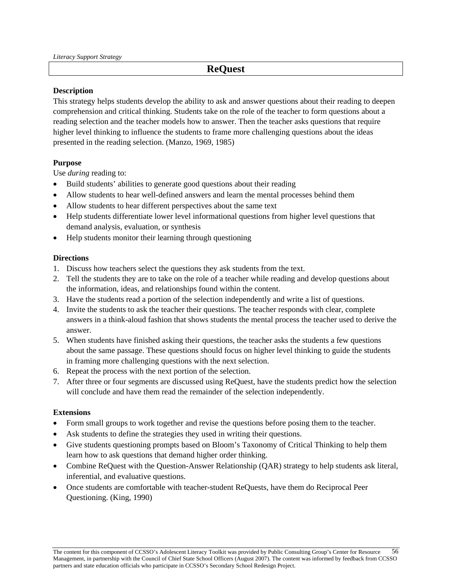## **ReQuest**

#### **Description**

This strategy helps students develop the ability to ask and answer questions about their reading to deepen comprehension and critical thinking. Students take on the role of the teacher to form questions about a reading selection and the teacher models how to answer. Then the teacher asks questions that require higher level thinking to influence the students to frame more challenging questions about the ideas presented in the reading selection. (Manzo, 1969, 1985)

## **Purpose**

Use *during* reading to:

- Build students' abilities to generate good questions about their reading
- Allow students to hear well-defined answers and learn the mental processes behind them
- Allow students to hear different perspectives about the same text
- Help students differentiate lower level informational questions from higher level questions that demand analysis, evaluation, or synthesis
- Help students monitor their learning through questioning

#### **Directions**

- 1. Discuss how teachers select the questions they ask students from the text.
- 2. Tell the students they are to take on the role of a teacher while reading and develop questions about the information, ideas, and relationships found within the content.
- 3. Have the students read a portion of the selection independently and write a list of questions.
- 4. Invite the students to ask the teacher their questions. The teacher responds with clear, complete answers in a think-aloud fashion that shows students the mental process the teacher used to derive the answer.
- 5. When students have finished asking their questions, the teacher asks the students a few questions about the same passage. These questions should focus on higher level thinking to guide the students in framing more challenging questions with the next selection.
- 6. Repeat the process with the next portion of the selection.
- 7. After three or four segments are discussed using ReQuest, have the students predict how the selection will conclude and have them read the remainder of the selection independently.

- Form small groups to work together and revise the questions before posing them to the teacher.
- Ask students to define the strategies they used in writing their questions.
- Give students questioning prompts based on Bloom's Taxonomy of Critical Thinking to help them learn how to ask questions that demand higher order thinking.
- Combine ReQuest with the Question-Answer Relationship (QAR) strategy to help students ask literal, inferential, and evaluative questions.
- Once students are comfortable with teacher-student ReQuests, have them do Reciprocal Peer Questioning. (King, 1990)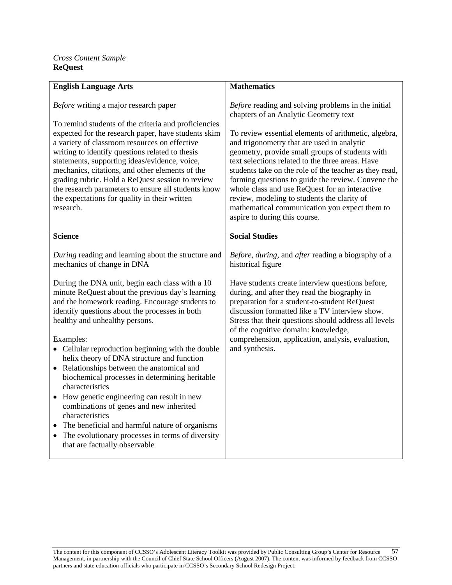*Cross Content Sample*  **ReQuest**

| <b>English Language Arts</b>                                                                                                                                                                                                                                                                                                                                                                                                                                                                                                                                                                                                                                                                                                                                                                                                        | <b>Mathematics</b>                                                                                                                                                                                                                                                                                                                                                                                                                                                                                                                                                                                          |
|-------------------------------------------------------------------------------------------------------------------------------------------------------------------------------------------------------------------------------------------------------------------------------------------------------------------------------------------------------------------------------------------------------------------------------------------------------------------------------------------------------------------------------------------------------------------------------------------------------------------------------------------------------------------------------------------------------------------------------------------------------------------------------------------------------------------------------------|-------------------------------------------------------------------------------------------------------------------------------------------------------------------------------------------------------------------------------------------------------------------------------------------------------------------------------------------------------------------------------------------------------------------------------------------------------------------------------------------------------------------------------------------------------------------------------------------------------------|
| Before writing a major research paper<br>To remind students of the criteria and proficiencies<br>expected for the research paper, have students skim<br>a variety of classroom resources on effective<br>writing to identify questions related to thesis<br>statements, supporting ideas/evidence, voice,<br>mechanics, citations, and other elements of the<br>grading rubric. Hold a ReQuest session to review<br>the research parameters to ensure all students know<br>the expectations for quality in their written<br>research.                                                                                                                                                                                                                                                                                               | Before reading and solving problems in the initial<br>chapters of an Analytic Geometry text<br>To review essential elements of arithmetic, algebra,<br>and trigonometry that are used in analytic<br>geometry, provide small groups of students with<br>text selections related to the three areas. Have<br>students take on the role of the teacher as they read,<br>forming questions to guide the review. Convene the<br>whole class and use ReQuest for an interactive<br>review, modeling to students the clarity of<br>mathematical communication you expect them to<br>aspire to during this course. |
| <b>Science</b>                                                                                                                                                                                                                                                                                                                                                                                                                                                                                                                                                                                                                                                                                                                                                                                                                      | <b>Social Studies</b>                                                                                                                                                                                                                                                                                                                                                                                                                                                                                                                                                                                       |
| During reading and learning about the structure and<br>mechanics of change in DNA<br>During the DNA unit, begin each class with a 10<br>minute ReQuest about the previous day's learning<br>and the homework reading. Encourage students to<br>identify questions about the processes in both<br>healthy and unhealthy persons.<br>Examples:<br>• Cellular reproduction beginning with the double<br>helix theory of DNA structure and function<br>• Relationships between the anatomical and<br>biochemical processes in determining heritable<br>characteristics<br>How genetic engineering can result in new<br>combinations of genes and new inherited<br>characteristics<br>• The beneficial and harmful nature of organisms<br>The evolutionary processes in terms of diversity<br>$\bullet$<br>that are factually observable | Before, during, and after reading a biography of a<br>historical figure<br>Have students create interview questions before,<br>during, and after they read the biography in<br>preparation for a student-to-student ReQuest<br>discussion formatted like a TV interview show.<br>Stress that their questions should address all levels<br>of the cognitive domain: knowledge,<br>comprehension, application, analysis, evaluation,<br>and synthesis.                                                                                                                                                        |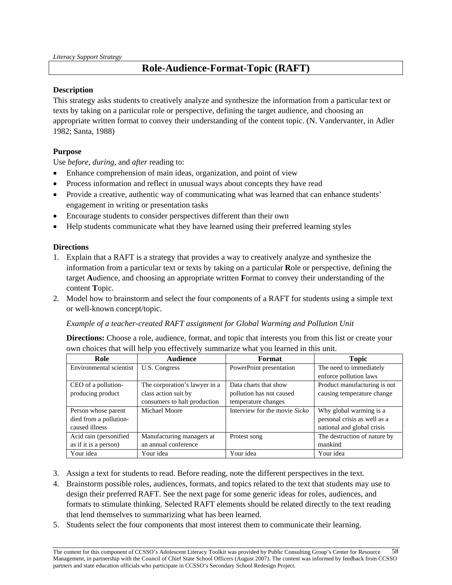# **Role-Audience-Format-Topic (RAFT)**

## **Description**

This strategy asks students to creatively analyze and synthesize the information from a particular text or texts by taking on a particular role or perspective, defining the target audience, and choosing an appropriate written format to convey their understanding of the content topic. (N. Vandervanter, in Adler 1982; Santa, 1988)

## **Purpose**

Use *before*, *during*, and *after* reading to:

- Enhance comprehension of main ideas, organization, and point of view
- Process information and reflect in unusual ways about concepts they have read
- Provide a creative, authentic way of communicating what was learned that can enhance students' engagement in writing or presentation tasks
- Encourage students to consider perspectives different than their own
- Help students communicate what they have learned using their preferred learning styles

#### **Directions**

- 1. Explain that a RAFT is a strategy that provides a way to creatively analyze and synthesize the information from a particular text or texts by taking on a particular **R**ole or perspective, defining the target **A**udience, and choosing an appropriate written **F**ormat to convey their understanding of the content **T**opic.
- 2. Model how to brainstorm and select the four components of a RAFT for students using a simple text or well-known concept/topic.

### *Example of a teacher-created RAFT assignment for Global Warming and Pollution Unit*

**Directions:** Choose a role, audience, format, and topic that interests you from this list or create your own choices that will help you effectively summarize what you learned in this unit.

| Role                    | <b>Audience</b>               | Format                        | <b>Topic</b>                 |
|-------------------------|-------------------------------|-------------------------------|------------------------------|
| Environmental scientist | U.S. Congress                 | PowerPoint presentation       | The need to immediately      |
|                         |                               |                               | enforce pollution laws       |
| CEO of a pollution-     | The corporation's lawyer in a | Data charts that show         | Product manufacturing is not |
| producing product       | class action suit by          | pollution has not caused      | causing temperature change   |
|                         | consumers to halt production  | temperature changes           |                              |
| Person whose parent     | Michael Moore                 | Interview for the movie Sicko | Why global warming is a      |
| died from a pollution-  |                               |                               | personal crisis as well as a |
| caused illness          |                               |                               | national and global crisis   |
| Acid rain (personified) | Manufacturing managers at     | Protest song                  | The destruction of nature by |
| as if it is a person)   | an annual conference          |                               | mankind                      |
| Your idea               | Your idea                     | Your idea                     | Your idea                    |

- 3. Assign a text for students to read. Before reading, note the different perspectives in the text.
- 4. Brainstorm possible roles, audiences, formats, and topics related to the text that students may use to design their preferred RAFT. See the next page for some generic ideas for roles, audiences, and formats to stimulate thinking. Selected RAFT elements should be related directly to the text reading that lend themselves to summarizing what has been learned.
- 5. Students select the four components that most interest them to communicate their learning.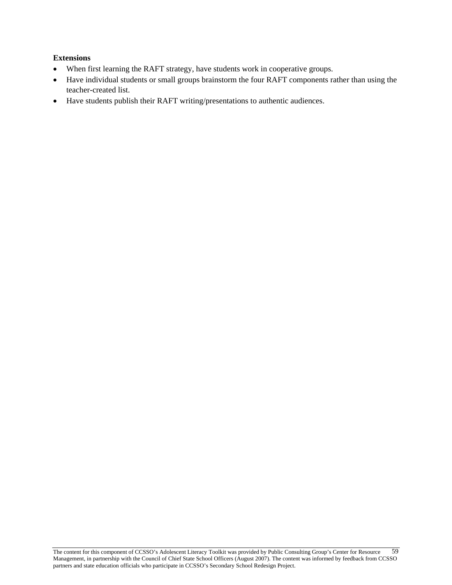### **Extensions**

- When first learning the RAFT strategy, have students work in cooperative groups.
- Have individual students or small groups brainstorm the four RAFT components rather than using the teacher-created list.
- Have students publish their RAFT writing/presentations to authentic audiences.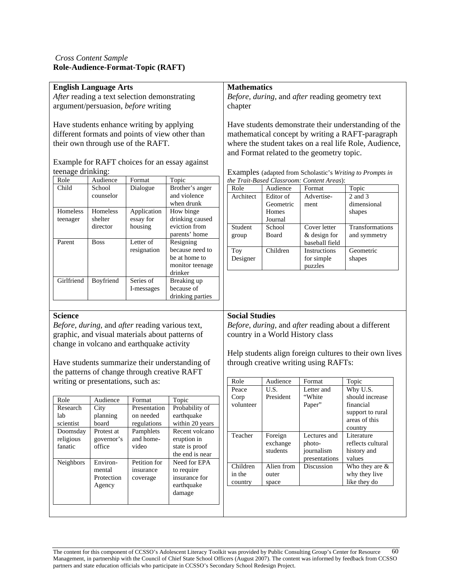#### *Cross Content Sample*  **Role-Audience-Format-Topic (RAFT)**

|                      | <b>English Language Arts</b>              |                                                 |                                                | <b>Mathematics</b>                                                                               |                                                      |                                            |                                                           |  |  |  |  |
|----------------------|-------------------------------------------|-------------------------------------------------|------------------------------------------------|--------------------------------------------------------------------------------------------------|------------------------------------------------------|--------------------------------------------|-----------------------------------------------------------|--|--|--|--|
|                      |                                           | After reading a text selection demonstrating    |                                                | Before, during, and after reading geometry text                                                  |                                                      |                                            |                                                           |  |  |  |  |
|                      |                                           | argument/persuasion, before writing             |                                                | chapter                                                                                          |                                                      |                                            |                                                           |  |  |  |  |
|                      | Have students enhance writing by applying |                                                 |                                                |                                                                                                  | Have students demonstrate their understanding of the |                                            |                                                           |  |  |  |  |
|                      |                                           | different formats and points of view other than |                                                |                                                                                                  |                                                      |                                            | mathematical concept by writing a RAFT-paragraph          |  |  |  |  |
|                      |                                           | their own through use of the RAFT.              |                                                |                                                                                                  |                                                      |                                            | where the student takes on a real life Role, Audience,    |  |  |  |  |
|                      |                                           |                                                 | Example for RAFT choices for an essay against  | and Format related to the geometry topic.                                                        |                                                      |                                            |                                                           |  |  |  |  |
| teenage drinking:    |                                           |                                                 |                                                |                                                                                                  |                                                      |                                            | Examples (adapted from Scholastic's Writing to Prompts in |  |  |  |  |
| Role                 | Audience                                  | Format                                          | Topic                                          |                                                                                                  |                                                      | the Trait-Based Classroom: Content Areas): |                                                           |  |  |  |  |
| Child                | School                                    | Dialogue                                        | Brother's anger                                | Role                                                                                             | Audience<br>Format<br>Topic                          |                                            |                                                           |  |  |  |  |
|                      | counselor                                 |                                                 | and violence<br>when drunk                     | Architect                                                                                        | Editor of<br>Geometric                               | Advertise-<br>ment                         | 2 and 3<br>dimensional                                    |  |  |  |  |
| Homeless<br>teenager | Homeless<br>shelter                       | Application<br>essay for                        | How binge<br>drinking caused                   |                                                                                                  | Homes<br>Journal                                     |                                            | shapes                                                    |  |  |  |  |
|                      | director                                  | housing                                         | eviction from                                  | Student                                                                                          | School                                               | Cover letter                               | Transformations                                           |  |  |  |  |
| Parent               | <b>Boss</b>                               | Letter of                                       | parents' home<br>Resigning                     | group                                                                                            | Board                                                | & design for<br>baseball field             | and symmetry                                              |  |  |  |  |
|                      |                                           | resignation                                     | because need to                                | Toy                                                                                              | Children                                             | Instructions                               | Geometric                                                 |  |  |  |  |
|                      | be at home to                             |                                                 |                                                | Designer                                                                                         |                                                      | for simple                                 | shapes                                                    |  |  |  |  |
|                      |                                           |                                                 | monitor teenage                                |                                                                                                  |                                                      | puzzles                                    |                                                           |  |  |  |  |
| Girlfriend           |                                           |                                                 | drinker                                        |                                                                                                  |                                                      |                                            |                                                           |  |  |  |  |
|                      | Boyfriend                                 | Series of<br>I-messages                         | Breaking up<br>because of                      |                                                                                                  |                                                      |                                            |                                                           |  |  |  |  |
|                      |                                           |                                                 | drinking parties                               |                                                                                                  |                                                      |                                            |                                                           |  |  |  |  |
|                      |                                           |                                                 |                                                |                                                                                                  |                                                      |                                            |                                                           |  |  |  |  |
| <b>Science</b>       |                                           |                                                 |                                                | <b>Social Studies</b>                                                                            |                                                      |                                            |                                                           |  |  |  |  |
|                      |                                           | Before, during, and after reading various text, |                                                | Before, during, and after reading about a different                                              |                                                      |                                            |                                                           |  |  |  |  |
|                      |                                           | graphic, and visual materials about patterns of |                                                |                                                                                                  | country in a World History class                     |                                            |                                                           |  |  |  |  |
|                      |                                           | change in volcano and earthquake activity       |                                                |                                                                                                  |                                                      |                                            |                                                           |  |  |  |  |
|                      |                                           |                                                 | Have students summarize their understanding of | Help students align foreign cultures to their own lives<br>through creative writing using RAFTs: |                                                      |                                            |                                                           |  |  |  |  |
|                      |                                           | the patterns of change through creative RAFT    |                                                |                                                                                                  |                                                      |                                            |                                                           |  |  |  |  |
|                      | writing or presentations, such as:        |                                                 |                                                | Role                                                                                             | Audience                                             | Format                                     | Topic                                                     |  |  |  |  |
|                      |                                           |                                                 |                                                | Peace                                                                                            | U.S.                                                 | Letter and                                 | Why U.S.                                                  |  |  |  |  |
| Role                 | Audience                                  | Format                                          | Topic                                          | Corp                                                                                             | President                                            | "White                                     | should increase                                           |  |  |  |  |
| Research             | City                                      | Presentation                                    | Probability of                                 | volunteer                                                                                        |                                                      | Paper"                                     | financial                                                 |  |  |  |  |
| lab                  | planning                                  | on needed                                       | earthquake                                     |                                                                                                  |                                                      |                                            | support to rural                                          |  |  |  |  |
| scientist            | board                                     | regulations                                     | within 20 years                                |                                                                                                  |                                                      |                                            | areas of this                                             |  |  |  |  |
| Doomsday             | Protest at                                | Pamphlets                                       | Recent volcano                                 | Teacher                                                                                          | Foreign                                              | Lectures and                               | country<br>Literature                                     |  |  |  |  |
| religious            | governor's                                | and home-                                       | eruption in                                    |                                                                                                  | exchange                                             | photo-                                     | reflects cultural                                         |  |  |  |  |
|                      | fanatic<br>office<br>video                |                                                 | state is proof                                 |                                                                                                  | students                                             | journalism                                 | history and                                               |  |  |  |  |
|                      |                                           |                                                 | the end is near<br>Need for EPA                |                                                                                                  |                                                      | presentations                              | values                                                    |  |  |  |  |
| Neighbors            | Environ-<br>mental                        | Petition for<br>insurance                       | to require                                     | Children                                                                                         | Alien from                                           | Discussion                                 | Who they are $&$                                          |  |  |  |  |
|                      | Protection                                | coverage                                        | insurance for                                  | in the                                                                                           | outer                                                |                                            | why they live                                             |  |  |  |  |
|                      | Agency                                    |                                                 | earthquake                                     | country                                                                                          | space                                                |                                            | like they do                                              |  |  |  |  |
|                      |                                           |                                                 | damage                                         |                                                                                                  |                                                      |                                            |                                                           |  |  |  |  |
|                      |                                           |                                                 |                                                |                                                                                                  |                                                      |                                            |                                                           |  |  |  |  |
|                      |                                           |                                                 |                                                |                                                                                                  |                                                      |                                            |                                                           |  |  |  |  |
|                      |                                           |                                                 |                                                |                                                                                                  |                                                      |                                            |                                                           |  |  |  |  |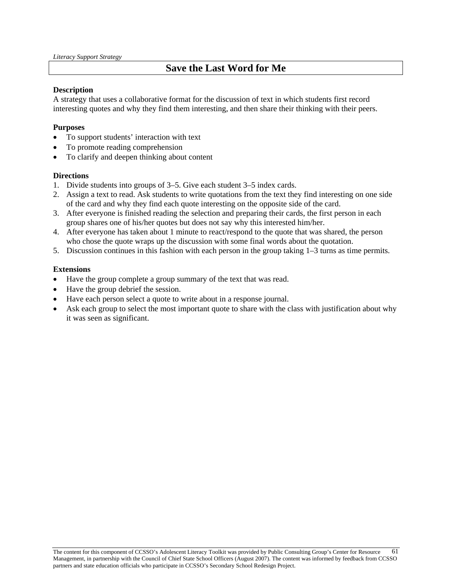# **Save the Last Word for Me**

#### **Description**

A strategy that uses a collaborative format for the discussion of text in which students first record interesting quotes and why they find them interesting, and then share their thinking with their peers.

#### **Purposes**

- To support students' interaction with text
- To promote reading comprehension
- To clarify and deepen thinking about content

#### **Directions**

- 1. Divide students into groups of 3–5. Give each student 3–5 index cards.
- 2. Assign a text to read. Ask students to write quotations from the text they find interesting on one side of the card and why they find each quote interesting on the opposite side of the card.
- 3. After everyone is finished reading the selection and preparing their cards, the first person in each group shares one of his/her quotes but does not say why this interested him/her.
- 4. After everyone has taken about 1 minute to react/respond to the quote that was shared, the person who chose the quote wraps up the discussion with some final words about the quotation.
- 5. Discussion continues in this fashion with each person in the group taking 1–3 turns as time permits.

- Have the group complete a group summary of the text that was read.
- Have the group debrief the session.
- Have each person select a quote to write about in a response journal.
- Ask each group to select the most important quote to share with the class with justification about why it was seen as significant.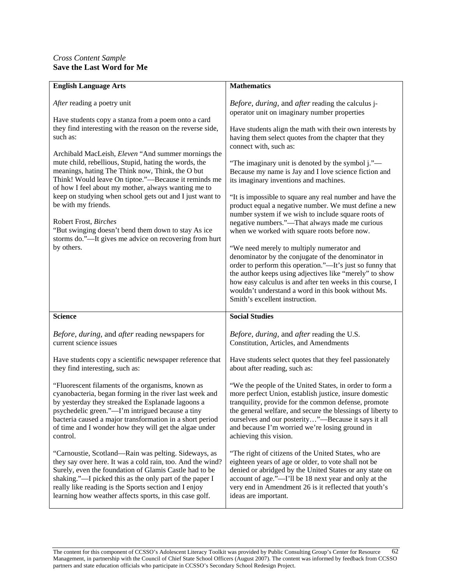| <b>English Language Arts</b>                                                                                         | <b>Mathematics</b>                                                                                                    |
|----------------------------------------------------------------------------------------------------------------------|-----------------------------------------------------------------------------------------------------------------------|
| After reading a poetry unit                                                                                          | <i>Before, during, and after reading the calculus j-</i><br>operator unit on imaginary number properties              |
| Have students copy a stanza from a poem onto a card<br>they find interesting with the reason on the reverse side,    |                                                                                                                       |
| such as:                                                                                                             | Have students align the math with their own interests by<br>having them select quotes from the chapter that they      |
| Archibald MacLeish, Eleven "And summer mornings the                                                                  | connect with, such as:                                                                                                |
| mute child, rebellious, Stupid, hating the words, the                                                                | "The imaginary unit is denoted by the symbol j."—                                                                     |
| meanings, hating The Think now, Think, the O but<br>Think! Would leave On tiptoe."-Because it reminds me             | Because my name is Jay and I love science fiction and<br>its imaginary inventions and machines.                       |
| of how I feel about my mother, always wanting me to                                                                  |                                                                                                                       |
| keep on studying when school gets out and I just want to<br>be with my friends.                                      | "It is impossible to square any real number and have the<br>product equal a negative number. We must define a new     |
|                                                                                                                      | number system if we wish to include square roots of                                                                   |
| Robert Frost, Birches<br>"But swinging doesn't bend them down to stay As ice                                         | negative numbers."-That always made me curious<br>when we worked with square roots before now.                        |
| storms do."-It gives me advice on recovering from hurt                                                               |                                                                                                                       |
| by others.                                                                                                           | "We need merely to multiply numerator and<br>denominator by the conjugate of the denominator in                       |
|                                                                                                                      | order to perform this operation."-It's just so funny that                                                             |
|                                                                                                                      | the author keeps using adjectives like "merely" to show<br>how easy calculus is and after ten weeks in this course, I |
|                                                                                                                      | wouldn't understand a word in this book without Ms.<br>Smith's excellent instruction.                                 |
|                                                                                                                      |                                                                                                                       |
| <b>Science</b>                                                                                                       | <b>Social Studies</b>                                                                                                 |
| Before, during, and after reading newspapers for                                                                     | Before, during, and after reading the U.S.                                                                            |
| current science issues                                                                                               | Constitution, Articles, and Amendments                                                                                |
| Have students copy a scientific newspaper reference that                                                             | Have students select quotes that they feel passionately                                                               |
| they find interesting, such as:                                                                                      | about after reading, such as:                                                                                         |
| "Fluorescent filaments of the organisms, known as<br>cyanobacteria, began forming in the river last week and         | "We the people of the United States, in order to form a<br>more perfect Union, establish justice, insure domestic     |
| by yesterday they streaked the Esplanade lagoons a                                                                   | tranquility, provide for the common defense, promote                                                                  |
| psychedelic green."—I'm intrigued because a tiny<br>bacteria caused a major transformation in a short period         | the general welfare, and secure the blessings of liberty to<br>ourselves and our posterity"-Because it says it all    |
| of time and I wonder how they will get the algae under                                                               | and because I'm worried we're losing ground in                                                                        |
| control.                                                                                                             | achieving this vision.                                                                                                |
| "Carnoustie, Scotland—Rain was pelting. Sideways, as                                                                 | "The right of citizens of the United States, who are                                                                  |
| they say over here. It was a cold rain, too. And the wind?<br>Surely, even the foundation of Glamis Castle had to be | eighteen years of age or older, to vote shall not be<br>denied or abridged by the United States or any state on       |
| shaking."—I picked this as the only part of the paper I<br>really like reading is the Sports section and I enjoy     | account of age."—I'll be 18 next year and only at the<br>very end in Amendment 26 is it reflected that youth's        |
| learning how weather affects sports, in this case golf.                                                              | ideas are important.                                                                                                  |
|                                                                                                                      |                                                                                                                       |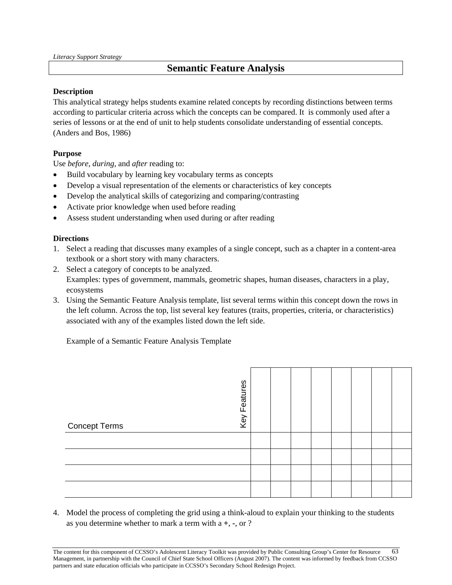# **Semantic Feature Analysis**

#### **Description**

This analytical strategy helps students examine related concepts by recording distinctions between terms according to particular criteria across which the concepts can be compared. It is commonly used after a series of lessons or at the end of unit to help students consolidate understanding of essential concepts. (Anders and Bos, 1986)

#### **Purpose**

Use *before*, *during*, and *after* reading to:

- Build vocabulary by learning key vocabulary terms as concepts
- Develop a visual representation of the elements or characteristics of key concepts
- Develop the analytical skills of categorizing and comparing/contrasting
- Activate prior knowledge when used before reading
- Assess student understanding when used during or after reading

#### **Directions**

- 1. Select a reading that discusses many examples of a single concept, such as a chapter in a content-area textbook or a short story with many characters.
- 2. Select a category of concepts to be analyzed. Examples: types of government, mammals, geometric shapes, human diseases, characters in a play, ecosystems
- 3. Using the Semantic Feature Analysis template, list several terms within this concept down the rows in the left column. Across the top, list several key features (traits, properties, criteria, or characteristics) associated with any of the examples listed down the left side.

Example of a Semantic Feature Analysis Template

| Key Features<br><b>Concept Terms</b> |  |  |  |  |
|--------------------------------------|--|--|--|--|
|                                      |  |  |  |  |
|                                      |  |  |  |  |
|                                      |  |  |  |  |
|                                      |  |  |  |  |

4. Model the process of completing the grid using a think-aloud to explain your thinking to the students as you determine whether to mark a term with a **+**, **-**, or ?

The content for this component of CCSSO's Adolescent Literacy Toolkit was provided by Public Consulting Group's Center for Resource Management, in partnership with the Council of Chief State School Officers (August 2007). The content was informed by feedback from CCSSO partners and state education officials who participate in CCSSO's Secondary School Redesign Project. 63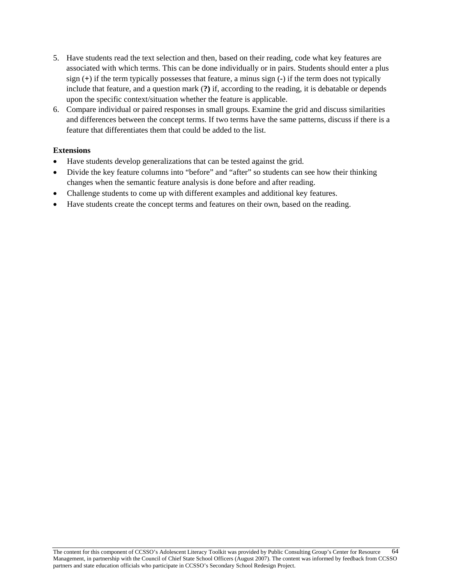- 5. Have students read the text selection and then, based on their reading, code what key features are associated with which terms. This can be done individually or in pairs. Students should enter a plus sign (**+**) if the term typically possesses that feature, a minus sign (**-**) if the term does not typically include that feature, and a question mark (**?)** if, according to the reading, it is debatable or depends upon the specific context/situation whether the feature is applicable.
- 6. Compare individual or paired responses in small groups. Examine the grid and discuss similarities and differences between the concept terms. If two terms have the same patterns, discuss if there is a feature that differentiates them that could be added to the list.

#### **Extensions**

- Have students develop generalizations that can be tested against the grid.
- Divide the key feature columns into "before" and "after" so students can see how their thinking changes when the semantic feature analysis is done before and after reading.
- Challenge students to come up with different examples and additional key features.
- Have students create the concept terms and features on their own, based on the reading.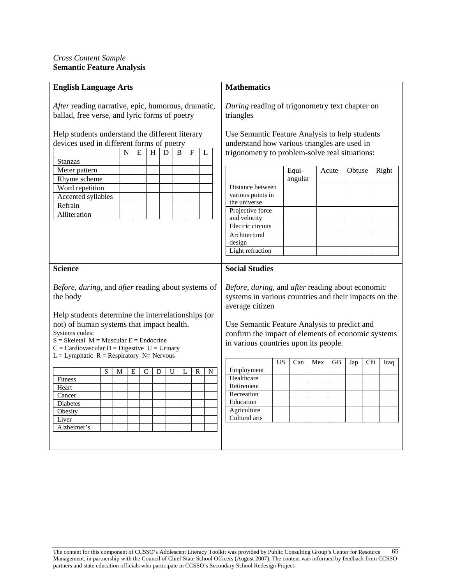| <b>English Language Arts</b>                                                                                                                                                                                                                                                                                                                                                                                                                                                                                                                                                                                           |   |   |   |   |   | <b>Mathematics</b>                                          |           |     |     |                                                |     |         |      |       |        |  |       |
|------------------------------------------------------------------------------------------------------------------------------------------------------------------------------------------------------------------------------------------------------------------------------------------------------------------------------------------------------------------------------------------------------------------------------------------------------------------------------------------------------------------------------------------------------------------------------------------------------------------------|---|---|---|---|---|-------------------------------------------------------------|-----------|-----|-----|------------------------------------------------|-----|---------|------|-------|--------|--|-------|
| After reading narrative, epic, humorous, dramatic,<br>ballad, free verse, and lyric forms of poetry                                                                                                                                                                                                                                                                                                                                                                                                                                                                                                                    |   |   |   |   |   | During reading of trigonometry text chapter on<br>triangles |           |     |     |                                                |     |         |      |       |        |  |       |
| Help students understand the different literary                                                                                                                                                                                                                                                                                                                                                                                                                                                                                                                                                                        |   |   |   |   |   |                                                             |           |     |     | Use Semantic Feature Analysis to help students |     |         |      |       |        |  |       |
| devices used in different forms of poetry                                                                                                                                                                                                                                                                                                                                                                                                                                                                                                                                                                              |   |   |   |   |   |                                                             |           |     |     | understand how various triangles are used in   |     |         |      |       |        |  |       |
|                                                                                                                                                                                                                                                                                                                                                                                                                                                                                                                                                                                                                        | N | E | H | D | B | $\mathbf F$                                                 |           | L   |     | trigonometry to problem-solve real situations: |     |         |      |       |        |  |       |
| <b>Stanzas</b>                                                                                                                                                                                                                                                                                                                                                                                                                                                                                                                                                                                                         |   |   |   |   |   |                                                             |           |     |     |                                                |     |         |      |       |        |  |       |
| Meter pattern                                                                                                                                                                                                                                                                                                                                                                                                                                                                                                                                                                                                          |   |   |   |   |   |                                                             |           |     |     |                                                |     | Equi-   |      | Acute | Obtuse |  | Right |
| Rhyme scheme                                                                                                                                                                                                                                                                                                                                                                                                                                                                                                                                                                                                           |   |   |   |   |   |                                                             |           |     |     |                                                |     | angular |      |       |        |  |       |
| Word repetition                                                                                                                                                                                                                                                                                                                                                                                                                                                                                                                                                                                                        |   |   |   |   |   |                                                             |           |     |     | Distance between                               |     |         |      |       |        |  |       |
| Accented syllables                                                                                                                                                                                                                                                                                                                                                                                                                                                                                                                                                                                                     |   |   |   |   |   |                                                             |           |     |     | various points in                              |     |         |      |       |        |  |       |
| Refrain                                                                                                                                                                                                                                                                                                                                                                                                                                                                                                                                                                                                                |   |   |   |   |   |                                                             |           |     |     | the universe<br>Projective force               |     |         |      |       |        |  |       |
| Alliteration                                                                                                                                                                                                                                                                                                                                                                                                                                                                                                                                                                                                           |   |   |   |   |   |                                                             |           |     |     | and velocity                                   |     |         |      |       |        |  |       |
|                                                                                                                                                                                                                                                                                                                                                                                                                                                                                                                                                                                                                        |   |   |   |   |   |                                                             |           |     |     | Electric circuits                              |     |         |      |       |        |  |       |
|                                                                                                                                                                                                                                                                                                                                                                                                                                                                                                                                                                                                                        |   |   |   |   |   |                                                             |           |     |     | Architectural                                  |     |         |      |       |        |  |       |
|                                                                                                                                                                                                                                                                                                                                                                                                                                                                                                                                                                                                                        |   |   |   |   |   |                                                             |           |     |     | design                                         |     |         |      |       |        |  |       |
|                                                                                                                                                                                                                                                                                                                                                                                                                                                                                                                                                                                                                        |   |   |   |   |   |                                                             |           |     |     | Light refraction                               |     |         |      |       |        |  |       |
|                                                                                                                                                                                                                                                                                                                                                                                                                                                                                                                                                                                                                        |   |   |   |   |   |                                                             |           |     |     |                                                |     |         |      |       |        |  |       |
| <b>Science</b>                                                                                                                                                                                                                                                                                                                                                                                                                                                                                                                                                                                                         |   |   |   |   |   |                                                             |           |     |     | <b>Social Studies</b>                          |     |         |      |       |        |  |       |
| Before, during, and after reading about systems of<br>Before, during, and after reading about economic<br>systems in various countries and their impacts on the<br>the body<br>average citizen<br>Help students determine the interrelationships (or<br>not) of human systems that impact health.<br>Use Semantic Feature Analysis to predict and<br>Systems codes:<br>confirm the impact of elements of economic systems<br>$S = S$ keletal M = Muscular E = Endocrine<br>in various countries upon its people.<br>$C =$ Cardiovascular D = Digestive U = Urinary<br>$L = L$ ymphatic $R =$ Respiratory $N =$ Nervous |   |   |   |   |   |                                                             | <b>US</b> | Can | Mex | <b>GB</b>                                      | Jap | Chi     | Iraq |       |        |  |       |
| S                                                                                                                                                                                                                                                                                                                                                                                                                                                                                                                                                                                                                      | M | E | C | D | U | L                                                           | R         | N   |     | Employment                                     |     |         |      |       |        |  |       |
| Fitness                                                                                                                                                                                                                                                                                                                                                                                                                                                                                                                                                                                                                |   |   |   |   |   |                                                             |           |     |     | Healthcare                                     |     |         |      |       |        |  |       |
| Heart                                                                                                                                                                                                                                                                                                                                                                                                                                                                                                                                                                                                                  |   |   |   |   |   |                                                             |           |     |     | Retirement                                     |     |         |      |       |        |  |       |
| Cancer                                                                                                                                                                                                                                                                                                                                                                                                                                                                                                                                                                                                                 |   |   |   |   |   |                                                             |           |     |     | Recreation                                     |     |         |      |       |        |  |       |
| Diabetes                                                                                                                                                                                                                                                                                                                                                                                                                                                                                                                                                                                                               |   |   |   |   |   |                                                             |           |     |     | Education                                      |     |         |      |       |        |  |       |
| Obesity                                                                                                                                                                                                                                                                                                                                                                                                                                                                                                                                                                                                                |   |   |   |   |   |                                                             |           |     |     | Agriculture                                    |     |         |      |       |        |  |       |
| Liver                                                                                                                                                                                                                                                                                                                                                                                                                                                                                                                                                                                                                  |   |   |   |   |   |                                                             |           |     |     | Cultural arts                                  |     |         |      |       |        |  |       |
| Alzheimer's                                                                                                                                                                                                                                                                                                                                                                                                                                                                                                                                                                                                            |   |   |   |   |   |                                                             |           |     |     |                                                |     |         |      |       |        |  |       |
|                                                                                                                                                                                                                                                                                                                                                                                                                                                                                                                                                                                                                        |   |   |   |   |   |                                                             |           |     |     |                                                |     |         |      |       |        |  |       |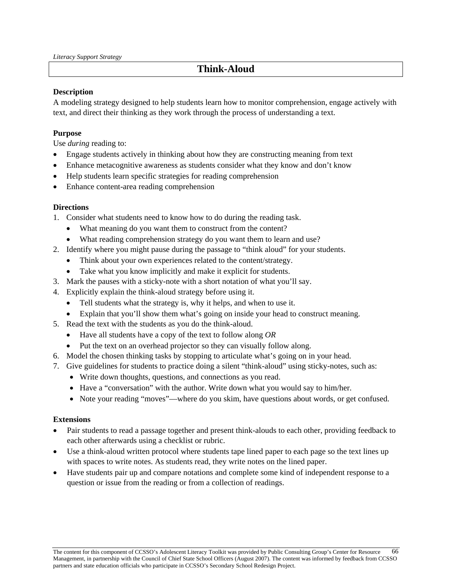## **Think-Aloud**

#### **Description**

A modeling strategy designed to help students learn how to monitor comprehension, engage actively with text, and direct their thinking as they work through the process of understanding a text.

#### **Purpose**

Use *during* reading to:

- Engage students actively in thinking about how they are constructing meaning from text
- Enhance metacognitive awareness as students consider what they know and don't know
- Help students learn specific strategies for reading comprehension
- Enhance content-area reading comprehension

### **Directions**

1. Consider what students need to know how to do during the reading task.

- What meaning do you want them to construct from the content?
- What reading comprehension strategy do you want them to learn and use?
- 2. Identify where you might pause during the passage to "think aloud" for your students.
	- Think about your own experiences related to the content/strategy.
	- Take what you know implicitly and make it explicit for students.
- 3. Mark the pauses with a sticky-note with a short notation of what you'll say.
- 4. Explicitly explain the think-aloud strategy before using it.
	- Tell students what the strategy is, why it helps, and when to use it.
	- Explain that you'll show them what's going on inside your head to construct meaning.
- 5. Read the text with the students as you do the think-aloud.
	- Have all students have a copy of the text to follow along *OR*
	- Put the text on an overhead projector so they can visually follow along.
- 6. Model the chosen thinking tasks by stopping to articulate what's going on in your head.
- 7. Give guidelines for students to practice doing a silent "think-aloud" using sticky-notes, such as:
	- Write down thoughts, questions, and connections as you read.
	- Have a "conversation" with the author. Write down what you would say to him/her.
	- Note your reading "moves"—where do you skim, have questions about words, or get confused.

- Pair students to read a passage together and present think-alouds to each other, providing feedback to each other afterwards using a checklist or rubric.
- Use a think-aloud written protocol where students tape lined paper to each page so the text lines up with spaces to write notes. As students read, they write notes on the lined paper.
- Have students pair up and compare notations and complete some kind of independent response to a question or issue from the reading or from a collection of readings.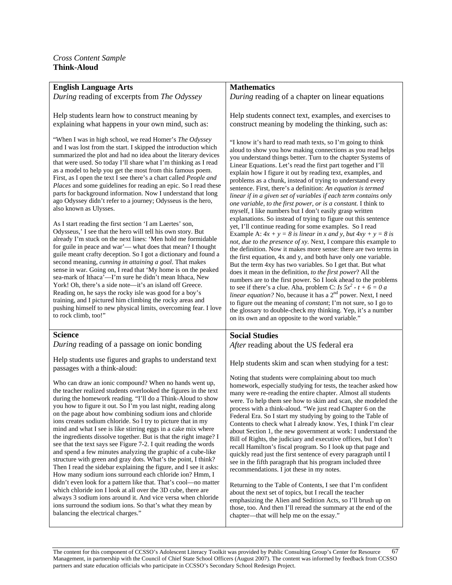#### *Cross Content Sample*  **Think-Aloud**

| <b>English Language Arts</b>                                                                                                                                                                                                                                                                                                                                                                                                                                                                                                                                                                                                                                                                                                                                                                                                                                       | <b>Mathematics</b>                                                                                                                                                                                                                                                                                                                                                                                                                                                                                                                                                                                                                                                                                                                                                                                                                                                                                                                                                                                                                                                                                                                                                                                                                                                                                                                                                                                                                                                                                                                                                                                            |  |  |  |  |
|--------------------------------------------------------------------------------------------------------------------------------------------------------------------------------------------------------------------------------------------------------------------------------------------------------------------------------------------------------------------------------------------------------------------------------------------------------------------------------------------------------------------------------------------------------------------------------------------------------------------------------------------------------------------------------------------------------------------------------------------------------------------------------------------------------------------------------------------------------------------|---------------------------------------------------------------------------------------------------------------------------------------------------------------------------------------------------------------------------------------------------------------------------------------------------------------------------------------------------------------------------------------------------------------------------------------------------------------------------------------------------------------------------------------------------------------------------------------------------------------------------------------------------------------------------------------------------------------------------------------------------------------------------------------------------------------------------------------------------------------------------------------------------------------------------------------------------------------------------------------------------------------------------------------------------------------------------------------------------------------------------------------------------------------------------------------------------------------------------------------------------------------------------------------------------------------------------------------------------------------------------------------------------------------------------------------------------------------------------------------------------------------------------------------------------------------------------------------------------------------|--|--|--|--|
| During reading of excerpts from The Odyssey                                                                                                                                                                                                                                                                                                                                                                                                                                                                                                                                                                                                                                                                                                                                                                                                                        | During reading of a chapter on linear equations                                                                                                                                                                                                                                                                                                                                                                                                                                                                                                                                                                                                                                                                                                                                                                                                                                                                                                                                                                                                                                                                                                                                                                                                                                                                                                                                                                                                                                                                                                                                                               |  |  |  |  |
| Help students learn how to construct meaning by                                                                                                                                                                                                                                                                                                                                                                                                                                                                                                                                                                                                                                                                                                                                                                                                                    | Help students connect text, examples, and exercises to                                                                                                                                                                                                                                                                                                                                                                                                                                                                                                                                                                                                                                                                                                                                                                                                                                                                                                                                                                                                                                                                                                                                                                                                                                                                                                                                                                                                                                                                                                                                                        |  |  |  |  |
| explaining what happens in your own mind, such as:                                                                                                                                                                                                                                                                                                                                                                                                                                                                                                                                                                                                                                                                                                                                                                                                                 | construct meaning by modeling the thinking, such as:                                                                                                                                                                                                                                                                                                                                                                                                                                                                                                                                                                                                                                                                                                                                                                                                                                                                                                                                                                                                                                                                                                                                                                                                                                                                                                                                                                                                                                                                                                                                                          |  |  |  |  |
| "When I was in high school, we read Homer's The Odyssey<br>and I was lost from the start. I skipped the introduction which<br>summarized the plot and had no idea about the literary devices<br>that were used. So today I'll share what I'm thinking as I read<br>as a model to help you get the most from this famous poem.<br>First, as I open the text I see there's a chart called People and<br>Places and some guidelines for reading an epic. So I read these<br>parts for background information. Now I understand that long<br>ago Odyssey didn't refer to a journey; Odysseus is the hero,<br>also known as Ulysses.                                                                                                                                                                                                                                    | "I know it's hard to read math texts, so I'm going to think<br>aloud to show you how making connections as you read helps<br>you understand things better. Turn to the chapter Systems of<br>Linear Equations. Let's read the first part together and I'll<br>explain how I figure it out by reading text, examples, and<br>problems as a chunk, instead of trying to understand every<br>sentence. First, there's a definition: An equation is termed<br>linear if in a given set of variables if each term contains only<br>one variable, to the first power, or is a constant. I think to<br>myself, I like numbers but I don't easily grasp written<br>explanations. So instead of trying to figure out this sentence<br>yet, I'll continue reading for some examples. So I read<br>Example A: $4x + y = 8$ is linear in x and y, but $4xy + y = 8$ is<br>not, due to the presence of xy. Next, I compare this example to<br>the definition. Now it makes more sense: there are two terms in<br>the first equation, 4x and y, and both have only one variable.<br>But the term 4xy has two variables. So I get that. But what<br>does it mean in the definition, to the first power? All the<br>numbers are to the first power. So I look ahead to the problems<br>to see if there's a clue. Aha, problem C: Is $5x^2 - t + 6 = 0$ a<br>linear equation? No, because it has a 2 <sup>nd</sup> power. Next, I need<br>to figure out the meaning of constant; I'm not sure, so I go to<br>the glossary to double-check my thinking. Yep, it's a number<br>on its own and an opposite to the word variable." |  |  |  |  |
| As I start reading the first section 'I am Laertes' son,<br>Odysseus,' I see that the hero will tell his own story. But<br>already I'm stuck on the next lines: 'Men hold me formidable<br>for guile in peace and war'— what does that mean? I thought<br>guile meant crafty deception. So I got a dictionary and found a<br>second meaning, cunning in attaining a goal. That makes<br>sense in war. Going on, I read that 'My home is on the peaked<br>sea-mark of Ithaca'—I'm sure he didn't mean Ithaca, New<br>York! Oh, there's a side note—it's an island off Greece.<br>Reading on, he says the rocky isle was good for a boy's<br>training, and I pictured him climbing the rocky areas and<br>pushing himself to new physical limits, overcoming fear. I love<br>to rock climb, too!"                                                                    |                                                                                                                                                                                                                                                                                                                                                                                                                                                                                                                                                                                                                                                                                                                                                                                                                                                                                                                                                                                                                                                                                                                                                                                                                                                                                                                                                                                                                                                                                                                                                                                                               |  |  |  |  |
| <b>Science</b>                                                                                                                                                                                                                                                                                                                                                                                                                                                                                                                                                                                                                                                                                                                                                                                                                                                     | <b>Social Studies</b>                                                                                                                                                                                                                                                                                                                                                                                                                                                                                                                                                                                                                                                                                                                                                                                                                                                                                                                                                                                                                                                                                                                                                                                                                                                                                                                                                                                                                                                                                                                                                                                         |  |  |  |  |
| During reading of a passage on ionic bonding                                                                                                                                                                                                                                                                                                                                                                                                                                                                                                                                                                                                                                                                                                                                                                                                                       | After reading about the US federal era                                                                                                                                                                                                                                                                                                                                                                                                                                                                                                                                                                                                                                                                                                                                                                                                                                                                                                                                                                                                                                                                                                                                                                                                                                                                                                                                                                                                                                                                                                                                                                        |  |  |  |  |
| Help students use figures and graphs to understand text<br>passages with a think-aloud:                                                                                                                                                                                                                                                                                                                                                                                                                                                                                                                                                                                                                                                                                                                                                                            | Help students skim and scan when studying for a test:                                                                                                                                                                                                                                                                                                                                                                                                                                                                                                                                                                                                                                                                                                                                                                                                                                                                                                                                                                                                                                                                                                                                                                                                                                                                                                                                                                                                                                                                                                                                                         |  |  |  |  |
| Who can draw an ionic compound? When no hands went up,<br>the teacher realized students overlooked the figures in the text<br>during the homework reading. "I'll do a Think-Aloud to show<br>you how to figure it out. So I'm you last night, reading along<br>on the page about how combining sodium ions and chloride<br>ions creates sodium chloride. So I try to picture that in my<br>mind and what I see is like stirring eggs in a cake mix where<br>the ingredients dissolve together. But is that the right image? I<br>see that the text says see Figure 7-2. I quit reading the words<br>and spend a few minutes analyzing the graphic of a cube-like<br>structure with green and gray dots. What's the point, I think?<br>Then I read the sidebar explaining the figure, and I see it asks:<br>How many sodium ions surround each chloride ion? Hmm, I | Noting that students were complaining about too much<br>homework, especially studying for tests, the teacher asked how<br>many were re-reading the entire chapter. Almost all students<br>were. To help them see how to skim and scan, she modeled the<br>process with a think-aloud. "We just read Chapter 6 on the<br>Federal Era. So I start my studying by going to the Table of<br>Contents to check what I already know. Yes, I think I'm clear<br>about Section 1, the new government at work: I understand the<br>Bill of Rights, the judiciary and executive offices, but I don't<br>recall Hamilton's fiscal program. So I look up that page and<br>quickly read just the first sentence of every paragraph until I<br>see in the fifth paragraph that his program included three<br>recommendations. I jot these in my notes.                                                                                                                                                                                                                                                                                                                                                                                                                                                                                                                                                                                                                                                                                                                                                                      |  |  |  |  |
| didn't even look for a pattern like that. That's cool-no matter<br>which chloride ion I look at all over the 3D cube, there are<br>always 3 sodium ions around it. And vice versa when chloride<br>ions surround the sodium ions. So that's what they mean by<br>balancing the electrical charges."                                                                                                                                                                                                                                                                                                                                                                                                                                                                                                                                                                | Returning to the Table of Contents, I see that I'm confident<br>about the next set of topics, but I recall the teacher<br>emphasizing the Alien and Sedition Acts, so I'll brush up on<br>those, too. And then I'll reread the summary at the end of the<br>chapter----that will help me on the essay."                                                                                                                                                                                                                                                                                                                                                                                                                                                                                                                                                                                                                                                                                                                                                                                                                                                                                                                                                                                                                                                                                                                                                                                                                                                                                                       |  |  |  |  |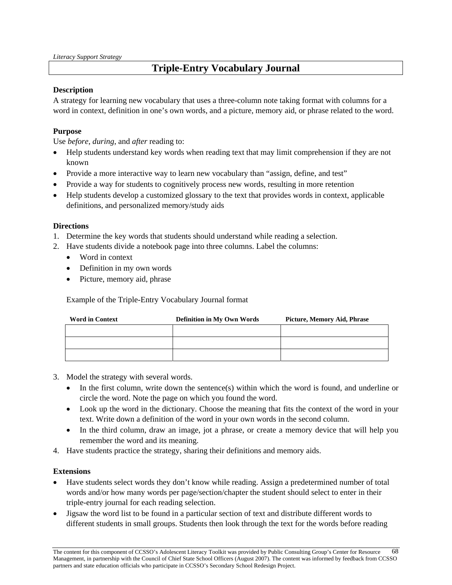# **Triple-Entry Vocabulary Journal**

### **Description**

A strategy for learning new vocabulary that uses a three-column note taking format with columns for a word in context, definition in one's own words, and a picture, memory aid, or phrase related to the word.

### **Purpose**

Use *before*, *during*, and *after* reading to:

- Help students understand key words when reading text that may limit comprehension if they are not known
- Provide a more interactive way to learn new vocabulary than "assign, define, and test"
- Provide a way for students to cognitively process new words, resulting in more retention
- Help students develop a customized glossary to the text that provides words in context, applicable definitions, and personalized memory/study aids

#### **Directions**

- 1. Determine the key words that students should understand while reading a selection.
- 2. Have students divide a notebook page into three columns. Label the columns:
	- Word in context
	- Definition in my own words
	- Picture, memory aid, phrase

Example of the Triple-Entry Vocabulary Journal format

| <b>Word in Context</b> | <b>Definition in My Own Words</b> | Picture, Memory Aid, Phrase |  |  |  |
|------------------------|-----------------------------------|-----------------------------|--|--|--|
|                        |                                   |                             |  |  |  |
|                        |                                   |                             |  |  |  |
|                        |                                   |                             |  |  |  |

- 3. Model the strategy with several words.
	- In the first column, write down the sentence(s) within which the word is found, and underline or circle the word. Note the page on which you found the word.
	- Look up the word in the dictionary. Choose the meaning that fits the context of the word in your text. Write down a definition of the word in your own words in the second column.
	- In the third column, draw an image, jot a phrase, or create a memory device that will help you remember the word and its meaning.
- 4. Have students practice the strategy, sharing their definitions and memory aids.

- Have students select words they don't know while reading. Assign a predetermined number of total words and/or how many words per page/section/chapter the student should select to enter in their triple-entry journal for each reading selection.
- Jigsaw the word list to be found in a particular section of text and distribute different words to different students in small groups. Students then look through the text for the words before reading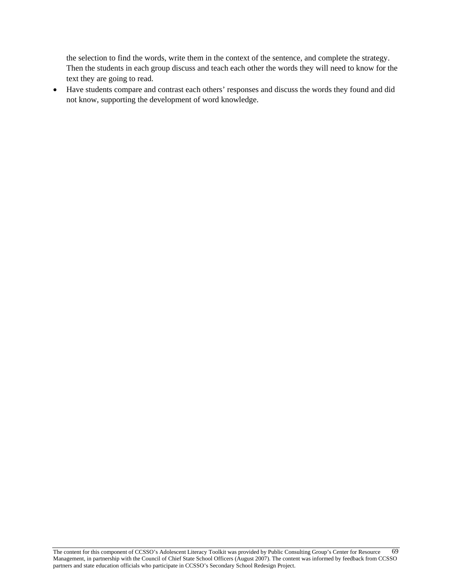the selection to find the words, write them in the context of the sentence, and complete the strategy. Then the students in each group discuss and teach each other the words they will need to know for the text they are going to read.

• Have students compare and contrast each others' responses and discuss the words they found and did not know, supporting the development of word knowledge.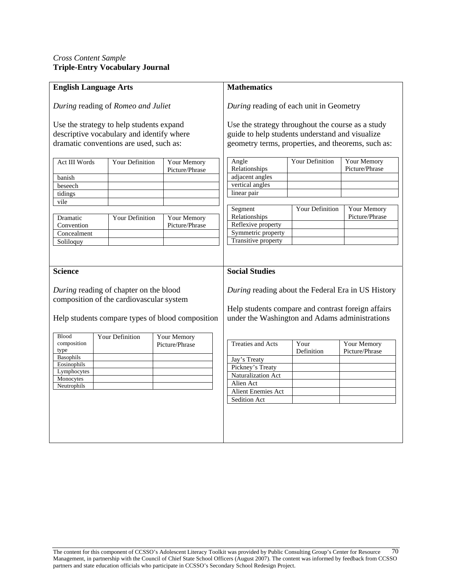#### *Cross Content Sample*  **Triple-Entry Vocabulary Journal**

| <b>English Language Arts</b>                     |                        |                | <b>Mathematics</b>                                 |                        |                    |  |
|--------------------------------------------------|------------------------|----------------|----------------------------------------------------|------------------------|--------------------|--|
| During reading of Romeo and Juliet               |                        |                | During reading of each unit in Geometry            |                        |                    |  |
| Use the strategy to help students expand         |                        |                | Use the strategy throughout the course as a study  |                        |                    |  |
| descriptive vocabulary and identify where        |                        |                | guide to help students understand and visualize    |                        |                    |  |
| dramatic conventions are used, such as:          |                        |                | geometry terms, properties, and theorems, such as: |                        |                    |  |
|                                                  |                        |                |                                                    |                        |                    |  |
| <b>Act III Words</b>                             | <b>Your Definition</b> | Your Memory    | Angle                                              | <b>Your Definition</b> | <b>Your Memory</b> |  |
|                                                  |                        | Picture/Phrase | Relationships                                      |                        | Picture/Phrase     |  |
| banish                                           |                        |                | adjacent angles                                    |                        |                    |  |
| beseech                                          |                        |                | vertical angles                                    |                        |                    |  |
| tidings                                          |                        |                | linear pair                                        |                        |                    |  |
| vile                                             |                        |                |                                                    |                        |                    |  |
|                                                  |                        |                | Segment                                            | <b>Your Definition</b> | Your Memory        |  |
| Dramatic                                         | <b>Your Definition</b> | Your Memory    | Relationships                                      |                        | Picture/Phrase     |  |
| Convention                                       |                        | Picture/Phrase | Reflexive property<br>Symmetric property           |                        |                    |  |
| Concealment                                      |                        |                | Transitive property                                |                        |                    |  |
| Soliloquy                                        |                        |                |                                                    |                        |                    |  |
|                                                  |                        |                |                                                    |                        |                    |  |
|                                                  |                        |                |                                                    |                        |                    |  |
| <b>Science</b>                                   |                        |                | <b>Social Studies</b>                              |                        |                    |  |
|                                                  |                        |                |                                                    |                        |                    |  |
| During reading of chapter on the blood           |                        |                | During reading about the Federal Era in US History |                        |                    |  |
| composition of the cardiovascular system         |                        |                |                                                    |                        |                    |  |
|                                                  |                        |                | Help students compare and contrast foreign affairs |                        |                    |  |
|                                                  |                        |                | under the Washington and Adams administrations     |                        |                    |  |
| Help students compare types of blood composition |                        |                |                                                    |                        |                    |  |
|                                                  |                        |                |                                                    |                        |                    |  |
| Blood<br>composition                             | <b>Your Definition</b> | Your Memory    | <b>Treaties and Acts</b>                           | Your                   | <b>Your Memory</b> |  |
| type                                             |                        | Picture/Phrase |                                                    | Definition             | Picture/Phrase     |  |
| <b>Basophils</b>                                 |                        |                | Jay's Treaty                                       |                        |                    |  |
| Eosinophils                                      |                        |                | Pickney's Treaty                                   |                        |                    |  |
| Lymphocytes                                      |                        |                | Naturalization Act                                 |                        |                    |  |
| Monocytes                                        |                        |                | Alien Act                                          |                        |                    |  |
| Neutrophils                                      |                        |                | <b>Alient Enemies Act</b>                          |                        |                    |  |
|                                                  |                        |                | Sedition Act                                       |                        |                    |  |
|                                                  |                        |                |                                                    |                        |                    |  |
|                                                  |                        |                |                                                    |                        |                    |  |
|                                                  |                        |                |                                                    |                        |                    |  |
|                                                  |                        |                |                                                    |                        |                    |  |
|                                                  |                        |                |                                                    |                        |                    |  |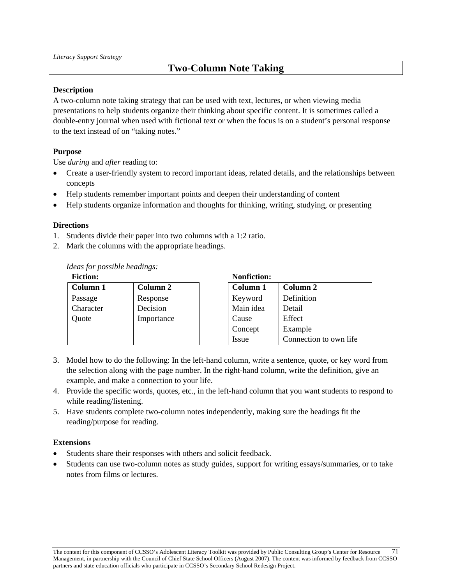# **Two-Column Note Taking**

#### **Description**

A two-column note taking strategy that can be used with text, lectures, or when viewing media presentations to help students organize their thinking about specific content. It is sometimes called a double-entry journal when used with fictional text or when the focus is on a student's personal response to the text instead of on "taking notes."

#### **Purpose**

Use *during* and *after* reading to:

- Create a user-friendly system to record important ideas, related details, and the relationships between concepts
- Help students remember important points and deepen their understanding of content
- Help students organize information and thoughts for thinking, writing, studying, or presenting

#### **Directions**

- 1. Students divide their paper into two columns with a 1:2 ratio.
- 2. Mark the columns with the appropriate headings.

*Ideas for possible headings:* 

| Column 1  | Column 2   | Column <sub>1</sub> | Column 2   |
|-----------|------------|---------------------|------------|
| Passage   | Response   | Keyword             | Definition |
| Character | Decision   | Main idea           | Detail     |
| Quote     | Importance | Cause               | Effect     |
|           |            | Concept             | Example    |
|           |            | Issue               | Connection |

#### Fiction: Nonfiction:

| Column 1     | Column 2               |
|--------------|------------------------|
| Keyword      | Definition             |
| Main idea    | Detail                 |
| Cause        | Effect                 |
| Concept      | Example                |
| <i>Issue</i> | Connection to own life |

- 3. Model how to do the following: In the left-hand column, write a sentence, quote, or key word from the selection along with the page number. In the right-hand column, write the definition, give an example, and make a connection to your life.
- 4. Provide the specific words, quotes, etc., in the left-hand column that you want students to respond to while reading/listening.
- 5. Have students complete two-column notes independently, making sure the headings fit the reading/purpose for reading.

#### **Extensions**

- Students share their responses with others and solicit feedback.
- Students can use two-column notes as study guides, support for writing essays/summaries, or to take notes from films or lectures.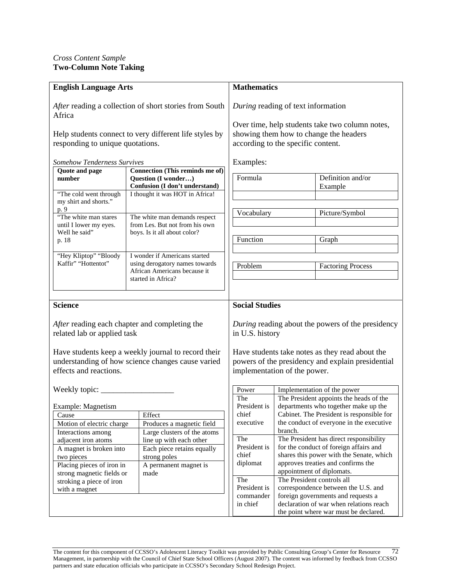#### *Cross Content Sample*  **Two-Column Note Taking**

| <b>English Language Arts</b>                                                               |                                                                                                                       | <b>Mathematics</b>                                                                                                              |                                    |                                                                                       |
|--------------------------------------------------------------------------------------------|-----------------------------------------------------------------------------------------------------------------------|---------------------------------------------------------------------------------------------------------------------------------|------------------------------------|---------------------------------------------------------------------------------------|
| After reading a collection of short stories from South<br>Africa                           |                                                                                                                       | During reading of text information<br>Over time, help students take two column notes,<br>showing them how to change the headers |                                    |                                                                                       |
| Help students connect to very different life styles by<br>responding to unique quotations. |                                                                                                                       |                                                                                                                                 | according to the specific content. |                                                                                       |
| <b>Somehow Tenderness Survives</b>                                                         |                                                                                                                       | Examples:                                                                                                                       |                                    |                                                                                       |
| Quote and page<br>number                                                                   | <b>Connection (This reminds me of)</b><br>Question (I wonder)<br>Confusion (I don't understand)                       | Formula                                                                                                                         |                                    | Definition and/or<br>Example                                                          |
| "The cold went through<br>my shirt and shorts."                                            | I thought it was HOT in Africa!                                                                                       |                                                                                                                                 |                                    |                                                                                       |
| p. 9<br>"The white man stares<br>until I lower my eyes.                                    | The white man demands respect<br>from Les. But not from his own                                                       | Vocabulary                                                                                                                      |                                    | Picture/Symbol                                                                        |
| Well he said"<br>p. 18                                                                     | boys. Is it all about color?                                                                                          | Function                                                                                                                        |                                    | Graph                                                                                 |
| "Hey Kliptop" "Bloody<br>Kaffir" "Hottentot"                                               | I wonder if Americans started<br>using derogatory names towards<br>African Americans because it<br>started in Africa? | Problem                                                                                                                         |                                    | <b>Factoring Process</b>                                                              |
| <b>Science</b>                                                                             |                                                                                                                       | <b>Social Studies</b>                                                                                                           |                                    |                                                                                       |
| After reading each chapter and completing the<br>related lab or applied task               |                                                                                                                       | During reading about the powers of the presidency<br>in U.S. history                                                            |                                    |                                                                                       |
| Have students keep a weekly journal to record their                                        |                                                                                                                       | Have students take notes as they read about the                                                                                 |                                    |                                                                                       |
| understanding of how science changes cause varied<br>effects and reactions.                |                                                                                                                       | powers of the presidency and explain presidential<br>implementation of the power.                                               |                                    |                                                                                       |
| Weekly topic:                                                                              |                                                                                                                       | Power<br>The                                                                                                                    |                                    | Implementation of the power<br>The President appoints the heads of the                |
| Example: Magnetism                                                                         |                                                                                                                       | President is                                                                                                                    |                                    | departments who together make up the                                                  |
| Cause<br>Motion of electric charge                                                         | Effect<br>Produces a magnetic field                                                                                   | chief<br>executive                                                                                                              |                                    | Cabinet. The President is responsible for<br>the conduct of everyone in the executive |
| Interactions among                                                                         | Large clusters of the atoms                                                                                           |                                                                                                                                 | branch.                            |                                                                                       |
| adjacent iron atoms                                                                        | line up with each other                                                                                               | The<br>President is                                                                                                             |                                    | The President has direct responsibility<br>for the conduct of foreign affairs and     |
| A magnet is broken into                                                                    | Each piece retains equally                                                                                            | chief                                                                                                                           |                                    | shares this power with the Senate, which                                              |
| two pieces<br>Placing pieces of iron in                                                    | strong poles<br>A permanent magnet is                                                                                 | diplomat                                                                                                                        |                                    | approves treaties and confirms the                                                    |
| strong magnetic fields or                                                                  | made                                                                                                                  |                                                                                                                                 | appointment of diplomats.          |                                                                                       |
| stroking a piece of iron                                                                   |                                                                                                                       | The                                                                                                                             | The President controls all         |                                                                                       |
| with a magnet                                                                              |                                                                                                                       | President is                                                                                                                    |                                    | correspondence between the U.S. and                                                   |
|                                                                                            |                                                                                                                       | commander                                                                                                                       |                                    | foreign governments and requests a                                                    |
|                                                                                            |                                                                                                                       | in chief                                                                                                                        |                                    | declaration of war when relations reach<br>the point where war must be declared.      |

The content for this component of CCSSO's Adolescent Literacy Toolkit was provided by Public Consulting Group's Center for Resource Management, in partnership with the Council of Chief State School Officers (August 2007). The content was informed by feedback from CCSSO partners and state education officials who participate in CCSSO's Secondary School Redesign Project. 72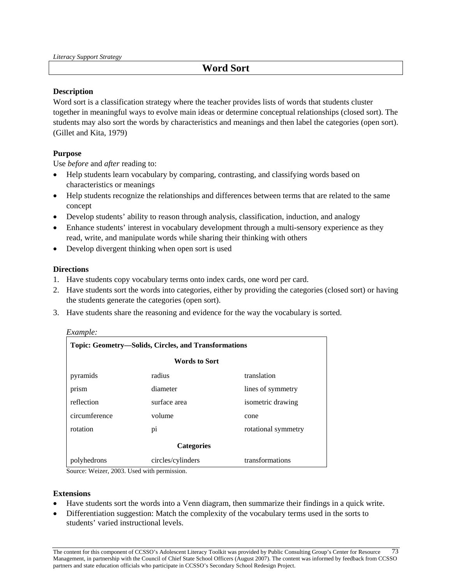### **Word Sort**

#### **Description**

Word sort is a classification strategy where the teacher provides lists of words that students cluster together in meaningful ways to evolve main ideas or determine conceptual relationships (closed sort). The students may also sort the words by characteristics and meanings and then label the categories (open sort). (Gillet and Kita, 1979)

#### **Purpose**

Use *before* and *after* reading to:

- Help students learn vocabulary by comparing, contrasting, and classifying words based on characteristics or meanings
- Help students recognize the relationships and differences between terms that are related to the same concept
- Develop students' ability to reason through analysis, classification, induction, and analogy
- Enhance students' interest in vocabulary development through a multi-sensory experience as they read, write, and manipulate words while sharing their thinking with others
- Develop divergent thinking when open sort is used

#### **Directions**

- 1. Have students copy vocabulary terms onto index cards, one word per card.
- 2. Have students sort the words into categories, either by providing the categories (closed sort) or having the students generate the categories (open sort).
- 3. Have students share the reasoning and evidence for the way the vocabulary is sorted.

| txample |
|---------|
|---------|

| <b>Topic: Geometry-Solids, Circles, and Transformations</b> |                   |                     |  |
|-------------------------------------------------------------|-------------------|---------------------|--|
| <b>Words to Sort</b>                                        |                   |                     |  |
| pyramids                                                    | radius            | translation         |  |
| prism                                                       | diameter          | lines of symmetry   |  |
| reflection                                                  | surface area      | isometric drawing   |  |
| circumference                                               | volume            | cone                |  |
| rotation                                                    | pi                | rotational symmetry |  |
| <b>Categories</b>                                           |                   |                     |  |
| polyhedrons                                                 | circles/cylinders | transformations     |  |

Source: Weizer, 2003. Used with permission.

#### **Extensions**

- Have students sort the words into a Venn diagram, then summarize their findings in a quick write.
- Differentiation suggestion: Match the complexity of the vocabulary terms used in the sorts to students' varied instructional levels.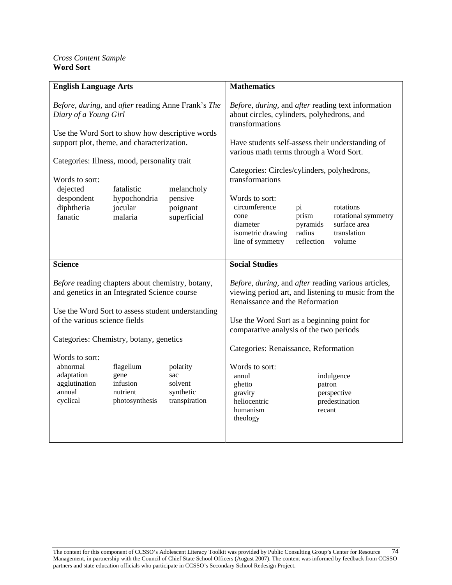*Cross Content Sample*  **Word Sort** 

| <b>English Language Arts</b>                                                                                                                                                                                                                                                                                                                                                                                                                                      |                                                                                                                                                                                                                                                                                                                                                                                                                                                                                                                                            |  |
|-------------------------------------------------------------------------------------------------------------------------------------------------------------------------------------------------------------------------------------------------------------------------------------------------------------------------------------------------------------------------------------------------------------------------------------------------------------------|--------------------------------------------------------------------------------------------------------------------------------------------------------------------------------------------------------------------------------------------------------------------------------------------------------------------------------------------------------------------------------------------------------------------------------------------------------------------------------------------------------------------------------------------|--|
| Before, during, and after reading Anne Frank's The<br>Diary of a Young Girl<br>Use the Word Sort to show how descriptive words<br>support plot, theme, and characterization.<br>Categories: Illness, mood, personality trait<br>Words to sort:<br>fatalistic<br>dejected<br>melancholy<br>despondent<br>hypochondria<br>pensive<br>diphtheria<br>jocular<br>poignant<br>fanatic<br>malaria<br>superficial                                                         | <b>Mathematics</b><br>Before, during, and after reading text information<br>about circles, cylinders, polyhedrons, and<br>transformations<br>Have students self-assess their understanding of<br>various math terms through a Word Sort.<br>Categories: Circles/cylinders, polyhedrons,<br>transformations<br>Words to sort:<br>circumference<br>rotations<br>pi<br>prism<br>rotational symmetry<br>cone<br>surface area<br>diameter<br>pyramids<br>isometric drawing<br>radius<br>translation<br>line of symmetry<br>reflection<br>volume |  |
| <b>Science</b><br>Before reading chapters about chemistry, botany,<br>and genetics in an Integrated Science course<br>Use the Word Sort to assess student understanding<br>of the various science fields<br>Categories: Chemistry, botany, genetics<br>Words to sort:<br>abnormal<br>flagellum<br>polarity<br>adaptation<br>gene<br>sac<br>agglutination<br>infusion<br>solvent<br>nutrient<br>annual<br>synthetic<br>photosynthesis<br>transpiration<br>cyclical | <b>Social Studies</b><br>Before, during, and after reading various articles,<br>viewing period art, and listening to music from the<br>Renaissance and the Reformation<br>Use the Word Sort as a beginning point for<br>comparative analysis of the two periods<br>Categories: Renaissance, Reformation<br>Words to sort:<br>annul<br>indulgence<br>ghetto<br>patron<br>gravity<br>perspective<br>heliocentric<br>predestination<br>humanism<br>recant<br>theology                                                                         |  |

The content for this component of CCSSO's Adolescent Literacy Toolkit was provided by Public Consulting Group's Center for Resource Management, in partnership with the Council of Chief State School Officers (August 2007). The content was informed by feedback from CCSSO partners and state education officials who participate in CCSSO's Secondary School Redesign Project. 74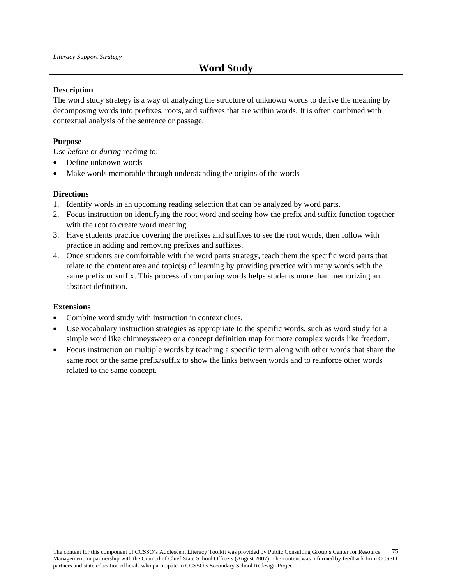## **Word Study**

#### **Description**

The word study strategy is a way of analyzing the structure of unknown words to derive the meaning by decomposing words into prefixes, roots, and suffixes that are within words. It is often combined with contextual analysis of the sentence or passage.

#### **Purpose**

Use *before* or *during* reading to:

- Define unknown words
- Make words memorable through understanding the origins of the words

#### **Directions**

- 1. Identify words in an upcoming reading selection that can be analyzed by word parts.
- 2. Focus instruction on identifying the root word and seeing how the prefix and suffix function together with the root to create word meaning.
- 3. Have students practice covering the prefixes and suffixes to see the root words, then follow with practice in adding and removing prefixes and suffixes.
- 4. Once students are comfortable with the word parts strategy, teach them the specific word parts that relate to the content area and topic(s) of learning by providing practice with many words with the same prefix or suffix. This process of comparing words helps students more than memorizing an abstract definition.

#### **Extensions**

- Combine word study with instruction in context clues.
- Use vocabulary instruction strategies as appropriate to the specific words, such as word study for a simple word like chimneysweep or a concept definition map for more complex words like freedom.
- Focus instruction on multiple words by teaching a specific term along with other words that share the same root or the same prefix/suffix to show the links between words and to reinforce other words related to the same concept.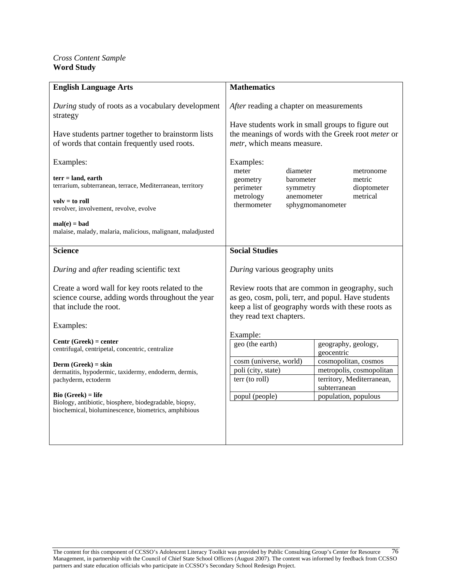#### *Cross Content Sample*  **Word Study**

| <b>English Language Arts</b>                                                                                                                                                                                                                   | <b>Mathematics</b>                                                                                                                                                                                        |  |  |
|------------------------------------------------------------------------------------------------------------------------------------------------------------------------------------------------------------------------------------------------|-----------------------------------------------------------------------------------------------------------------------------------------------------------------------------------------------------------|--|--|
| During study of roots as a vocabulary development<br>strategy<br>Have students partner together to brainstorm lists<br>of words that contain frequently used roots.                                                                            | After reading a chapter on measurements<br>Have students work in small groups to figure out<br>the meanings of words with the Greek root meter or<br>metr, which means measure.                           |  |  |
| Examples:<br>terr = land, earth<br>terrarium, subterranean, terrace, Mediterranean, territory<br>$volv = to roll$<br>revolver, involvement, revolve, evolve<br>$mal(e) = bad$<br>malaise, malady, malaria, malicious, malignant, maladjusted   | Examples:<br>meter<br>diameter<br>metronome<br>barometer<br>geometry<br>metric<br>perimeter<br>dioptometer<br>symmetry<br>metrical<br>metrology<br>anemometer<br>thermometer<br>sphygmomanometer          |  |  |
| <b>Science</b>                                                                                                                                                                                                                                 | <b>Social Studies</b>                                                                                                                                                                                     |  |  |
| During and after reading scientific text                                                                                                                                                                                                       | During various geography units                                                                                                                                                                            |  |  |
| Create a word wall for key roots related to the<br>science course, adding words throughout the year<br>that include the root.<br>Examples:                                                                                                     | Review roots that are common in geography, such<br>as geo, cosm, poli, terr, and popul. Have students<br>keep a list of geography words with these roots as<br>they read text chapters.                   |  |  |
|                                                                                                                                                                                                                                                | Example:                                                                                                                                                                                                  |  |  |
| $Centr(Greek) = center$<br>centrifugal, centripetal, concentric, centralize                                                                                                                                                                    | geo (the earth)<br>geography, geology,<br>geocentric                                                                                                                                                      |  |  |
| Derm $(Greek) = skin$<br>dermatitis, hypodermic, taxidermy, endoderm, dermis,<br>pachyderm, ectoderm<br>$Bio (Greek) = life$<br>Biology, antibiotic, biosphere, biodegradable, biopsy,<br>biochemical, bioluminescence, biometrics, amphibious | cosmopolitan, cosmos<br>cosm (universe, world)<br>metropolis, cosmopolitan<br>poli (city, state)<br>territory, Mediterranean,<br>terr (to roll)<br>subterranean<br>popul (people)<br>population, populous |  |  |
|                                                                                                                                                                                                                                                |                                                                                                                                                                                                           |  |  |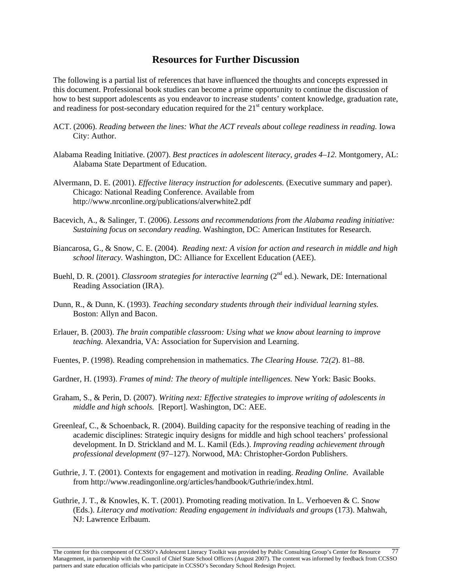### **Resources for Further Discussion**

The following is a partial list of references that have influenced the thoughts and concepts expressed in this document. Professional book studies can become a prime opportunity to continue the discussion of how to best support adolescents as you endeavor to increase students' content knowledge, graduation rate, and readiness for post-secondary education required for the  $21<sup>st</sup>$  century workplace.

- ACT. (2006). *Reading between the lines: What the ACT reveals about college readiness in reading.* Iowa City: Author.
- Alabama Reading Initiative. (2007). *Best practices in adolescent literacy, grades 4–12.* Montgomery, AL: Alabama State Department of Education.
- Alvermann, D. E. (2001). *Effective literacy instruction for adolescents.* (Executive summary and paper). Chicago: National Reading Conference. Available from http://www.nrconline.org/publications/alverwhite2.pdf
- Bacevich, A., & Salinger, T. (2006). *Lessons and recommendations from the Alabama reading initiative: Sustaining focus on secondary reading.* Washington, DC: American Institutes for Research.
- Biancarosa, G., & Snow, C. E. (2004). *Reading next: A vision for action and research in middle and high school literacy.* Washington, DC: Alliance for Excellent Education (AEE).
- Buehl, D. R. (2001). *Classroom strategies for interactive learning* (2<sup>nd</sup> ed.). Newark, DE: International Reading Association (IRA).
- Dunn, R., & Dunn, K. (1993). *Teaching secondary students through their individual learning styles.* Boston: Allyn and Bacon.
- Erlauer, B. (2003). *The brain compatible classroom: Using what we know about learning to improve teaching.* Alexandria, VA: Association for Supervision and Learning.
- Fuentes, P. (1998). Reading comprehension in mathematics. *The Clearing House.* 72*(2*). 81–88.
- Gardner, H. (1993). *Frames of mind: The theory of multiple intelligences.* New York: Basic Books.
- Graham, S., & Perin, D. (2007). *Writing next: Effective strategies to improve writing of adolescents in middle and high schools.* [Report]. Washington, DC: AEE.
- Greenleaf, C., & Schoenback, R. (2004). Building capacity for the responsive teaching of reading in the academic disciplines: Strategic inquiry designs for middle and high school teachers' professional development. In D. Strickland and M. L. Kamil (Eds.). *Improving reading achievement through professional development* (97–127). Norwood, MA: Christopher-Gordon Publishers.
- Guthrie, J. T. (2001). Contexts for engagement and motivation in reading. *Reading Online.* Available from http://www.readingonline.org/articles/handbook/Guthrie/index.html.
- Guthrie, J. T., & Knowles, K. T. (2001). Promoting reading motivation. In L. Verhoeven & C. Snow (Eds.). *Literacy and motivation: Reading engagement in individuals and groups* (173). Mahwah, NJ: Lawrence Erlbaum.

The content for this component of CCSSO's Adolescent Literacy Toolkit was provided by Public Consulting Group's Center for Resource Management, in partnership with the Council of Chief State School Officers (August 2007). The content was informed by feedback from CCSSO partners and state education officials who participate in CCSSO's Secondary School Redesign Project. 77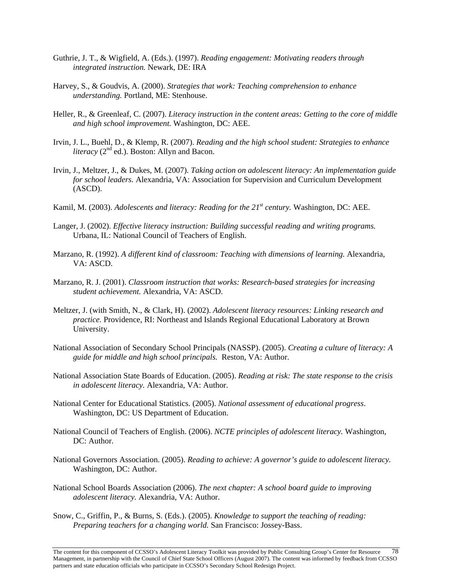- Guthrie, J. T., & Wigfield, A. (Eds.). (1997). *Reading engagement: Motivating readers through integrated instruction.* Newark, DE: IRA
- Harvey, S., & Goudvis, A. (2000). *Strategies that work: Teaching comprehension to enhance understanding.* Portland, ME: Stenhouse.
- Heller, R., & Greenleaf, C. (2007). *Literacy instruction in the content areas: Getting to the core of middle and high school improvement.* Washington, DC: AEE.
- Irvin, J. L., Buehl, D., & Klemp, R. (2007). *Reading and the high school student: Strategies to enhance literacy* (2<sup>nd</sup> ed.). Boston: Allyn and Bacon.
- Irvin, J., Meltzer, J., & Dukes, M. (2007). *Taking action on adolescent literacy: An implementation guide for school leaders.* Alexandria, VA: Association for Supervision and Curriculum Development (ASCD).
- Kamil, M. (2003). *Adolescents and literacy: Reading for the 21<sup>st</sup> century.* Washington, DC: AEE.
- Langer, J. (2002). *Effective literacy instruction: Building successful reading and writing programs.* Urbana, IL: National Council of Teachers of English.
- Marzano, R. (1992). *A different kind of classroom: Teaching with dimensions of learning.* Alexandria, VA: ASCD.
- Marzano, R. J. (2001). *Classroom instruction that works: Research-based strategies for increasing student achievement.* Alexandria, VA: ASCD.
- Meltzer, J. (with Smith, N., & Clark, H). (2002). *Adolescent literacy resources: Linking research and practice.* Providence, RI: Northeast and Islands Regional Educational Laboratory at Brown University.
- National Association of Secondary School Principals (NASSP). (2005). *Creating a culture of literacy: A guide for middle and high school principals.* Reston, VA: Author.
- National Association State Boards of Education. (2005). *Reading at risk: The state response to the crisis in adolescent literacy.* Alexandria, VA: Author.
- National Center for Educational Statistics. (2005). *National assessment of educational progress*. Washington, DC: US Department of Education.
- National Council of Teachers of English. (2006). *NCTE principles of adolescent literacy.* Washington, DC: Author.
- National Governors Association. (2005). *Reading to achieve: A governor's guide to adolescent literacy.* Washington, DC: Author.
- National School Boards Association (2006). *The next chapter: A school board guide to improving adolescent literacy.* Alexandria, VA: Author.
- Snow, C., Griffin, P., & Burns, S. (Eds.). (2005). *Knowledge to support the teaching of reading: Preparing teachers for a changing world.* San Francisco: Jossey-Bass.

The content for this component of CCSSO's Adolescent Literacy Toolkit was provided by Public Consulting Group's Center for Resource Management, in partnership with the Council of Chief State School Officers (August 2007). The content was informed by feedback from CCSSO partners and state education officials who participate in CCSSO's Secondary School Redesign Project. 78